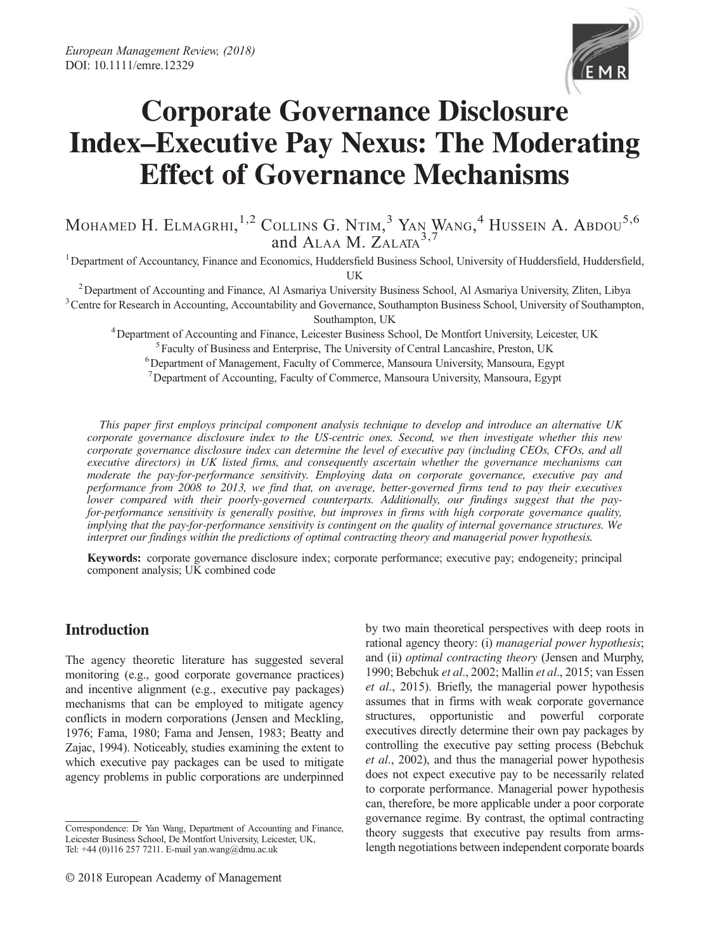

# **Corporate Governance Disclosure Index–Executive Pay Nexus: The Moderating Effect of Governance Mechanisms**

Mohamed H. Elmagrhi, $^{1,2}$  Collins G. Ntim, $^3$  Yan Wang, $^4$  Hussein A. Abdou $^{5,6}$ and ALAA M. ZALATA

<sup>1</sup>Department of Accountancy, Finance and Economics, Huddersfield Business School, University of Huddersfield, Huddersfield, UK

<sup>2</sup> Department of Accounting and Finance, Al Asmariya University Business School, Al Asmariya University, Zliten, Libya

<sup>3</sup> Centre for Research in Accounting, Accountability and Governance, Southampton Business School, University of Southampton, Southampton, UK

<sup>4</sup> Department of Accounting and Finance, Leicester Business School, De Montfort University, Leicester, UK <sup>5</sup> Faculty of Business and Enterprise, The University of Central Lancashire, Preston, UK

6 Department of Management, Faculty of Commerce, Mansoura University, Mansoura, Egypt

<sup>7</sup> Department of Accounting, Faculty of Commerce, Mansoura University, Mansoura, Egypt

*This paper first employs principal component analysis technique to develop and introduce an alternative UK corporate governance disclosure index to the US-centric ones. Second, we then investigate whether this new corporate governance disclosure index can determine the level of executive pay (including CEOs, CFOs, and all executive directors) in UK listed firms, and consequently ascertain whether the governance mechanisms can moderate the pay-for-performance sensitivity. Employing data on corporate governance, executive pay and performance from 2008 to 2013, we find that, on average, better-governed firms tend to pay their executives lower compared with their poorly-governed counterparts. Additionally, our findings suggest that the payfor-performance sensitivity is generally positive, but improves in firms with high corporate governance quality, implying that the pay-for-performance sensitivity is contingent on the quality of internal governance structures. We interpret our findings within the predictions of optimal contracting theory and managerial power hypothesis.*

**Keywords:** corporate governance disclosure index; corporate performance; executive pay; endogeneity; principal component analysis; UK combined code

# **Introduction**

The agency theoretic literature has suggested several monitoring (e.g., good corporate governance practices) and incentive alignment (e.g., executive pay packages) mechanisms that can be employed to mitigate agency conflicts in modern corporations (Jensen and Meckling, 1976; Fama, 1980; Fama and Jensen, 1983; Beatty and Zajac, 1994). Noticeably, studies examining the extent to which executive pay packages can be used to mitigate agency problems in public corporations are underpinned by two main theoretical perspectives with deep roots in rational agency theory: (i) *managerial power hypothesis*; and (ii) *optimal contracting theory* (Jensen and Murphy, 1990; Bebchuk *et al*., 2002; Mallin *et al*., 2015; van Essen *et al*., 2015). Briefly, the managerial power hypothesis assumes that in firms with weak corporate governance structures, opportunistic and powerful corporate executives directly determine their own pay packages by controlling the executive pay setting process (Bebchuk *et al*., 2002), and thus the managerial power hypothesis does not expect executive pay to be necessarily related to corporate performance. Managerial power hypothesis can, therefore, be more applicable under a poor corporate governance regime. By contrast, the optimal contracting theory suggests that executive pay results from armslength negotiations between independent corporate boards

Correspondence: Dr Yan Wang, Department of Accounting and Finance, Leicester Business School, De Montfort University, Leicester, UK, Tel: +44 (0)116 257 7211. E-mail [yan.wang@dmu.ac.uk](mailto:yan.wang@dmu.ac.uk)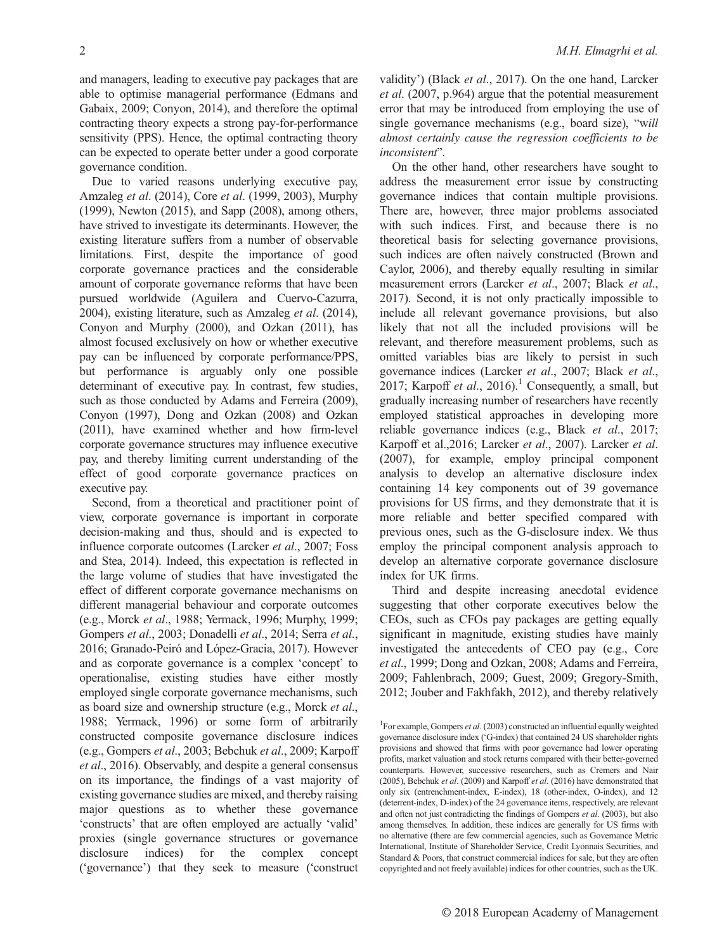and managers, leading to executive pay packages that are able to optimise managerial performance (Edmans and Gabaix, 2009; Conyon, 2014), and therefore the optimal contracting theory expects a strong pay-for-performance sensitivity (PPS). Hence, the optimal contracting theory can be expected to operate better under a good corporate governance condition.

Due to varied reasons underlying executive pay, Amzaleg *et al*. (2014), Core *et al*. (1999, 2003), Murphy (1999), Newton (2015), and Sapp (2008), among others, have strived to investigate its determinants. However, the existing literature suffers from a number of observable limitations. First, despite the importance of good corporate governance practices and the considerable amount of corporate governance reforms that have been pursued worldwide (Aguilera and Cuervo-Cazurra, 2004), existing literature, such as Amzaleg *et al*. (2014), Conyon and Murphy (2000), and Ozkan (2011), has almost focused exclusively on how or whether executive pay can be influenced by corporate performance/PPS, but performance is arguably only one possible determinant of executive pay. In contrast, few studies, such as those conducted by Adams and Ferreira (2009), Conyon (1997), Dong and Ozkan (2008) and Ozkan (2011), have examined whether and how firm-level corporate governance structures may influence executive pay, and thereby limiting current understanding of the effect of good corporate governance practices on executive pay.

Second, from a theoretical and practitioner point of view, corporate governance is important in corporate decision-making and thus, should and is expected to influence corporate outcomes (Larcker *et al*., 2007; Foss and Stea, 2014). Indeed, this expectation is reflected in the large volume of studies that have investigated the effect of different corporate governance mechanisms on different managerial behaviour and corporate outcomes (e.g., Morck *et al*., 1988; Yermack, 1996; Murphy, 1999; Gompers *et al*., 2003; Donadelli *et al*., 2014; Serra *et al*., 2016; Granado-Peiró and López-Gracia, 2017). However and as corporate governance is a complex 'concept' to operationalise, existing studies have either mostly employed single corporate governance mechanisms, such as board size and ownership structure (e.g., Morck *et al*., 1988; Yermack, 1996) or some form of arbitrarily constructed composite governance disclosure indices (e.g., Gompers *et al*., 2003; Bebchuk *et al*., 2009; Karpoff *et al*., 2016). Observably, and despite a general consensus on its importance, the findings of a vast majority of existing governance studies are mixed, and thereby raising major questions as to whether these governance 'constructs' that are often employed are actually 'valid' proxies (single governance structures or governance disclosure indices) for the complex concept ('governance') that they seek to measure ('construct

validity') (Black *et al*., 2017). On the one hand, Larcker *et al*. (2007, p.964) argue that the potential measurement error that may be introduced from employing the use of single governance mechanisms (e.g., board size), "w*ill almost certainly cause the regression coefficients to be inconsistent*".

On the other hand, other researchers have sought to address the measurement error issue by constructing governance indices that contain multiple provisions. There are, however, three major problems associated with such indices. First, and because there is no theoretical basis for selecting governance provisions, such indices are often naively constructed (Brown and Caylor, 2006), and thereby equally resulting in similar measurement errors (Larcker *et al*., 2007; Black *et al*., 2017). Second, it is not only practically impossible to include all relevant governance provisions, but also likely that not all the included provisions will be relevant, and therefore measurement problems, such as omitted variables bias are likely to persist in such governance indices (Larcker *et al*., 2007; Black *et al*., 2017; Karpoff *et al.*, 2016).<sup>1</sup> Consequently, a small, but gradually increasing number of researchers have recently employed statistical approaches in developing more reliable governance indices (e.g., Black *et al*., 2017; Karpoff et al.,2016; Larcker *et al*., 2007). Larcker *et al*. (2007), for example, employ principal component analysis to develop an alternative disclosure index containing 14 key components out of 39 governance provisions for US firms, and they demonstrate that it is more reliable and better specified compared with previous ones, such as the G-disclosure index. We thus employ the principal component analysis approach to develop an alternative corporate governance disclosure index for UK firms.

Third and despite increasing anecdotal evidence suggesting that other corporate executives below the CEOs, such as CFOs pay packages are getting equally significant in magnitude, existing studies have mainly investigated the antecedents of CEO pay (e.g., Core *et al*., 1999; Dong and Ozkan, 2008; Adams and Ferreira, 2009; Fahlenbrach, 2009; Guest, 2009; Gregory-Smith, 2012; Jouber and Fakhfakh, 2012), and thereby relatively

<sup>1</sup>For example, Gompers *et al.* (2003) constructed an influential equally weighted governance disclosure index ('G-index) that contained 24 US shareholder rights provisions and showed that firms with poor governance had lower operating profits, market valuation and stock returns compared with their better-governed counterparts. However, successive researchers, such as Cremers and Nair (2005), Bebchuk *et al*. (2009) and Karpoff *et al*. (2016) have demonstrated that only six (entrenchment-index, E-index), 18 (other-index, O-index), and 12 (deterrent-index, D-index) of the 24 governance items, respectively, are relevant and often not just contradicting the findings of Gompers *et al*. (2003), but also among themselves. In addition, these indices are generally for US firms with no alternative (there are few commercial agencies, such as Governance Metric International, Institute of Shareholder Service, Credit Lyonnais Securities, and Standard & Poors, that construct commercial indices for sale, but they are often copyrighted and not freely available) indices for other countries, such as the UK.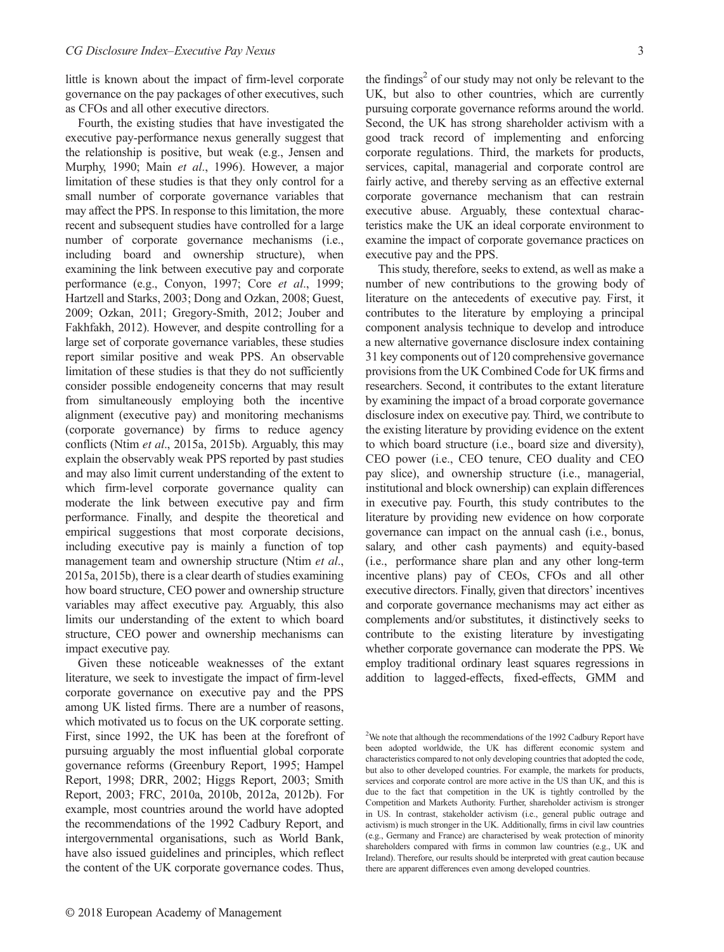little is known about the impact of firm-level corporate governance on the pay packages of other executives, such as CFOs and all other executive directors.

Fourth, the existing studies that have investigated the executive pay-performance nexus generally suggest that the relationship is positive, but weak (e.g., Jensen and Murphy, 1990; Main *et al*., 1996). However, a major limitation of these studies is that they only control for a small number of corporate governance variables that may affect the PPS. In response to this limitation, the more recent and subsequent studies have controlled for a large number of corporate governance mechanisms (i.e., including board and ownership structure), when examining the link between executive pay and corporate performance (e.g., Conyon, 1997; Core *et al*., 1999; Hartzell and Starks, 2003; Dong and Ozkan, 2008; Guest, 2009; Ozkan, 2011; Gregory-Smith, 2012; Jouber and Fakhfakh, 2012). However, and despite controlling for a large set of corporate governance variables, these studies report similar positive and weak PPS. An observable limitation of these studies is that they do not sufficiently consider possible endogeneity concerns that may result from simultaneously employing both the incentive alignment (executive pay) and monitoring mechanisms (corporate governance) by firms to reduce agency conflicts (Ntim *et al*., 2015a, 2015b). Arguably, this may explain the observably weak PPS reported by past studies and may also limit current understanding of the extent to which firm-level corporate governance quality can moderate the link between executive pay and firm performance. Finally, and despite the theoretical and empirical suggestions that most corporate decisions, including executive pay is mainly a function of top management team and ownership structure (Ntim *et al*., 2015a, 2015b), there is a clear dearth of studies examining how board structure, CEO power and ownership structure variables may affect executive pay. Arguably, this also limits our understanding of the extent to which board structure, CEO power and ownership mechanisms can impact executive pay.

Given these noticeable weaknesses of the extant literature, we seek to investigate the impact of firm-level corporate governance on executive pay and the PPS among UK listed firms. There are a number of reasons, which motivated us to focus on the UK corporate setting. First, since 1992, the UK has been at the forefront of pursuing arguably the most influential global corporate governance reforms (Greenbury Report, 1995; Hampel Report, 1998; DRR, 2002; Higgs Report, 2003; Smith Report, 2003; FRC, 2010a, 2010b, 2012a, 2012b). For example, most countries around the world have adopted the recommendations of the 1992 Cadbury Report, and intergovernmental organisations, such as World Bank, have also issued guidelines and principles, which reflect the content of the UK corporate governance codes. Thus,

the findings<sup>2</sup> of our study may not only be relevant to the UK, but also to other countries, which are currently pursuing corporate governance reforms around the world. Second, the UK has strong shareholder activism with a good track record of implementing and enforcing corporate regulations. Third, the markets for products, services, capital, managerial and corporate control are fairly active, and thereby serving as an effective external corporate governance mechanism that can restrain executive abuse. Arguably, these contextual characteristics make the UK an ideal corporate environment to examine the impact of corporate governance practices on executive pay and the PPS.

This study, therefore, seeks to extend, as well as make a number of new contributions to the growing body of literature on the antecedents of executive pay. First, it contributes to the literature by employing a principal component analysis technique to develop and introduce a new alternative governance disclosure index containing 31 key components out of 120 comprehensive governance provisions from the UK Combined Code for UK firms and researchers. Second, it contributes to the extant literature by examining the impact of a broad corporate governance disclosure index on executive pay. Third, we contribute to the existing literature by providing evidence on the extent to which board structure (i.e., board size and diversity), CEO power (i.e., CEO tenure, CEO duality and CEO pay slice), and ownership structure (i.e., managerial, institutional and block ownership) can explain differences in executive pay. Fourth, this study contributes to the literature by providing new evidence on how corporate governance can impact on the annual cash (i.e., bonus, salary, and other cash payments) and equity-based (i.e., performance share plan and any other long-term incentive plans) pay of CEOs, CFOs and all other executive directors. Finally, given that directors' incentives and corporate governance mechanisms may act either as complements and/or substitutes, it distinctively seeks to contribute to the existing literature by investigating whether corporate governance can moderate the PPS. We employ traditional ordinary least squares regressions in addition to lagged-effects, fixed-effects, GMM and

<sup>&</sup>lt;sup>2</sup>We note that although the recommendations of the 1992 Cadbury Report have been adopted worldwide, the UK has different economic system and characteristics compared to not only developing countries that adopted the code, but also to other developed countries. For example, the markets for products, services and corporate control are more active in the US than UK, and this is due to the fact that competition in the UK is tightly controlled by the Competition and Markets Authority. Further, shareholder activism is stronger in US. In contrast, stakeholder activism (i.e., general public outrage and activism) is much stronger in the UK. Additionally, firms in civil law countries (e.g., Germany and France) are characterised by weak protection of minority shareholders compared with firms in common law countries (e.g., UK and Ireland). Therefore, our results should be interpreted with great caution because there are apparent differences even among developed countries.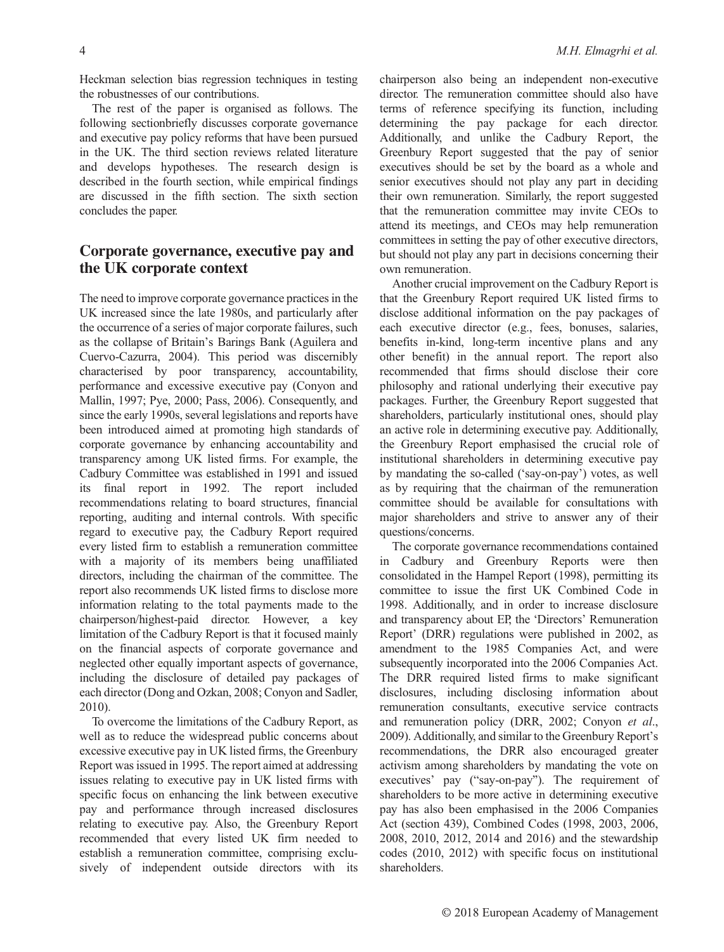Heckman selection bias regression techniques in testing the robustnesses of our contributions.

The rest of the paper is organised as follows. The following sectionbriefly discusses corporate governance and executive pay policy reforms that have been pursued in the UK. The third section reviews related literature and develops hypotheses. The research design is described in the fourth section, while empirical findings are discussed in the fifth section. The sixth section concludes the paper.

# **Corporate governance, executive pay and the UK corporate context**

The need to improve corporate governance practices in the UK increased since the late 1980s, and particularly after the occurrence of a series of major corporate failures, such as the collapse of Britain's Barings Bank (Aguilera and Cuervo-Cazurra, 2004). This period was discernibly characterised by poor transparency, accountability, performance and excessive executive pay (Conyon and Mallin, 1997; Pye, 2000; Pass, 2006). Consequently, and since the early 1990s, several legislations and reports have been introduced aimed at promoting high standards of corporate governance by enhancing accountability and transparency among UK listed firms. For example, the Cadbury Committee was established in 1991 and issued its final report in 1992. The report included recommendations relating to board structures, financial reporting, auditing and internal controls. With specific regard to executive pay, the Cadbury Report required every listed firm to establish a remuneration committee with a majority of its members being unaffiliated directors, including the chairman of the committee. The report also recommends UK listed firms to disclose more information relating to the total payments made to the chairperson/highest-paid director. However, a key limitation of the Cadbury Report is that it focused mainly on the financial aspects of corporate governance and neglected other equally important aspects of governance, including the disclosure of detailed pay packages of each director (Dong and Ozkan, 2008; Conyon and Sadler, 2010).

To overcome the limitations of the Cadbury Report, as well as to reduce the widespread public concerns about excessive executive pay in UK listed firms, the Greenbury Report was issued in 1995. The report aimed at addressing issues relating to executive pay in UK listed firms with specific focus on enhancing the link between executive pay and performance through increased disclosures relating to executive pay. Also, the Greenbury Report recommended that every listed UK firm needed to establish a remuneration committee, comprising exclusively of independent outside directors with its chairperson also being an independent non-executive director. The remuneration committee should also have terms of reference specifying its function, including determining the pay package for each director. Additionally, and unlike the Cadbury Report, the Greenbury Report suggested that the pay of senior executives should be set by the board as a whole and senior executives should not play any part in deciding their own remuneration. Similarly, the report suggested that the remuneration committee may invite CEOs to attend its meetings, and CEOs may help remuneration committees in setting the pay of other executive directors, but should not play any part in decisions concerning their own remuneration.

Another crucial improvement on the Cadbury Report is that the Greenbury Report required UK listed firms to disclose additional information on the pay packages of each executive director (e.g., fees, bonuses, salaries, benefits in-kind, long-term incentive plans and any other benefit) in the annual report. The report also recommended that firms should disclose their core philosophy and rational underlying their executive pay packages. Further, the Greenbury Report suggested that shareholders, particularly institutional ones, should play an active role in determining executive pay. Additionally, the Greenbury Report emphasised the crucial role of institutional shareholders in determining executive pay by mandating the so-called ('say-on-pay') votes, as well as by requiring that the chairman of the remuneration committee should be available for consultations with major shareholders and strive to answer any of their questions/concerns.

The corporate governance recommendations contained in Cadbury and Greenbury Reports were then consolidated in the Hampel Report (1998), permitting its committee to issue the first UK Combined Code in 1998. Additionally, and in order to increase disclosure and transparency about EP, the 'Directors' Remuneration Report' (DRR) regulations were published in 2002, as amendment to the 1985 Companies Act, and were subsequently incorporated into the 2006 Companies Act. The DRR required listed firms to make significant disclosures, including disclosing information about remuneration consultants, executive service contracts and remuneration policy (DRR, 2002; Conyon *et al*., 2009). Additionally, and similar to the Greenbury Report's recommendations, the DRR also encouraged greater activism among shareholders by mandating the vote on executives' pay ("say-on-pay"). The requirement of shareholders to be more active in determining executive pay has also been emphasised in the 2006 Companies Act (section 439), Combined Codes (1998, 2003, 2006, 2008, 2010, 2012, 2014 and 2016) and the stewardship codes (2010, 2012) with specific focus on institutional shareholders.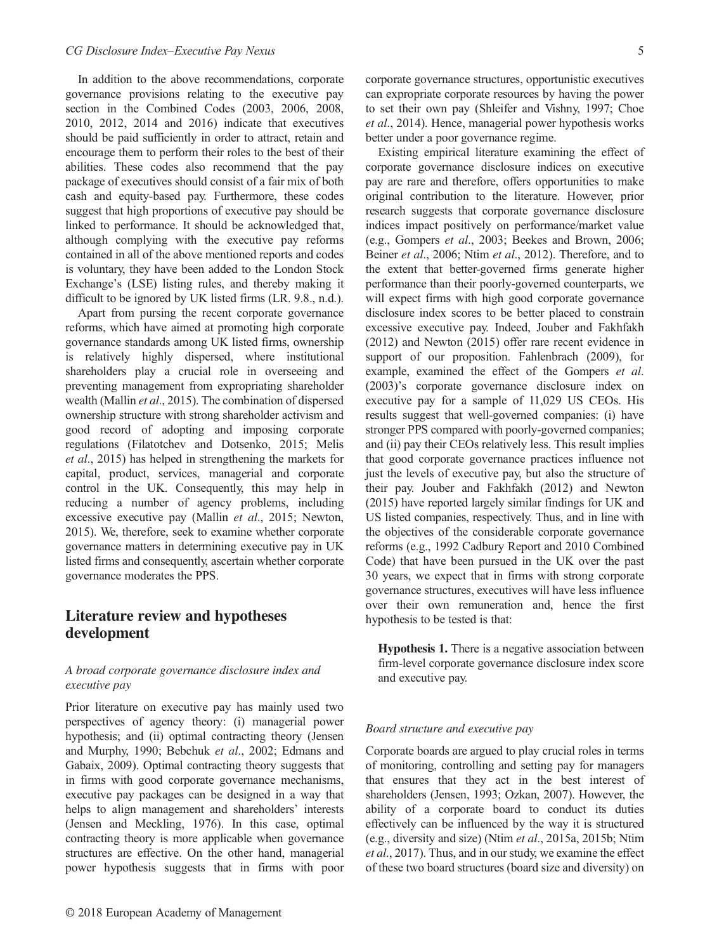In addition to the above recommendations, corporate governance provisions relating to the executive pay section in the Combined Codes (2003, 2006, 2008, 2010, 2012, 2014 and 2016) indicate that executives should be paid sufficiently in order to attract, retain and encourage them to perform their roles to the best of their abilities. These codes also recommend that the pay package of executives should consist of a fair mix of both cash and equity-based pay. Furthermore, these codes suggest that high proportions of executive pay should be linked to performance. It should be acknowledged that, although complying with the executive pay reforms contained in all of the above mentioned reports and codes is voluntary, they have been added to the London Stock Exchange's (LSE) listing rules, and thereby making it difficult to be ignored by UK listed firms (LR. 9.8., n.d.).

Apart from pursing the recent corporate governance reforms, which have aimed at promoting high corporate governance standards among UK listed firms, ownership is relatively highly dispersed, where institutional shareholders play a crucial role in overseeing and preventing management from expropriating shareholder wealth (Mallin *et al*., 2015). The combination of dispersed ownership structure with strong shareholder activism and good record of adopting and imposing corporate regulations (Filatotchev and Dotsenko, 2015; Melis *et al*., 2015) has helped in strengthening the markets for capital, product, services, managerial and corporate control in the UK. Consequently, this may help in reducing a number of agency problems, including excessive executive pay (Mallin *et al*., 2015; Newton, 2015). We, therefore, seek to examine whether corporate governance matters in determining executive pay in UK listed firms and consequently, ascertain whether corporate governance moderates the PPS.

# **Literature review and hypotheses development**

#### *A broad corporate governance disclosure index and executive pay*

Prior literature on executive pay has mainly used two perspectives of agency theory: (i) managerial power hypothesis; and (ii) optimal contracting theory (Jensen and Murphy, 1990; Bebchuk *et al*., 2002; Edmans and Gabaix, 2009). Optimal contracting theory suggests that in firms with good corporate governance mechanisms, executive pay packages can be designed in a way that helps to align management and shareholders' interests (Jensen and Meckling, 1976). In this case, optimal contracting theory is more applicable when governance structures are effective. On the other hand, managerial power hypothesis suggests that in firms with poor

corporate governance structures, opportunistic executives can expropriate corporate resources by having the power to set their own pay (Shleifer and Vishny, 1997; Choe *et al*., 2014). Hence, managerial power hypothesis works

better under a poor governance regime. Existing empirical literature examining the effect of corporate governance disclosure indices on executive pay are rare and therefore, offers opportunities to make original contribution to the literature. However, prior research suggests that corporate governance disclosure indices impact positively on performance/market value (e.g., Gompers *et al*., 2003; Beekes and Brown, 2006; Beiner *et al*., 2006; Ntim *et al*., 2012). Therefore, and to the extent that better-governed firms generate higher performance than their poorly-governed counterparts, we will expect firms with high good corporate governance disclosure index scores to be better placed to constrain excessive executive pay. Indeed, Jouber and Fakhfakh (2012) and Newton (2015) offer rare recent evidence in support of our proposition. Fahlenbrach (2009), for example, examined the effect of the Gompers *et al*. (2003)'s corporate governance disclosure index on executive pay for a sample of 11,029 US CEOs. His results suggest that well-governed companies: (i) have stronger PPS compared with poorly-governed companies; and (ii) pay their CEOs relatively less. This result implies that good corporate governance practices influence not just the levels of executive pay, but also the structure of their pay. Jouber and Fakhfakh (2012) and Newton (2015) have reported largely similar findings for UK and US listed companies, respectively. Thus, and in line with the objectives of the considerable corporate governance reforms (e.g., 1992 Cadbury Report and 2010 Combined Code) that have been pursued in the UK over the past 30 years, we expect that in firms with strong corporate governance structures, executives will have less influence over their own remuneration and, hence the first hypothesis to be tested is that:

**Hypothesis 1.** There is a negative association between firm-level corporate governance disclosure index score and executive pay.

#### *Board structure and executive pay*

Corporate boards are argued to play crucial roles in terms of monitoring, controlling and setting pay for managers that ensures that they act in the best interest of shareholders (Jensen, 1993; Ozkan, 2007). However, the ability of a corporate board to conduct its duties effectively can be influenced by the way it is structured (e.g., diversity and size) (Ntim *et al*., 2015a, 2015b; Ntim *et al*., 2017). Thus, and in our study, we examine the effect of these two board structures (board size and diversity) on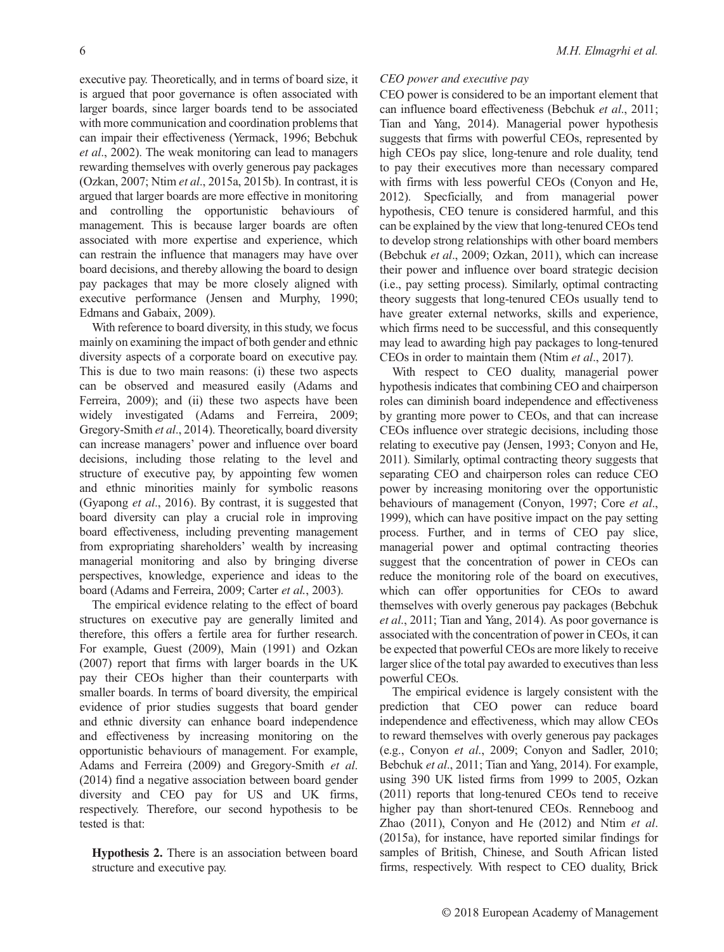executive pay. Theoretically, and in terms of board size, it is argued that poor governance is often associated with larger boards, since larger boards tend to be associated with more communication and coordination problems that can impair their effectiveness (Yermack, 1996; Bebchuk *et al*., 2002). The weak monitoring can lead to managers rewarding themselves with overly generous pay packages (Ozkan, 2007; Ntim *et al*., 2015a, 2015b). In contrast, it is argued that larger boards are more effective in monitoring and controlling the opportunistic behaviours of management. This is because larger boards are often associated with more expertise and experience, which can restrain the influence that managers may have over board decisions, and thereby allowing the board to design pay packages that may be more closely aligned with executive performance (Jensen and Murphy, 1990; Edmans and Gabaix, 2009).

With reference to board diversity, in this study, we focus mainly on examining the impact of both gender and ethnic diversity aspects of a corporate board on executive pay. This is due to two main reasons: (i) these two aspects can be observed and measured easily (Adams and Ferreira, 2009); and (ii) these two aspects have been widely investigated (Adams and Ferreira, 2009; Gregory-Smith *et al*., 2014). Theoretically, board diversity can increase managers' power and influence over board decisions, including those relating to the level and structure of executive pay, by appointing few women and ethnic minorities mainly for symbolic reasons (Gyapong *et al*., 2016). By contrast, it is suggested that board diversity can play a crucial role in improving board effectiveness, including preventing management from expropriating shareholders' wealth by increasing managerial monitoring and also by bringing diverse perspectives, knowledge, experience and ideas to the board (Adams and Ferreira, 2009; Carter *et al.*, 2003).

The empirical evidence relating to the effect of board structures on executive pay are generally limited and therefore, this offers a fertile area for further research. For example, Guest (2009), Main (1991) and Ozkan (2007) report that firms with larger boards in the UK pay their CEOs higher than their counterparts with smaller boards. In terms of board diversity, the empirical evidence of prior studies suggests that board gender and ethnic diversity can enhance board independence and effectiveness by increasing monitoring on the opportunistic behaviours of management. For example, Adams and Ferreira (2009) and Gregory-Smith *et al*. (2014) find a negative association between board gender diversity and CEO pay for US and UK firms, respectively. Therefore, our second hypothesis to be tested is that:

**Hypothesis 2.** There is an association between board structure and executive pay.

#### *CEO power and executive pay*

CEO power is considered to be an important element that can influence board effectiveness (Bebchuk *et al*., 2011; Tian and Yang, 2014). Managerial power hypothesis suggests that firms with powerful CEOs, represented by high CEOs pay slice, long-tenure and role duality, tend to pay their executives more than necessary compared with firms with less powerful CEOs (Conyon and He, 2012). Specficially, and from managerial power hypothesis, CEO tenure is considered harmful, and this can be explained by the view that long-tenured CEOs tend to develop strong relationships with other board members (Bebchuk *et al*., 2009; Ozkan, 2011), which can increase their power and influence over board strategic decision (i.e., pay setting process). Similarly, optimal contracting theory suggests that long-tenured CEOs usually tend to have greater external networks, skills and experience, which firms need to be successful, and this consequently may lead to awarding high pay packages to long-tenured CEOs in order to maintain them (Ntim *et al*., 2017).

With respect to CEO duality, managerial power hypothesis indicates that combining CEO and chairperson roles can diminish board independence and effectiveness by granting more power to CEOs, and that can increase CEOs influence over strategic decisions, including those relating to executive pay (Jensen, 1993; Conyon and He, 2011). Similarly, optimal contracting theory suggests that separating CEO and chairperson roles can reduce CEO power by increasing monitoring over the opportunistic behaviours of management (Conyon, 1997; Core *et al*., 1999), which can have positive impact on the pay setting process. Further, and in terms of CEO pay slice, managerial power and optimal contracting theories suggest that the concentration of power in CEOs can reduce the monitoring role of the board on executives, which can offer opportunities for CEOs to award themselves with overly generous pay packages (Bebchuk *et al*., 2011; Tian and Yang, 2014). As poor governance is associated with the concentration of power in CEOs, it can be expected that powerful CEOs are more likely to receive larger slice of the total pay awarded to executives than less powerful CEOs.

The empirical evidence is largely consistent with the prediction that CEO power can reduce board independence and effectiveness, which may allow CEOs to reward themselves with overly generous pay packages (e.g., Conyon *et al*., 2009; Conyon and Sadler, 2010; Bebchuk *et al*., 2011; Tian and Yang, 2014). For example, using 390 UK listed firms from 1999 to 2005, Ozkan (2011) reports that long-tenured CEOs tend to receive higher pay than short-tenured CEOs. Renneboog and Zhao (2011), Conyon and He (2012) and Ntim *et al*. (2015a), for instance, have reported similar findings for samples of British, Chinese, and South African listed firms, respectively. With respect to CEO duality, Brick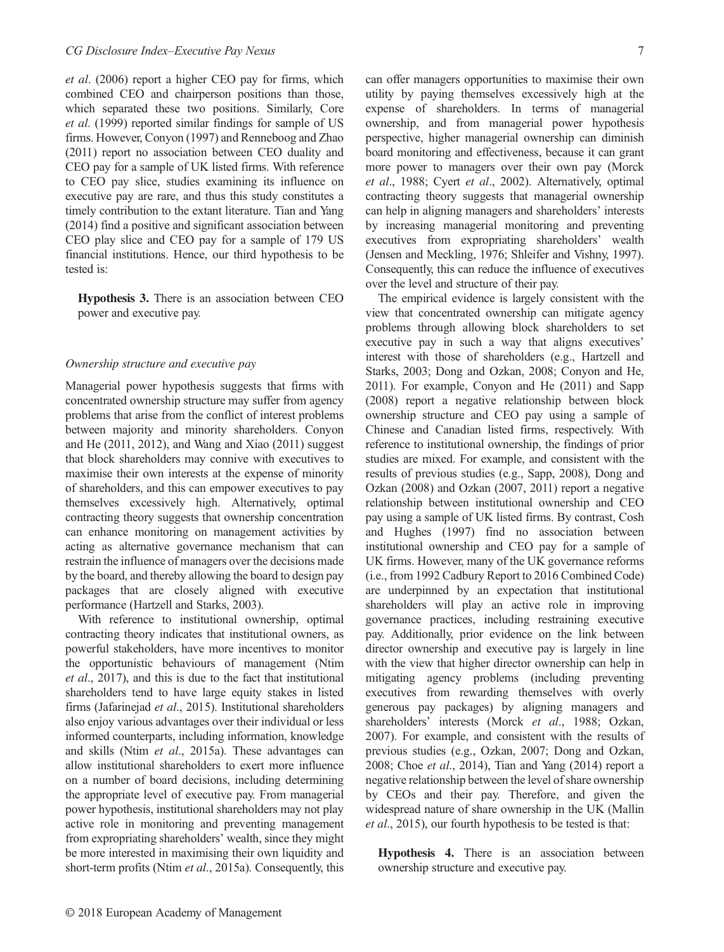*et al*. (2006) report a higher CEO pay for firms, which combined CEO and chairperson positions than those, which separated these two positions. Similarly, Core *et al*. (1999) reported similar findings for sample of US firms. However, Conyon (1997) and Renneboog and Zhao (2011) report no association between CEO duality and CEO pay for a sample of UK listed firms. With reference to CEO pay slice, studies examining its influence on executive pay are rare, and thus this study constitutes a timely contribution to the extant literature. Tian and Yang (2014) find a positive and significant association between CEO play slice and CEO pay for a sample of 179 US financial institutions. Hence, our third hypothesis to be tested is:

**Hypothesis 3.** There is an association between CEO power and executive pay.

#### *Ownership structure and executive pay*

Managerial power hypothesis suggests that firms with concentrated ownership structure may suffer from agency problems that arise from the conflict of interest problems between majority and minority shareholders. Conyon and He (2011, 2012), and Wang and Xiao (2011) suggest that block shareholders may connive with executives to maximise their own interests at the expense of minority of shareholders, and this can empower executives to pay themselves excessively high. Alternatively, optimal contracting theory suggests that ownership concentration can enhance monitoring on management activities by acting as alternative governance mechanism that can restrain the influence of managers over the decisions made by the board, and thereby allowing the board to design pay packages that are closely aligned with executive performance (Hartzell and Starks, 2003).

With reference to institutional ownership, optimal contracting theory indicates that institutional owners, as powerful stakeholders, have more incentives to monitor the opportunistic behaviours of management (Ntim *et al*., 2017), and this is due to the fact that institutional shareholders tend to have large equity stakes in listed firms (Jafarinejad *et al*., 2015). Institutional shareholders also enjoy various advantages over their individual or less informed counterparts, including information, knowledge and skills (Ntim *et al*., 2015a). These advantages can allow institutional shareholders to exert more influence on a number of board decisions, including determining the appropriate level of executive pay. From managerial power hypothesis, institutional shareholders may not play active role in monitoring and preventing management from expropriating shareholders' wealth, since they might be more interested in maximising their own liquidity and short-term profits (Ntim *et al*., 2015a). Consequently, this can offer managers opportunities to maximise their own utility by paying themselves excessively high at the expense of shareholders. In terms of managerial ownership, and from managerial power hypothesis perspective, higher managerial ownership can diminish board monitoring and effectiveness, because it can grant more power to managers over their own pay (Morck *et al*., 1988; Cyert *et al*., 2002). Alternatively, optimal contracting theory suggests that managerial ownership can help in aligning managers and shareholders' interests by increasing managerial monitoring and preventing executives from expropriating shareholders' wealth (Jensen and Meckling, 1976; Shleifer and Vishny, 1997). Consequently, this can reduce the influence of executives over the level and structure of their pay.

The empirical evidence is largely consistent with the view that concentrated ownership can mitigate agency problems through allowing block shareholders to set executive pay in such a way that aligns executives' interest with those of shareholders (e.g., Hartzell and Starks, 2003; Dong and Ozkan, 2008; Conyon and He, 2011). For example, Conyon and He (2011) and Sapp (2008) report a negative relationship between block ownership structure and CEO pay using a sample of Chinese and Canadian listed firms, respectively. With reference to institutional ownership, the findings of prior studies are mixed. For example, and consistent with the results of previous studies (e.g., Sapp, 2008), Dong and Ozkan (2008) and Ozkan (2007, 2011) report a negative relationship between institutional ownership and CEO pay using a sample of UK listed firms. By contrast, Cosh and Hughes (1997) find no association between institutional ownership and CEO pay for a sample of UK firms. However, many of the UK governance reforms (i.e., from 1992 Cadbury Report to 2016 Combined Code) are underpinned by an expectation that institutional shareholders will play an active role in improving governance practices, including restraining executive pay. Additionally, prior evidence on the link between director ownership and executive pay is largely in line with the view that higher director ownership can help in mitigating agency problems (including preventing executives from rewarding themselves with overly generous pay packages) by aligning managers and shareholders' interests (Morck *et al*., 1988; Ozkan, 2007). For example, and consistent with the results of previous studies (e.g., Ozkan, 2007; Dong and Ozkan, 2008; Choe *et al*., 2014), Tian and Yang (2014) report a negative relationship between the level of share ownership by CEOs and their pay. Therefore, and given the widespread nature of share ownership in the UK (Mallin *et al*., 2015), our fourth hypothesis to be tested is that:

**Hypothesis 4.** There is an association between ownership structure and executive pay.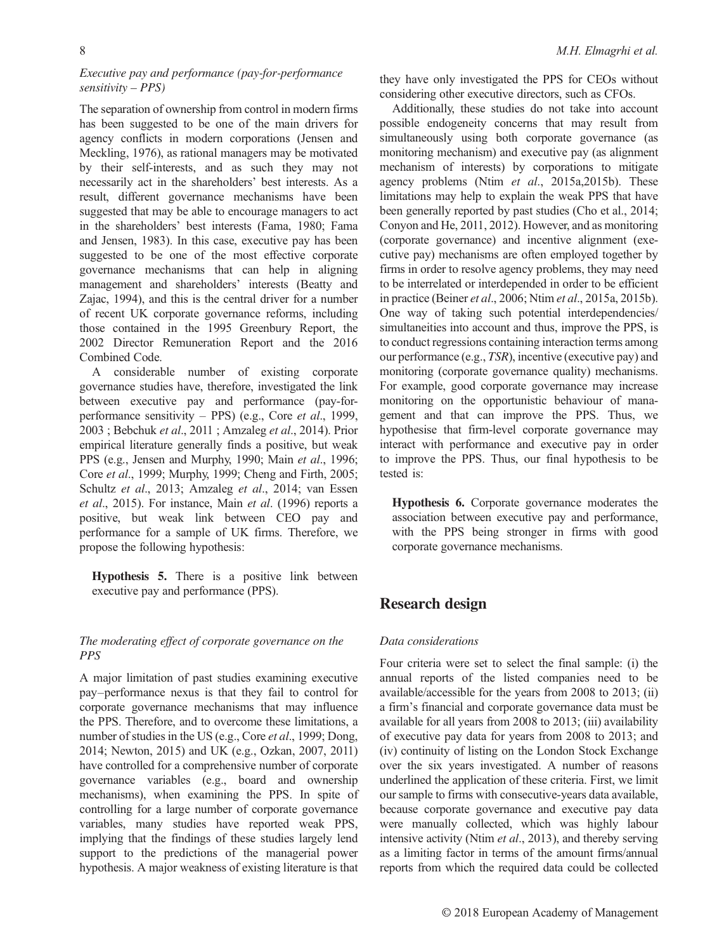#### *Executive pay and performance (pay-for-performance sensitivity – PPS)*

The separation of ownership from control in modern firms has been suggested to be one of the main drivers for agency conflicts in modern corporations (Jensen and Meckling, 1976), as rational managers may be motivated by their self-interests, and as such they may not necessarily act in the shareholders' best interests. As a result, different governance mechanisms have been suggested that may be able to encourage managers to act in the shareholders' best interests (Fama, 1980; Fama and Jensen, 1983). In this case, executive pay has been suggested to be one of the most effective corporate governance mechanisms that can help in aligning management and shareholders' interests (Beatty and Zajac, 1994), and this is the central driver for a number of recent UK corporate governance reforms, including those contained in the 1995 Greenbury Report, the 2002 Director Remuneration Report and the 2016 Combined Code.

A considerable number of existing corporate governance studies have, therefore, investigated the link between executive pay and performance (pay-forperformance sensitivity – PPS) (e.g., Core *et al*., 1999, 2003 ; Bebchuk *et al*., 2011 ; Amzaleg *et al*., 2014). Prior empirical literature generally finds a positive, but weak PPS (e.g., Jensen and Murphy, 1990; Main *et al*., 1996; Core *et al*., 1999; Murphy, 1999; Cheng and Firth, 2005; Schultz *et al*., 2013; Amzaleg *et al*., 2014; van Essen *et al*., 2015). For instance, Main *et al*. (1996) reports a positive, but weak link between CEO pay and performance for a sample of UK firms. Therefore, we propose the following hypothesis:

**Hypothesis 5.** There is a positive link between executive pay and performance (PPS).

## *The moderating effect of corporate governance on the PPS*

A major limitation of past studies examining executive pay–performance nexus is that they fail to control for corporate governance mechanisms that may influence the PPS. Therefore, and to overcome these limitations, a number of studies in the US (e.g., Core *et al*., 1999; Dong, 2014; Newton, 2015) and UK (e.g., Ozkan, 2007, 2011) have controlled for a comprehensive number of corporate governance variables (e.g., board and ownership mechanisms), when examining the PPS. In spite of controlling for a large number of corporate governance variables, many studies have reported weak PPS, implying that the findings of these studies largely lend support to the predictions of the managerial power hypothesis. A major weakness of existing literature is that

they have only investigated the PPS for CEOs without considering other executive directors, such as CFOs.

Additionally, these studies do not take into account possible endogeneity concerns that may result from simultaneously using both corporate governance (as monitoring mechanism) and executive pay (as alignment mechanism of interests) by corporations to mitigate agency problems (Ntim *et al*., 2015a,2015b). These limitations may help to explain the weak PPS that have been generally reported by past studies (Cho et al., 2014; Conyon and He, 2011, 2012). However, and as monitoring (corporate governance) and incentive alignment (executive pay) mechanisms are often employed together by firms in order to resolve agency problems, they may need to be interrelated or interdepended in order to be efficient in practice (Beiner *et al*., 2006; Ntim *et al*., 2015a, 2015b). One way of taking such potential interdependencies/ simultaneities into account and thus, improve the PPS, is to conduct regressions containing interaction terms among our performance (e.g., *TSR*), incentive (executive pay) and monitoring (corporate governance quality) mechanisms. For example, good corporate governance may increase monitoring on the opportunistic behaviour of management and that can improve the PPS. Thus, we hypothesise that firm-level corporate governance may interact with performance and executive pay in order to improve the PPS. Thus, our final hypothesis to be tested is:

**Hypothesis 6.** Corporate governance moderates the association between executive pay and performance, with the PPS being stronger in firms with good corporate governance mechanisms.

# **Research design**

#### *Data considerations*

Four criteria were set to select the final sample: (i) the annual reports of the listed companies need to be available/accessible for the years from 2008 to 2013; (ii) a firm's financial and corporate governance data must be available for all years from 2008 to 2013; (iii) availability of executive pay data for years from 2008 to 2013; and (iv) continuity of listing on the London Stock Exchange over the six years investigated. A number of reasons underlined the application of these criteria. First, we limit our sample to firms with consecutive-years data available, because corporate governance and executive pay data were manually collected, which was highly labour intensive activity (Ntim *et al*., 2013), and thereby serving as a limiting factor in terms of the amount firms/annual reports from which the required data could be collected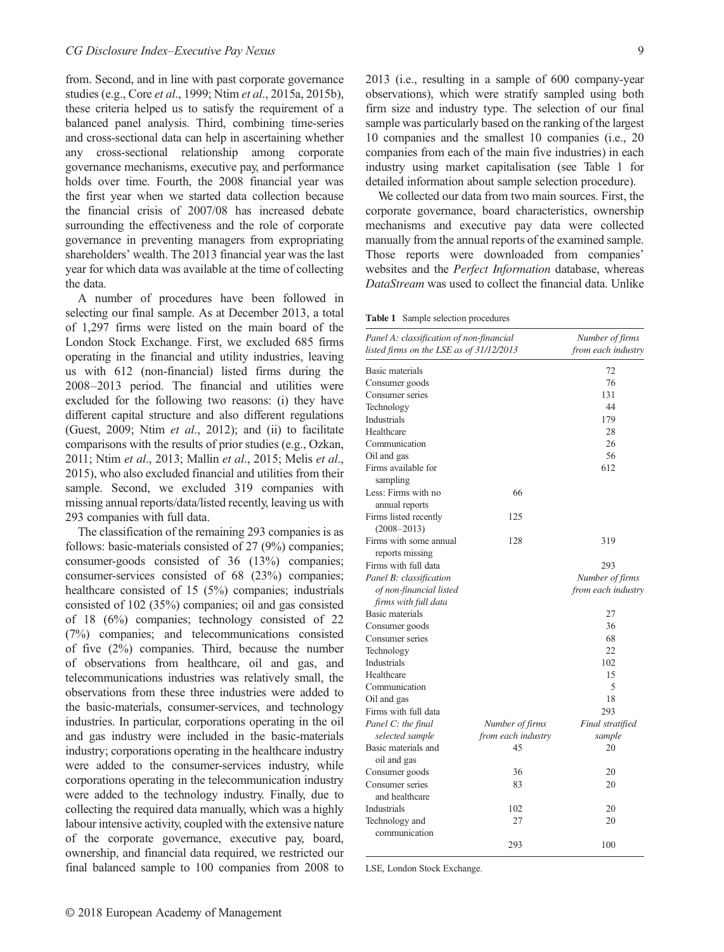from. Second, and in line with past corporate governance studies (e.g., Core *et al*., 1999; Ntim *et al*., 2015a, 2015b), these criteria helped us to satisfy the requirement of a balanced panel analysis. Third, combining time-series and cross-sectional data can help in ascertaining whether any cross-sectional relationship among corporate governance mechanisms, executive pay, and performance holds over time. Fourth, the 2008 financial year was the first year when we started data collection because the financial crisis of 2007/08 has increased debate surrounding the effectiveness and the role of corporate governance in preventing managers from expropriating shareholders' wealth. The 2013 financial year was the last year for which data was available at the time of collecting the data.

A number of procedures have been followed in selecting our final sample. As at December 2013, a total of 1,297 firms were listed on the main board of the London Stock Exchange. First, we excluded 685 firms operating in the financial and utility industries, leaving us with 612 (non-financial) listed firms during the 2008–2013 period. The financial and utilities were excluded for the following two reasons: (i) they have different capital structure and also different regulations (Guest, 2009; Ntim *et al*., 2012); and (ii) to facilitate comparisons with the results of prior studies (e.g., Ozkan, 2011; Ntim *et al*., 2013; Mallin *et al*., 2015; Melis *et al*., 2015), who also excluded financial and utilities from their sample. Second, we excluded 319 companies with missing annual reports/data/listed recently, leaving us with 293 companies with full data.

The classification of the remaining 293 companies is as follows: basic-materials consisted of 27 (9%) companies; consumer-goods consisted of 36 (13%) companies; consumer-services consisted of 68 (23%) companies; healthcare consisted of 15 (5%) companies; industrials consisted of 102 (35%) companies; oil and gas consisted of 18 (6%) companies; technology consisted of 22 (7%) companies; and telecommunications consisted of five (2%) companies. Third, because the number of observations from healthcare, oil and gas, and telecommunications industries was relatively small, the observations from these three industries were added to the basic-materials, consumer-services, and technology industries. In particular, corporations operating in the oil and gas industry were included in the basic-materials industry; corporations operating in the healthcare industry were added to the consumer-services industry, while corporations operating in the telecommunication industry were added to the technology industry. Finally, due to collecting the required data manually, which was a highly labour intensive activity, coupled with the extensive nature of the corporate governance, executive pay, board, ownership, and financial data required, we restricted our final balanced sample to 100 companies from 2008 to 2013 (i.e., resulting in a sample of 600 company-year observations), which were stratify sampled using both firm size and industry type. The selection of our final sample was particularly based on the ranking of the largest 10 companies and the smallest 10 companies (i.e., 20 companies from each of the main five industries) in each industry using market capitalisation (see Table 1 for detailed information about sample selection procedure).

We collected our data from two main sources. First, the corporate governance, board characteristics, ownership mechanisms and executive pay data were collected manually from the annual reports of the examined sample. Those reports were downloaded from companies' websites and the *Perfect Information* database, whereas *DataStream* was used to collect the financial data. Unlike

**Table 1** Sample selection procedures

| Panel A: classification of non-financial<br>listed firms on the LSE as of 31/12/2013 |                    | Number of firms<br>from each industry |
|--------------------------------------------------------------------------------------|--------------------|---------------------------------------|
| Basic materials                                                                      |                    | 72                                    |
| Consumer goods                                                                       |                    | 76                                    |
| Consumer series                                                                      |                    | 131                                   |
| Technology                                                                           |                    | 44                                    |
| Industrials                                                                          |                    | 179                                   |
| Healthcare                                                                           |                    | 28                                    |
| Communication                                                                        |                    | 26                                    |
| Oil and gas                                                                          |                    | 56                                    |
| Firms available for                                                                  |                    | 612                                   |
| sampling                                                                             |                    |                                       |
| Less: Firms with no                                                                  | 66                 |                                       |
| annual reports                                                                       |                    |                                       |
| Firms listed recently<br>$(2008 - 2013)$                                             | 125                |                                       |
| Firms with some annual                                                               | 128                | 319                                   |
| reports missing                                                                      |                    |                                       |
| Firms with full data                                                                 |                    | 293                                   |
| Panel B: classification                                                              |                    | Number of firms                       |
| of non-financial listed                                                              |                    | from each industry                    |
| firms with full data                                                                 |                    |                                       |
| Basic materials                                                                      |                    | 27                                    |
| Consumer goods                                                                       |                    | 36                                    |
| Consumer series                                                                      |                    | 68                                    |
| Technology                                                                           |                    | 22                                    |
| <b>Industrials</b>                                                                   |                    | 102                                   |
| Healthcare                                                                           |                    | 15                                    |
| Communication                                                                        |                    | 5                                     |
| Oil and gas                                                                          |                    | 18                                    |
| Firms with full data                                                                 |                    | 293                                   |
| Panel C: the final                                                                   | Number of firms    | Final stratified                      |
| selected sample                                                                      | from each industry | sample                                |
| Basic materials and                                                                  | 45                 | 20                                    |
| oil and gas                                                                          |                    |                                       |
| Consumer goods                                                                       | 36                 | 20                                    |
| Consumer series                                                                      | 83                 | 20                                    |
| and healthcare                                                                       |                    |                                       |
| Industrials                                                                          | 102                | 20                                    |
| Technology and                                                                       | 27                 | 20                                    |
| communication                                                                        |                    |                                       |
|                                                                                      | 293                | 100                                   |

LSE, London Stock Exchange.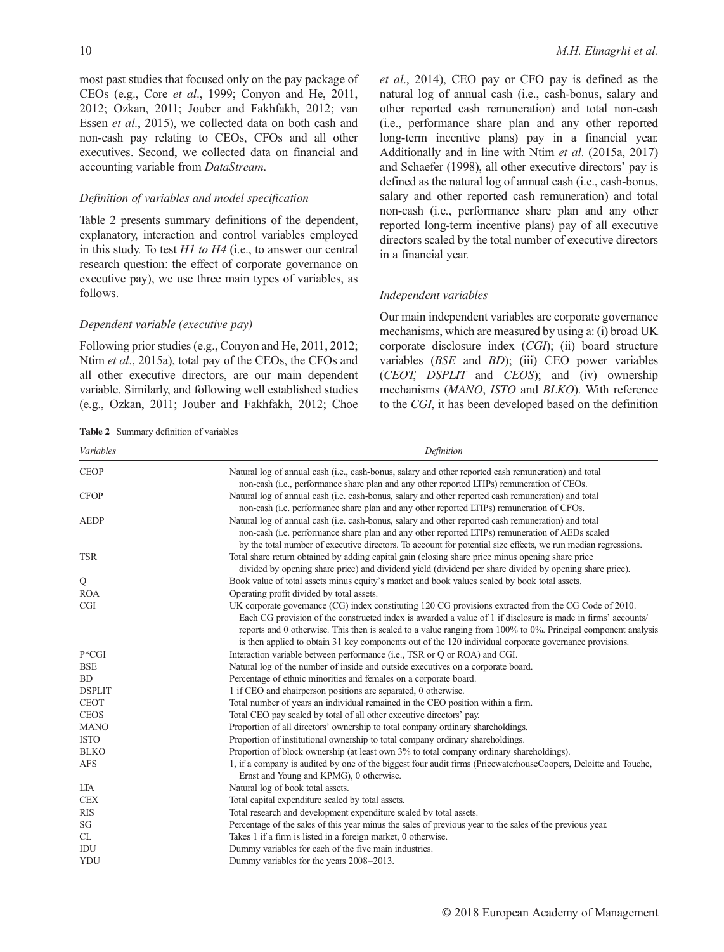most past studies that focused only on the pay package of CEOs (e.g., Core *et al*., 1999; Conyon and He, 2011, 2012; Ozkan, 2011; Jouber and Fakhfakh, 2012; van Essen *et al*., 2015), we collected data on both cash and non-cash pay relating to CEOs, CFOs and all other executives. Second, we collected data on financial and accounting variable from *DataStream*.

#### *Definition of variables and model specification*

Table 2 presents summary definitions of the dependent, explanatory, interaction and control variables employed in this study. To test *H1 to H4* (i.e., to answer our central research question: the effect of corporate governance on executive pay), we use three main types of variables, as follows.

#### *Dependent variable (executive pay)*

Following prior studies (e.g., Conyon and He, 2011, 2012; Ntim *et al*., 2015a), total pay of the CEOs, the CFOs and all other executive directors, are our main dependent variable. Similarly, and following well established studies (e.g., Ozkan, 2011; Jouber and Fakhfakh, 2012; Choe

**Table 2** Summary definition of variables

*et al*., 2014), CEO pay or CFO pay is defined as the natural log of annual cash (i.e., cash-bonus, salary and other reported cash remuneration) and total non-cash (i.e., performance share plan and any other reported long-term incentive plans) pay in a financial year. Additionally and in line with Ntim *et al*. (2015a, 2017) and Schaefer (1998), all other executive directors' pay is defined as the natural log of annual cash (i.e., cash-bonus, salary and other reported cash remuneration) and total non-cash (i.e., performance share plan and any other reported long-term incentive plans) pay of all executive directors scaled by the total number of executive directors in a financial year.

#### *Independent variables*

Our main independent variables are corporate governance mechanisms, which are measured by using a: (i) broad UK corporate disclosure index (*CGI*); (ii) board structure variables (*BSE* and *BD*); (iii) CEO power variables (*CEOT*, *DSPLIT* and *CEOS*); and (iv) ownership mechanisms (*MANO*, *ISTO* and *BLKO*). With reference to the *CGI*, it has been developed based on the definition

| Variables     | Definition                                                                                                                                                                                                                                                                                                                                                                                                                                       |
|---------------|--------------------------------------------------------------------------------------------------------------------------------------------------------------------------------------------------------------------------------------------------------------------------------------------------------------------------------------------------------------------------------------------------------------------------------------------------|
| <b>CEOP</b>   | Natural log of annual cash (i.e., cash-bonus, salary and other reported cash remuneration) and total<br>non-cash (i.e., performance share plan and any other reported LTIPs) remuneration of CEOs.                                                                                                                                                                                                                                               |
| <b>CFOP</b>   | Natural log of annual cash (i.e. cash-bonus, salary and other reported cash remuneration) and total<br>non-cash (i.e. performance share plan and any other reported LTIPs) remuneration of CFOs.                                                                                                                                                                                                                                                 |
| <b>AEDP</b>   | Natural log of annual cash (i.e. cash-bonus, salary and other reported cash remuneration) and total<br>non-cash (i.e. performance share plan and any other reported LTIPs) remuneration of AEDs scaled<br>by the total number of executive directors. To account for potential size effects, we run median regressions.                                                                                                                          |
| <b>TSR</b>    | Total share return obtained by adding capital gain (closing share price minus opening share price<br>divided by opening share price) and dividend yield (dividend per share divided by opening share price).                                                                                                                                                                                                                                     |
| Q             | Book value of total assets minus equity's market and book values scaled by book total assets.                                                                                                                                                                                                                                                                                                                                                    |
| <b>ROA</b>    | Operating profit divided by total assets.                                                                                                                                                                                                                                                                                                                                                                                                        |
| <b>CGI</b>    | UK corporate governance (CG) index constituting 120 CG provisions extracted from the CG Code of 2010.<br>Each CG provision of the constructed index is awarded a value of 1 if disclosure is made in firms' accounts/<br>reports and 0 otherwise. This then is scaled to a value ranging from 100% to 0%. Principal component analysis<br>is then applied to obtain 31 key components out of the 120 individual corporate governance provisions. |
| $P*CGI$       | Interaction variable between performance (i.e., TSR or Q or ROA) and CGI.                                                                                                                                                                                                                                                                                                                                                                        |
| <b>BSE</b>    | Natural log of the number of inside and outside executives on a corporate board.                                                                                                                                                                                                                                                                                                                                                                 |
| <b>BD</b>     | Percentage of ethnic minorities and females on a corporate board.                                                                                                                                                                                                                                                                                                                                                                                |
| <b>DSPLIT</b> | 1 if CEO and chairperson positions are separated, 0 otherwise.                                                                                                                                                                                                                                                                                                                                                                                   |
| <b>CEOT</b>   | Total number of years an individual remained in the CEO position within a firm.                                                                                                                                                                                                                                                                                                                                                                  |
| <b>CEOS</b>   | Total CEO pay scaled by total of all other executive directors' pay.                                                                                                                                                                                                                                                                                                                                                                             |
| <b>MANO</b>   | Proportion of all directors' ownership to total company ordinary shareholdings.                                                                                                                                                                                                                                                                                                                                                                  |
| <b>ISTO</b>   | Proportion of institutional ownership to total company ordinary shareholdings.                                                                                                                                                                                                                                                                                                                                                                   |
| <b>BLKO</b>   | Proportion of block ownership (at least own 3% to total company ordinary shareholdings).                                                                                                                                                                                                                                                                                                                                                         |
| <b>AFS</b>    | 1, if a company is audited by one of the biggest four audit firms (PricewaterhouseCoopers, Deloitte and Touche,<br>Ernst and Young and KPMG), 0 otherwise.                                                                                                                                                                                                                                                                                       |
| <b>LTA</b>    | Natural log of book total assets.                                                                                                                                                                                                                                                                                                                                                                                                                |
| <b>CEX</b>    | Total capital expenditure scaled by total assets.                                                                                                                                                                                                                                                                                                                                                                                                |
| <b>RIS</b>    | Total research and development expenditure scaled by total assets.                                                                                                                                                                                                                                                                                                                                                                               |
| SG            | Percentage of the sales of this year minus the sales of previous year to the sales of the previous year.                                                                                                                                                                                                                                                                                                                                         |
| CL            | Takes 1 if a firm is listed in a foreign market, 0 otherwise.                                                                                                                                                                                                                                                                                                                                                                                    |
| IDU           | Dummy variables for each of the five main industries.                                                                                                                                                                                                                                                                                                                                                                                            |
| <b>YDU</b>    | Dummy variables for the years 2008-2013.                                                                                                                                                                                                                                                                                                                                                                                                         |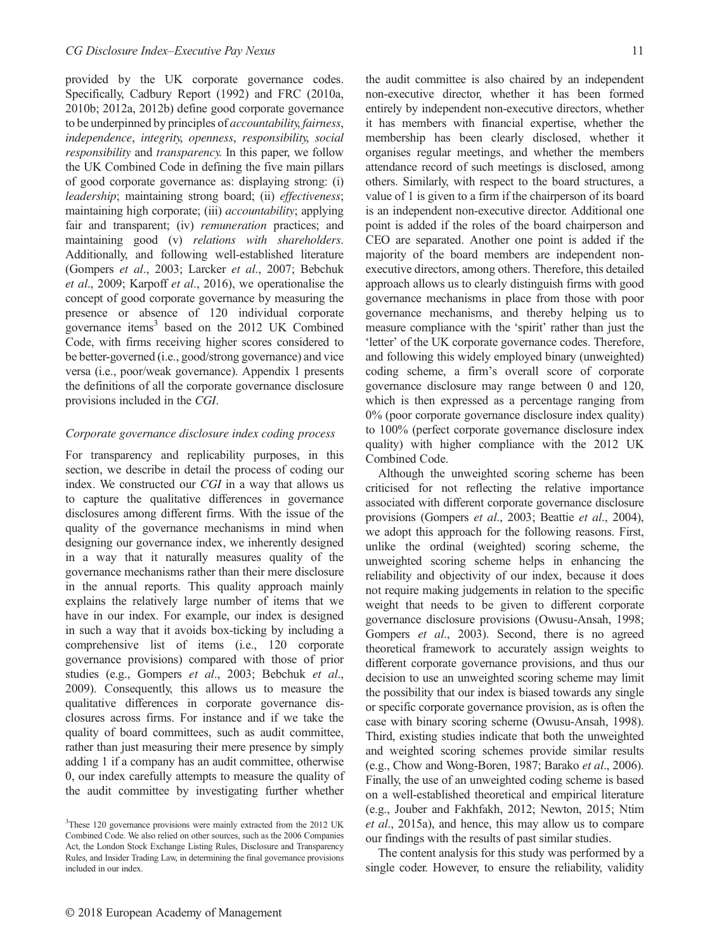provided by the UK corporate governance codes. Specifically, Cadbury Report (1992) and FRC (2010a, 2010b; 2012a, 2012b) define good corporate governance to be underpinned by principles of *accountability*, *fairness*, *independence*, *integrity*, *openness*, *responsibility*, *social responsibility* and *transparency*. In this paper, we follow the UK Combined Code in defining the five main pillars of good corporate governance as: displaying strong: (i) *leadership*; maintaining strong board; (ii) *effectiveness*; maintaining high corporate; (iii) *accountability*; applying fair and transparent; (iv) *remuneration* practices; and maintaining good (v) *relations with shareholders*. Additionally, and following well-established literature (Gompers *et al*., 2003; Larcker *et al*., 2007; Bebchuk *et al*., 2009; Karpoff *et al*., 2016), we operationalise the concept of good corporate governance by measuring the presence or absence of 120 individual corporate governance items<sup>3</sup> based on the 2012 UK Combined Code, with firms receiving higher scores considered to be better-governed (i.e., good/strong governance) and vice versa (i.e., poor/weak governance). Appendix 1 presents the definitions of all the corporate governance disclosure provisions included in the *CGI*.

#### *Corporate governance disclosure index coding process*

For transparency and replicability purposes, in this section, we describe in detail the process of coding our index. We constructed our *CGI* in a way that allows us to capture the qualitative differences in governance disclosures among different firms. With the issue of the quality of the governance mechanisms in mind when designing our governance index, we inherently designed in a way that it naturally measures quality of the governance mechanisms rather than their mere disclosure in the annual reports. This quality approach mainly explains the relatively large number of items that we have in our index. For example, our index is designed in such a way that it avoids box-ticking by including a comprehensive list of items (i.e., 120 corporate governance provisions) compared with those of prior studies (e.g., Gompers *et al*., 2003; Bebchuk *et al*., 2009). Consequently, this allows us to measure the qualitative differences in corporate governance disclosures across firms. For instance and if we take the quality of board committees, such as audit committee, rather than just measuring their mere presence by simply adding 1 if a company has an audit committee, otherwise 0, our index carefully attempts to measure the quality of the audit committee by investigating further whether

the audit committee is also chaired by an independent non-executive director, whether it has been formed entirely by independent non-executive directors, whether it has members with financial expertise, whether the membership has been clearly disclosed, whether it organises regular meetings, and whether the members attendance record of such meetings is disclosed, among others. Similarly, with respect to the board structures, a value of 1 is given to a firm if the chairperson of its board is an independent non-executive director. Additional one point is added if the roles of the board chairperson and CEO are separated. Another one point is added if the majority of the board members are independent nonexecutive directors, among others. Therefore, this detailed approach allows us to clearly distinguish firms with good governance mechanisms in place from those with poor governance mechanisms, and thereby helping us to measure compliance with the 'spirit' rather than just the 'letter' of the UK corporate governance codes. Therefore, and following this widely employed binary (unweighted) coding scheme, a firm's overall score of corporate governance disclosure may range between 0 and 120, which is then expressed as a percentage ranging from 0% (poor corporate governance disclosure index quality) to 100% (perfect corporate governance disclosure index quality) with higher compliance with the 2012 UK Combined Code.

Although the unweighted scoring scheme has been criticised for not reflecting the relative importance associated with different corporate governance disclosure provisions (Gompers *et al*., 2003; Beattie *et al*., 2004), we adopt this approach for the following reasons. First, unlike the ordinal (weighted) scoring scheme, the unweighted scoring scheme helps in enhancing the reliability and objectivity of our index, because it does not require making judgements in relation to the specific weight that needs to be given to different corporate governance disclosure provisions (Owusu-Ansah, 1998; Gompers *et al*., 2003). Second, there is no agreed theoretical framework to accurately assign weights to different corporate governance provisions, and thus our decision to use an unweighted scoring scheme may limit the possibility that our index is biased towards any single or specific corporate governance provision, as is often the case with binary scoring scheme (Owusu-Ansah, 1998). Third, existing studies indicate that both the unweighted and weighted scoring schemes provide similar results (e.g., Chow and Wong-Boren, 1987; Barako *et al*., 2006). Finally, the use of an unweighted coding scheme is based on a well-established theoretical and empirical literature (e.g., Jouber and Fakhfakh, 2012; Newton, 2015; Ntim *et al*., 2015a), and hence, this may allow us to compare our findings with the results of past similar studies.

The content analysis for this study was performed by a single coder. However, to ensure the reliability, validity

<sup>&</sup>lt;sup>3</sup>These 120 governance provisions were mainly extracted from the 2012 UK Combined Code. We also relied on other sources, such as the 2006 Companies Act, the London Stock Exchange Listing Rules, Disclosure and Transparency Rules, and Insider Trading Law, in determining the final governance provisions included in our index.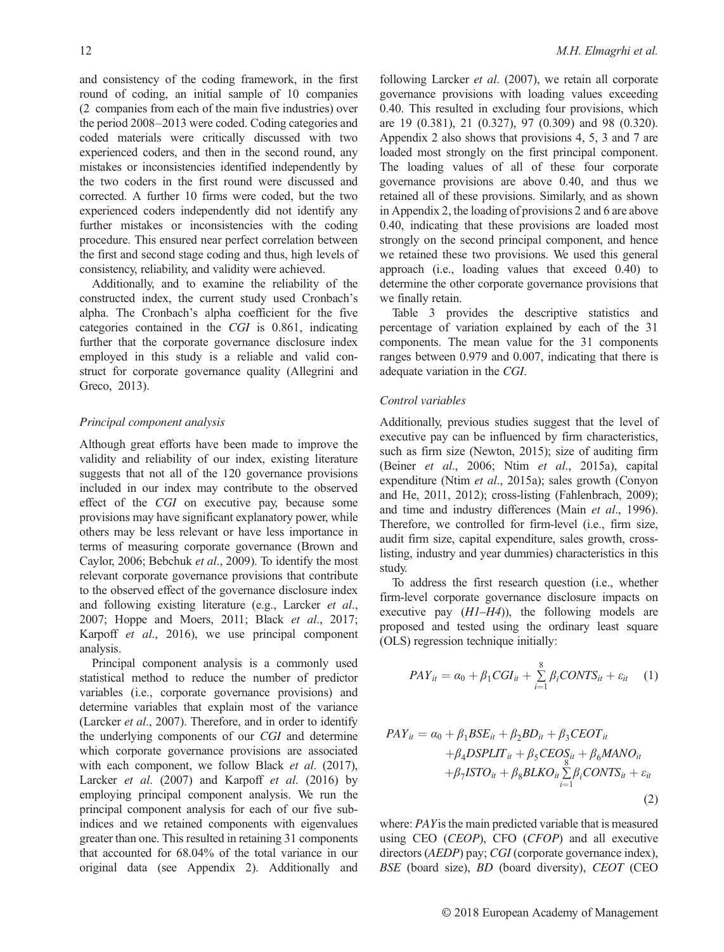and consistency of the coding framework, in the first round of coding, an initial sample of 10 companies (2 companies from each of the main five industries) over the period 2008–2013 were coded. Coding categories and coded materials were critically discussed with two experienced coders, and then in the second round, any mistakes or inconsistencies identified independently by the two coders in the first round were discussed and corrected. A further 10 firms were coded, but the two experienced coders independently did not identify any further mistakes or inconsistencies with the coding procedure. This ensured near perfect correlation between the first and second stage coding and thus, high levels of consistency, reliability, and validity were achieved.

Additionally, and to examine the reliability of the constructed index, the current study used Cronbach's alpha. The Cronbach's alpha coefficient for the five categories contained in the *CGI* is 0.861, indicating further that the corporate governance disclosure index employed in this study is a reliable and valid construct for corporate governance quality (Allegrini and Greco, 2013).

#### *Principal component analysis*

Although great efforts have been made to improve the validity and reliability of our index, existing literature suggests that not all of the 120 governance provisions included in our index may contribute to the observed effect of the *CGI* on executive pay, because some provisions may have significant explanatory power, while others may be less relevant or have less importance in terms of measuring corporate governance (Brown and Caylor, 2006; Bebchuk *et al*., 2009). To identify the most relevant corporate governance provisions that contribute to the observed effect of the governance disclosure index and following existing literature (e.g., Larcker *et al*., 2007; Hoppe and Moers, 2011; Black *et al*., 2017; Karpoff *et al*., 2016), we use principal component analysis.

Principal component analysis is a commonly used statistical method to reduce the number of predictor variables (i.e., corporate governance provisions) and determine variables that explain most of the variance (Larcker *et al*., 2007). Therefore, and in order to identify the underlying components of our *CGI* and determine which corporate governance provisions are associated with each component, we follow Black *et al*. (2017), Larcker *et al*. (2007) and Karpoff *et al*. (2016) by employing principal component analysis. We run the principal component analysis for each of our five subindices and we retained components with eigenvalues greater than one. This resulted in retaining 31 components that accounted for 68.04% of the total variance in our original data (see Appendix 2). Additionally and

following Larcker *et al*. (2007), we retain all corporate governance provisions with loading values exceeding 0.40. This resulted in excluding four provisions, which are 19 (0.381), 21 (0.327), 97 (0.309) and 98 (0.320). Appendix 2 also shows that provisions 4, 5, 3 and 7 are loaded most strongly on the first principal component. The loading values of all of these four corporate governance provisions are above 0.40, and thus we retained all of these provisions. Similarly, and as shown in Appendix 2, the loading of provisions 2 and 6 are above 0.40, indicating that these provisions are loaded most strongly on the second principal component, and hence we retained these two provisions. We used this general approach (i.e., loading values that exceed 0.40) to determine the other corporate governance provisions that we finally retain.

Table 3 provides the descriptive statistics and percentage of variation explained by each of the 31 components. The mean value for the 31 components ranges between 0.979 and 0.007, indicating that there is adequate variation in the *CGI*.

#### *Control variables*

Additionally, previous studies suggest that the level of executive pay can be influenced by firm characteristics, such as firm size (Newton, 2015); size of auditing firm (Beiner *et al*., 2006; Ntim *et al*., 2015a), capital expenditure (Ntim *et al*., 2015a); sales growth (Conyon and He, 2011, 2012); cross-listing (Fahlenbrach, 2009); and time and industry differences (Main *et al*., 1996). Therefore, we controlled for firm-level (i.e., firm size, audit firm size, capital expenditure, sales growth, crosslisting, industry and year dummies) characteristics in this study.

To address the first research question (i.e., whether firm-level corporate governance disclosure impacts on executive pay (*H1–H4*)), the following models are proposed and tested using the ordinary least square (OLS) regression technique initially:

$$
PAY_{it} = \alpha_0 + \beta_1 CGI_{it} + \sum_{i=1}^{8} \beta_i CONTS_{it} + \varepsilon_{it} \qquad (1)
$$

$$
PAY_{it} = \alpha_0 + \beta_1 BSE_{it} + \beta_2 BD_{it} + \beta_3 CEOT_{it}
$$
  
+ $\beta_4 DSPLIT_{it} + \beta_5 CEOS_{it} + \beta_6 MANO_{it}$   
+ $\beta_7 ISTO_{it} + \beta_8 BLKO_{it} \sum_{i=1}^{8} \beta_i CONTS_{it} + \varepsilon_{it}$   
(2)

where: *PAY*is the main predicted variable that is measured using CEO (*CEOP*), CFO (*CFOP*) and all executive directors (*AEDP*) pay; *CGI* (corporate governance index), *BSE* (board size), *BD* (board diversity), *CEOT* (CEO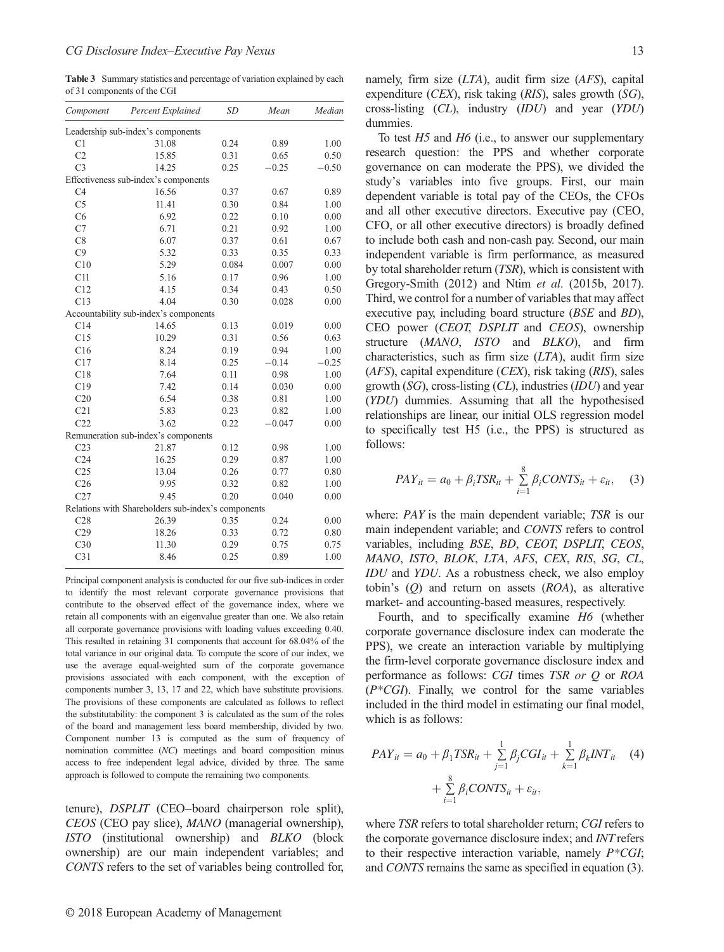**Table 3** Summary statistics and percentage of variation explained by each of 31 components of the CGI

| Component       | Percent Explained                                  | SD    | Mean     | Median  |
|-----------------|----------------------------------------------------|-------|----------|---------|
|                 | Leadership sub-index's components                  |       |          |         |
| C1              | 31.08                                              | 0.24  | 0.89     | 1.00    |
| C <sub>2</sub>  | 15.85                                              | 0.31  | 0.65     | 0.50    |
| C <sub>3</sub>  | 14.25                                              | 0.25  | $-0.25$  | $-0.50$ |
|                 | Effectiveness sub-index's components               |       |          |         |
| C <sub>4</sub>  | 16.56                                              | 0.37  | 0.67     | 0.89    |
| C <sub>5</sub>  | 11.41                                              | 0.30  | 0.84     | 1.00    |
| C6              | 6.92                                               | 0.22  | 0.10     | 0.00    |
| C7              | 6.71                                               | 0.21  | 0.92     | 1.00    |
| C8              | 6.07                                               | 0.37  | 0.61     | 0.67    |
| C9              | 5.32                                               | 0.33  | 0.35     | 0.33    |
| C10             | 5.29                                               | 0.084 | 0.007    | 0.00    |
| C11             | 5.16                                               | 0.17  | 0.96     | 1.00    |
| C12             | 4.15                                               | 0.34  | 0.43     | 0.50    |
| C13             | 4.04                                               | 0.30  | 0.028    | 0.00    |
|                 | Accountability sub-index's components              |       |          |         |
| C14             | 14.65                                              | 0.13  | 0.019    | 0.00    |
| C15             | 10.29                                              | 0.31  | 0.56     | 0.63    |
| C16             | 8.24                                               | 0.19  | 0.94     | 1.00    |
| C17             | 8.14                                               | 0.25  | $-0.14$  | $-0.25$ |
| C18             | 7.64                                               | 0.11  | 0.98     | 1.00    |
| C19             | 7.42                                               | 0.14  | 0.030    | 0.00    |
| C20             | 6.54                                               | 0.38  | 0.81     | 1.00    |
| C21             | 5.83                                               | 0.23  | 0.82     | 1.00    |
| C22             | 3.62                                               | 0.22  | $-0.047$ | 0.00    |
|                 | Remuneration sub-index's components                |       |          |         |
| C23             | 21.87                                              | 0.12  | 0.98     | 1.00    |
| C <sub>24</sub> | 16.25                                              | 0.29  | 0.87     | 1.00    |
| C <sub>25</sub> | 13.04                                              | 0.26  | 0.77     | 0.80    |
| C <sub>26</sub> | 9.95                                               | 0.32  | 0.82     | 1.00    |
| C27             | 9.45                                               | 0.20  | 0.040    | 0.00    |
|                 | Relations with Shareholders sub-index's components |       |          |         |
| C28             | 26.39                                              | 0.35  | 0.24     | 0.00    |
| C29             | 18.26                                              | 0.33  | 0.72     | 0.80    |
| C30             | 11.30                                              | 0.29  | 0.75     | 0.75    |
| C <sub>31</sub> | 8.46                                               | 0.25  | 0.89     | 1.00    |
|                 |                                                    |       |          |         |

Principal component analysis is conducted for our five sub-indices in order to identify the most relevant corporate governance provisions that contribute to the observed effect of the governance index, where we retain all components with an eigenvalue greater than one. We also retain all corporate governance provisions with loading values exceeding 0.40. This resulted in retaining 31 components that account for 68.04% of the total variance in our original data. To compute the score of our index, we use the average equal-weighted sum of the corporate governance provisions associated with each component, with the exception of components number 3, 13, 17 and 22, which have substitute provisions. The provisions of these components are calculated as follows to reflect the substitutability: the component 3 is calculated as the sum of the roles of the board and management less board membership, divided by two. Component number 13 is computed as the sum of frequency of nomination committee (*NC*) meetings and board composition minus access to free independent legal advice, divided by three. The same approach is followed to compute the remaining two components.

tenure), *DSPLIT* (CEO–board chairperson role split), *CEOS* (CEO pay slice), *MANO* (managerial ownership), *ISTO* (institutional ownership) and *BLKO* (block ownership) are our main independent variables; and *CONTS* refers to the set of variables being controlled for,

namely, firm size (*LTA*), audit firm size (*AFS*), capital expenditure (*CEX*), risk taking (*RIS*), sales growth (*SG*), cross-listing (*CL*), industry (*IDU*) and year (*YDU*) dummies.

To test *H5* and *H6* (i.e., to answer our supplementary research question: the PPS and whether corporate governance on can moderate the PPS), we divided the study's variables into five groups. First, our main dependent variable is total pay of the CEOs, the CFOs and all other executive directors. Executive pay (CEO, CFO, or all other executive directors) is broadly defined to include both cash and non-cash pay. Second, our main independent variable is firm performance, as measured by total shareholder return (*TSR*), which is consistent with Gregory-Smith (2012) and Ntim *et al*. (2015b, 2017). Third, we control for a number of variables that may affect executive pay, including board structure (*BSE* and *BD*), CEO power (*CEOT*, *DSPLIT* and *CEOS*), ownership structure (*MANO*, *ISTO* and *BLKO*), and firm characteristics, such as firm size (*LTA*), audit firm size (*AFS*), capital expenditure (*CEX*), risk taking (*RIS*), sales growth (*SG*), cross-listing (*CL*), industries (*IDU*) and year (*YDU*) dummies. Assuming that all the hypothesised relationships are linear, our initial OLS regression model to specifically test H5 (i.e., the PPS) is structured as follows:

$$
PAY_{it} = a_0 + \beta_i TSR_{it} + \sum_{i=1}^{8} \beta_i CONTS_{it} + \varepsilon_{it}, \quad (3)
$$

where: *PAY* is the main dependent variable; *TSR* is our main independent variable; and *CONTS* refers to control variables, including *BSE*, *BD*, *CEOT*, *DSPLIT*, *CEOS*, *MANO*, *ISTO*, *BLOK*, *LTA*, *AFS*, *CEX*, *RIS*, *SG*, *CL*, *IDU* and *YDU*. As a robustness check, we also employ tobin's (*Q*) and return on assets (*ROA*), as alterative market- and accounting-based measures, respectively.

Fourth, and to specifically examine *H6* (whether corporate governance disclosure index can moderate the PPS), we create an interaction variable by multiplying the firm-level corporate governance disclosure index and performance as follows: *CGI* times *TSR or Q* or *ROA* (*P\*CGI*). Finally, we control for the same variables included in the third model in estimating our final model, which is as follows:

$$
PAY_{it} = a_0 + \beta_1 TSR_{it} + \sum_{j=1}^{1} \beta_j CGI_{it} + \sum_{k=1}^{1} \beta_k INT_{it}
$$
 (4)  
+ 
$$
\sum_{i=1}^{8} \beta_i CONTS_{it} + \varepsilon_{it},
$$

where *TSR* refers to total shareholder return; *CGI* refers to the corporate governance disclosure index; and *INT* refers to their respective interaction variable, namely *P\*CGI*; and *CONTS* remains the same as specified in equation (3).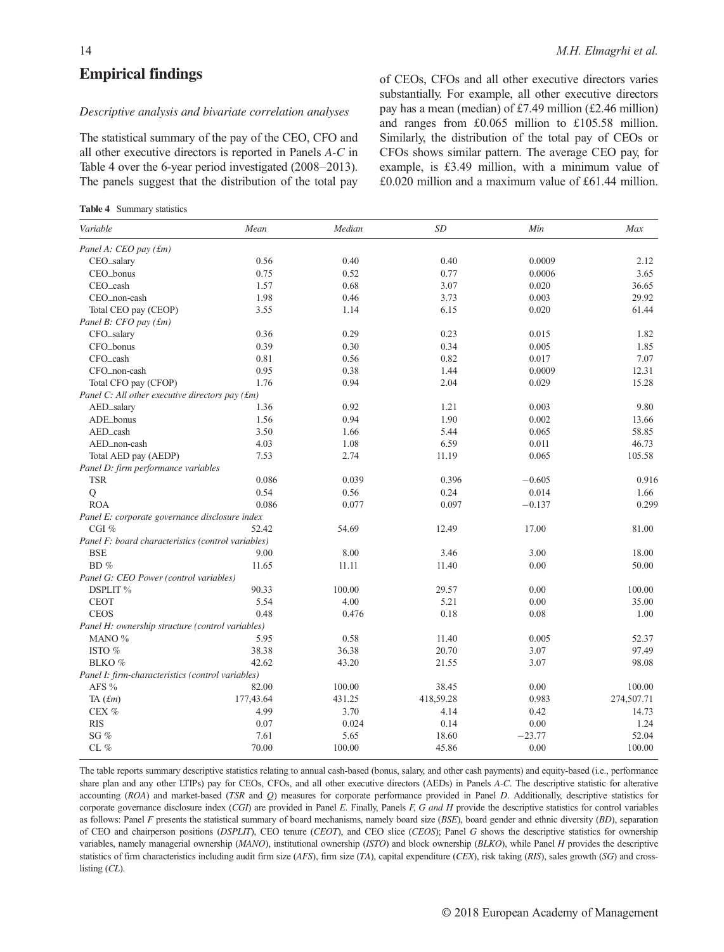# **Empirical findings**

#### *Descriptive analysis and bivariate correlation analyses*

The statistical summary of the pay of the CEO, CFO and all other executive directors is reported in Panels *A-C* in Table 4 over the 6-year period investigated (2008–2013). The panels suggest that the distribution of the total pay

**Table 4** Summary statistics

of CEOs, CFOs and all other executive directors varies substantially. For example, all other executive directors pay has a mean (median) of £7.49 million (£2.46 million) and ranges from £0.065 million to £105.58 million. Similarly, the distribution of the total pay of CEOs or CFOs shows similar pattern. The average CEO pay, for example, is £3.49 million, with a minimum value of £0.020 million and a maximum value of £61.44 million.

| Variable                                           | Mean      | Median | SD        | Min      | Max        |
|----------------------------------------------------|-----------|--------|-----------|----------|------------|
| Panel A: CEO pay (£m)                              |           |        |           |          |            |
| CEO_salary                                         | 0.56      | 0.40   | 0.40      | 0.0009   | 2.12       |
| CEO_bonus                                          | 0.75      | 0.52   | 0.77      | 0.0006   | 3.65       |
| CEO_cash                                           | 1.57      | 0.68   | 3.07      | 0.020    | 36.65      |
| CEO_non-cash                                       | 1.98      | 0.46   | 3.73      | 0.003    | 29.92      |
| Total CEO pay (CEOP)                               | 3.55      | 1.14   | 6.15      | 0.020    | 61.44      |
| Panel B: CFO pay (£m)                              |           |        |           |          |            |
| CFO_salary                                         | 0.36      | 0.29   | 0.23      | 0.015    | 1.82       |
| CFO_bonus                                          | 0.39      | 0.30   | 0.34      | 0.005    | 1.85       |
| CFO_cash                                           | 0.81      | 0.56   | 0.82      | 0.017    | 7.07       |
| CFO_non-cash                                       | 0.95      | 0.38   | 1.44      | 0.0009   | 12.31      |
| Total CFO pay (CFOP)                               | 1.76      | 0.94   | 2.04      | 0.029    | 15.28      |
| Panel C: All other executive directors pay $(fm)$  |           |        |           |          |            |
| AED_salary                                         | 1.36      | 0.92   | 1.21      | 0.003    | 9.80       |
| ADE_bonus                                          | 1.56      | 0.94   | 1.90      | 0.002    | 13.66      |
| AED_cash                                           | 3.50      | 1.66   | 5.44      | 0.065    | 58.85      |
| AED_non-cash                                       | 4.03      | 1.08   | 6.59      | 0.011    | 46.73      |
| Total AED pay (AEDP)                               | 7.53      | 2.74   | 11.19     | 0.065    | 105.58     |
| Panel D: firm performance variables                |           |        |           |          |            |
| <b>TSR</b>                                         | 0.086     | 0.039  | 0.396     | $-0.605$ | 0.916      |
| Q                                                  | 0.54      | 0.56   | 0.24      | 0.014    | 1.66       |
| <b>ROA</b>                                         | 0.086     | 0.077  | 0.097     | $-0.137$ | 0.299      |
| Panel E: corporate governance disclosure index     |           |        |           |          |            |
| CGI $%$                                            | 52.42     | 54.69  | 12.49     | 17.00    | 81.00      |
| Panel F: board characteristics (control variables) |           |        |           |          |            |
| <b>BSE</b>                                         | 9.00      | 8.00   | 3.46      | 3.00     | 18.00      |
| BD%                                                | 11.65     | 11.11  | 11.40     | 0.00     | 50.00      |
| Panel G: CEO Power (control variables)             |           |        |           |          |            |
| DSPLIT %                                           | 90.33     | 100.00 | 29.57     | 0.00     | 100.00     |
| <b>CEOT</b>                                        | 5.54      | 4.00   | 5.21      | 0.00     | 35.00      |
| <b>CEOS</b>                                        | 0.48      | 0.476  | 0.18      | 0.08     | 1.00       |
| Panel H: ownership structure (control variables)   |           |        |           |          |            |
| MANO%                                              | 5.95      | 0.58   | 11.40     | 0.005    | 52.37      |
| ISTO %                                             | 38.38     | 36.38  | 20.70     | 3.07     | 97.49      |
| BLKO %                                             | 42.62     | 43.20  | 21.55     | 3.07     | 98.08      |
| Panel I: firm-characteristics (control variables)  |           |        |           |          |            |
| AFS %                                              | 82.00     | 100.00 | 38.45     | 0.00     | 100.00     |
| TA(fm)                                             | 177,43.64 | 431.25 | 418,59.28 | 0.983    | 274,507.71 |
| CEX %                                              | 4.99      | 3.70   | 4.14      | 0.42     | 14.73      |
| <b>RIS</b>                                         | 0.07      | 0.024  | 0.14      | 0.00     | 1.24       |
| SG %                                               | 7.61      | 5.65   | 18.60     | $-23.77$ | 52.04      |
| CL $\%$                                            | 70.00     | 100.00 | 45.86     | 0.00     | 100.00     |

The table reports summary descriptive statistics relating to annual cash-based (bonus, salary, and other cash payments) and equity-based (i.e., performance share plan and any other LTIPs) pay for CEOs, CFOs, and all other executive directors (AEDs) in Panels *A-C*. The descriptive statistic for alterative accounting (*ROA*) and market-based (*TSR* and *Q*) measures for corporate performance provided in Panel *D*. Additionally, descriptive statistics for corporate governance disclosure index (*CGI*) are provided in Panel *E*. Finally, Panels *F*, *G and H* provide the descriptive statistics for control variables as follows: Panel *F* presents the statistical summary of board mechanisms, namely board size (*BSE*), board gender and ethnic diversity (*BD*), separation of CEO and chairperson positions (*DSPLIT*), CEO tenure (*CEOT*), and CEO slice (*CEOS*); Panel *G* shows the descriptive statistics for ownership variables, namely managerial ownership (*MANO*), institutional ownership (*ISTO*) and block ownership (*BLKO*), while Panel *H* provides the descriptive statistics of firm characteristics including audit firm size (*AFS*), firm size (*TA*), capital expenditure (*CEX*), risk taking (*RIS*), sales growth (*SG*) and crosslisting (*CL*).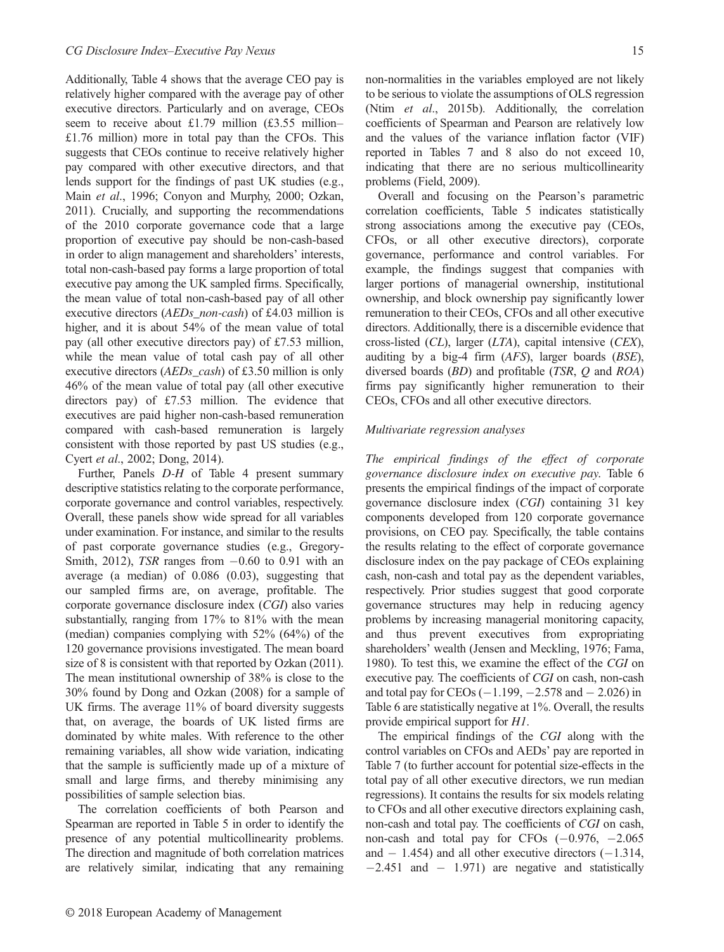Additionally, Table 4 shows that the average CEO pay is relatively higher compared with the average pay of other executive directors. Particularly and on average, CEOs seem to receive about £1.79 million  $(E3.55 \text{ million} -$ £1.76 million) more in total pay than the CFOs. This suggests that CEOs continue to receive relatively higher pay compared with other executive directors, and that lends support for the findings of past UK studies (e.g., Main *et al*., 1996; Conyon and Murphy, 2000; Ozkan, 2011). Crucially, and supporting the recommendations of the 2010 corporate governance code that a large proportion of executive pay should be non-cash-based in order to align management and shareholders' interests, total non-cash-based pay forms a large proportion of total executive pay among the UK sampled firms. Specifically, the mean value of total non-cash-based pay of all other executive directors (*AEDs\_non-cash*) of £4.03 million is higher, and it is about 54% of the mean value of total pay (all other executive directors pay) of £7.53 million, while the mean value of total cash pay of all other executive directors (*AEDs\_cash*) of £3.50 million is only 46% of the mean value of total pay (all other executive directors pay) of £7.53 million. The evidence that executives are paid higher non-cash-based remuneration compared with cash-based remuneration is largely consistent with those reported by past US studies (e.g., Cyert *et al*., 2002; Dong, 2014).

Further, Panels *D-H* of Table 4 present summary descriptive statistics relating to the corporate performance, corporate governance and control variables, respectively. Overall, these panels show wide spread for all variables under examination. For instance, and similar to the results of past corporate governance studies (e.g., Gregory-Smith, 2012), *TSR* ranges from  $-0.60$  to 0.91 with an average (a median) of 0.086 (0.03), suggesting that our sampled firms are, on average, profitable. The corporate governance disclosure index (*CGI*) also varies substantially, ranging from 17% to 81% with the mean (median) companies complying with 52% (64%) of the 120 governance provisions investigated. The mean board size of 8 is consistent with that reported by Ozkan (2011). The mean institutional ownership of 38% is close to the 30% found by Dong and Ozkan (2008) for a sample of UK firms. The average 11% of board diversity suggests that, on average, the boards of UK listed firms are dominated by white males. With reference to the other remaining variables, all show wide variation, indicating that the sample is sufficiently made up of a mixture of small and large firms, and thereby minimising any possibilities of sample selection bias.

The correlation coefficients of both Pearson and Spearman are reported in Table 5 in order to identify the presence of any potential multicollinearity problems. The direction and magnitude of both correlation matrices are relatively similar, indicating that any remaining

non-normalities in the variables employed are not likely to be serious to violate the assumptions of OLS regression (Ntim *et al*., 2015b). Additionally, the correlation coefficients of Spearman and Pearson are relatively low and the values of the variance inflation factor (VIF) reported in Tables 7 and 8 also do not exceed 10, indicating that there are no serious multicollinearity problems (Field, 2009).

Overall and focusing on the Pearson's parametric correlation coefficients, Table 5 indicates statistically strong associations among the executive pay (CEOs, CFOs, or all other executive directors), corporate governance, performance and control variables. For example, the findings suggest that companies with larger portions of managerial ownership, institutional ownership, and block ownership pay significantly lower remuneration to their CEOs, CFOs and all other executive directors. Additionally, there is a discernible evidence that cross-listed (*CL*), larger (*LTA*), capital intensive (*CEX*), auditing by a big-4 firm (*AFS*), larger boards (*BSE*), diversed boards (*BD*) and profitable (*TSR*, *Q* and *ROA*) firms pay significantly higher remuneration to their CEOs, CFOs and all other executive directors.

#### *Multivariate regression analyses*

*The empirical findings of the effect of corporate governance disclosure index on executive pay.* Table 6 presents the empirical findings of the impact of corporate governance disclosure index (*CGI*) containing 31 key components developed from 120 corporate governance provisions, on CEO pay. Specifically, the table contains the results relating to the effect of corporate governance disclosure index on the pay package of CEOs explaining cash, non-cash and total pay as the dependent variables, respectively. Prior studies suggest that good corporate governance structures may help in reducing agency problems by increasing managerial monitoring capacity, and thus prevent executives from expropriating shareholders' wealth (Jensen and Meckling, 1976; Fama, 1980). To test this, we examine the effect of the *CGI* on executive pay. The coefficients of *CGI* on cash, non-cash and total pay for CEOs  $(-1.199, -2.578 \text{ and } -2.026)$  in Table 6 are statistically negative at 1%. Overall, the results provide empirical support for *H1*.

The empirical findings of the *CGI* along with the control variables on CFOs and AEDs' pay are reported in Table 7 (to further account for potential size-effects in the total pay of all other executive directors, we run median regressions). It contains the results for six models relating to CFOs and all other executive directors explaining cash, non-cash and total pay. The coefficients of *CGI* on cash, non-cash and total pay for CFOs  $(-0.976, -2.065)$ and  $-1.454$ ) and all other executive directors  $(-1.314, ...)$  $-2.451$  and  $-1.971$  are negative and statistically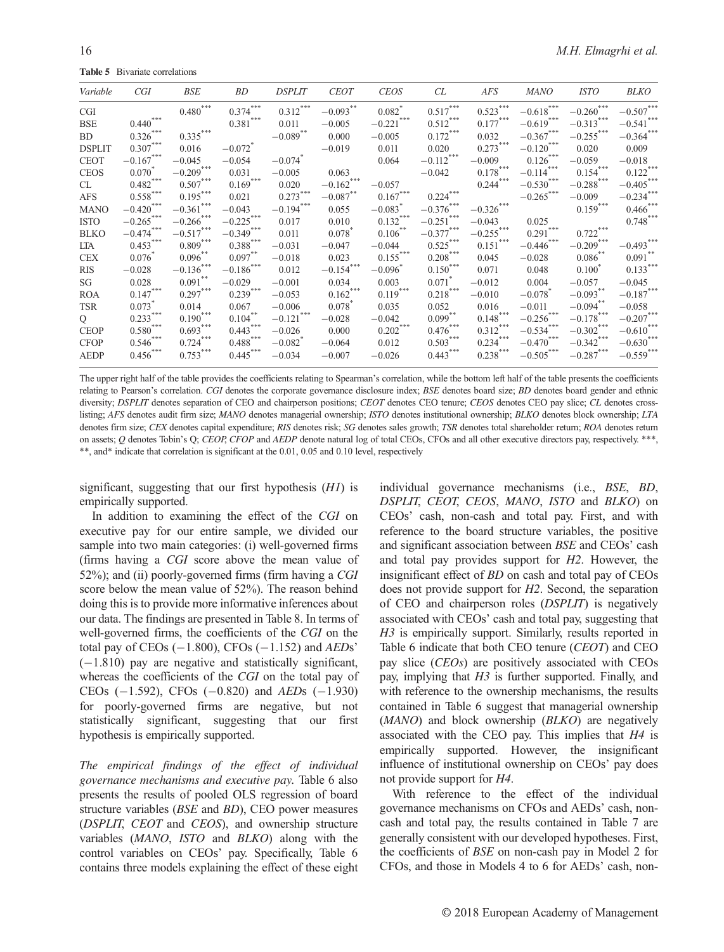**Table 5** Bivariate correlations

| Variable      | CGI                     | BSE          | BD                    | <i>DSPLIT</i>         | <b>CEOT</b>  | <b>CEOS</b>          | CL                   | AFS          | <i>MANO</i>           | <i>ISTO</i>  | BLKO         |
|---------------|-------------------------|--------------|-----------------------|-----------------------|--------------|----------------------|----------------------|--------------|-----------------------|--------------|--------------|
| CGI           |                         | $0.480***$   | $0.374***$            | $0.312***$            | $-0.093***$  | $0.082$ <sup>*</sup> | $0.517***$           | $0.523***$   | $-0.618***$           | $-0.260$ *** | $-0.507***$  |
| <b>BSE</b>    | $0.440***$              |              | $0.381$ ***           | 0.011                 | $-0.005$     | $-0.221$ ***         | $0.512***$           | $0.177***$   | $-0.619$ ***          | $-0.313***$  | $-0.541$ *** |
| <b>BD</b>     | $0.326***$              | $0.335***$   |                       | $-0.089$ **           | 0.000        | $-0.005$             | $0.172***$           | 0.032        | $-0.367$ ***          | $-0.255***$  | $-0.364$ *** |
| <b>DSPLIT</b> | $0.307***$              | 0.016        | $-0.072$ <sup>*</sup> |                       | $-0.019$     | 0.011                | 0.020                | $0.273***$   | $-0.120$ ***          | 0.020        | 0.009        |
| <b>CEOT</b>   | $-0.167$ ***            | $-0.045$     | $-0.054$              | $-0.074$              |              | 0.064                | $-0.112$ ***         | $-0.009$     | $0.126***$            | $-0.059$     | $-0.018$     |
| <b>CEOS</b>   | $0.070*$                | $-0.209$ *** | 0.031                 | $-0.005$              | 0.063        |                      | $-0.042$             | $0.178***$   | $-0.114***$           | $0.154***$   | $0.122***$   |
| CL            | $0.482***$              | $0.507***$   | $0.169***$            | 0.020                 | $-0.162$ *** | $-0.057$             |                      | $0.244$ ***  | $-0.530$ ***          | $-0.288$ *** | $-0.405$ *** |
| AFS           | $0.558***$              | $0.195***$   | 0.021                 | $0.273***$            | $-0.087$ **  | $0.167***$           | $0.224***$           |              | $-0.265$ ***          | $-0.009$     | $-0.234***$  |
| <b>MANO</b>   | $-0.420$ <sup>***</sup> | $-0.361$ *** | $-0.043$              | $-0.194***$           | 0.055        | $-0.083^{*}$         | $-0.376$ ***         | $-0.326$ *** |                       | $0.159***$   | $0.466$ ***  |
| <b>ISTO</b>   | $-0.265$ ***            | $-0.266$ *** | $-0.225$ ***          | 0.017                 | 0.010        | $0.132***$           | $-0.251$ ***         | $-0.043$     | 0.025                 |              | $0.748***$   |
| <b>BLKO</b>   | $-0.474***$             | $-0.517***$  | $-0.349***$           | 0.011                 | $0.078*$     | $0.106***$           | $-0.377***$          | $-0.255$ *** | $0.291***$            | $0.722***$   |              |
| LTA           | $0.453***$              | $0.809***$   | $0.388$ ***           | $-0.031$              | $-0.047$     | $-0.044$             | $0.525***$           | $0.151***$   | $-0.446$ ***          | $-0.209$ *** | $-0.493$ *** |
| <b>CEX</b>    | $0.076*$                | $0.096^{**}$ | $0.097***$            | $-0.018$              | 0.023        | $0.155***$           | $0.208***$           | 0.045        | $-0.028$              | $0.086^{**}$ | $0.091***$   |
| <b>RIS</b>    | $-0.028$                | $-0.136***$  | $-0.186$ ***          | 0.012                 | $-0.154***$  | $-0.096*$            | $0.150***$           | 0.071        | 0.048                 | $0.100^*$    | $0.133***$   |
| SG            | 0.028                   | $0.091***$   | $-0.029$              | $-0.001$              | 0.034        | 0.003                | $0.071$ <sup>*</sup> | $-0.012$     | 0.004                 | $-0.057$     | $-0.045$     |
| <b>ROA</b>    | $0.147***$              | $0.297***$   | $0.239***$            | $-0.053$              | $0.162***$   | $0.119***$           | $0.218***$           | $-0.010$     | $-0.078$ <sup>*</sup> | $-0.093***$  | $-0.187$ *** |
| <b>TSR</b>    | $0.073*$                | 0.014        | 0.067                 | $-0.006$              | 0.078        | 0.035                | 0.052                | 0.016        | $-0.011$              | $-0.094***$  | $-0.058$     |
| Q             | $0.233***$              | $0.190***$   | $0.104***$            | $-0.121$ ***          | $-0.028$     | $-0.042$             | $0.099***$           | $0.148***$   | $-0.256$ ***          | $-0.178***$  | $-0.207$ *** |
| <b>CEOP</b>   | $0.580***$              | $0.693***$   | $0.443***$            | $-0.026$              | 0.000        | $0.202***$           | $0.476$ ***          | $0.312***$   | $-0.534***$           | $-0.302$ *** | $-0.610$ *** |
| <b>CFOP</b>   | $0.546***$              | $0.724***$   | $0.488$ ***           | $-0.082$ <sup>*</sup> | $-0.064$     | 0.012                | $0.503***$           | $0.234***$   | $-0.470$ ***          | $-0.342$ *** | $-0.630$ *** |
| <b>AEDP</b>   | $0.456***$              | $0.753***$   | $0.445***$            | $-0.034$              | $-0.007$     | $-0.026$             | $0.443***$           | $0.238$ ***  | $-0.505***$           | $-0.287$ *** | $-0.559$ *** |

The upper right half of the table provides the coefficients relating to Spearman's correlation, while the bottom left half of the table presents the coefficients relating to Pearson's correlation. *CGI* denotes the corporate governance disclosure index; *BSE* denotes board size; *BD* denotes board gender and ethnic diversity; *DSPLIT* denotes separation of CEO and chairperson positions; *CEOT* denotes CEO tenure; *CEOS* denotes CEO pay slice; *CL* denotes crosslisting; *AFS* denotes audit firm size; *MANO* denotes managerial ownership; *ISTO* denotes institutional ownership; *BLKO* denotes block ownership; *LTA* denotes firm size; *CEX* denotes capital expenditure; *RIS* denotes risk; *SG* denotes sales growth; *TSR* denotes total shareholder return; *ROA* denotes return on assets; *Q* denotes Tobin's Q; *CEOP*, *CFOP* and *AEDP* denote natural log of total CEOs, CFOs and all other executive directors pay, respectively. \*\*\*, \*\*, and\* indicate that correlation is significant at the 0.01, 0.05 and 0.10 level, respectively

significant, suggesting that our first hypothesis (*H1*) is empirically supported.

In addition to examining the effect of the *CGI* on executive pay for our entire sample, we divided our sample into two main categories: (i) well-governed firms (firms having a *CGI* score above the mean value of 52%); and (ii) poorly-governed firms (firm having a *CGI* score below the mean value of 52%). The reason behind doing this is to provide more informative inferences about our data. The findings are presented in Table 8. In terms of well-governed firms, the coefficients of the *CGI* on the total pay of CEOs (-1.800), CFOs (-1.152) and *AED*s'  $(-1.810)$  pay are negative and statistically significant, whereas the coefficients of the *CGI* on the total pay of CEOs (-1.592), CFOs (-0.820) and *AED*s (-1.930) for poorly-governed firms are negative, but not statistically significant, suggesting that our first hypothesis is empirically supported.

*The empirical findings of the effect of individual governance mechanisms and executive pay.* Table 6 also presents the results of pooled OLS regression of board structure variables (*BSE* and *BD*), CEO power measures (*DSPLIT*, *CEOT* and *CEOS*), and ownership structure variables (*MANO*, *ISTO* and *BLKO*) along with the control variables on CEOs' pay. Specifically, Table 6 contains three models explaining the effect of these eight

individual governance mechanisms (i.e., *BSE*, *BD*, *DSPLIT*, *CEOT*, *CEOS*, *MANO*, *ISTO* and *BLKO*) on CEOs' cash, non-cash and total pay. First, and with reference to the board structure variables, the positive and significant association between *BSE* and CEOs' cash and total pay provides support for *H2*. However, the insignificant effect of *BD* on cash and total pay of CEOs does not provide support for *H2*. Second, the separation of CEO and chairperson roles (*DSPLIT*) is negatively associated with CEOs' cash and total pay, suggesting that *H3* is empirically support. Similarly, results reported in Table 6 indicate that both CEO tenure (*CEOT*) and CEO pay slice (*CEOs*) are positively associated with CEOs pay, implying that *H3* is further supported. Finally, and with reference to the ownership mechanisms, the results contained in Table 6 suggest that managerial ownership (*MANO*) and block ownership (*BLKO*) are negatively associated with the CEO pay. This implies that *H4* is empirically supported. However, the insignificant influence of institutional ownership on CEOs' pay does not provide support for *H4*.

With reference to the effect of the individual governance mechanisms on CFOs and AEDs' cash, noncash and total pay, the results contained in Table 7 are generally consistent with our developed hypotheses. First, the coefficients of *BSE* on non-cash pay in Model 2 for CFOs, and those in Models 4 to 6 for AEDs' cash, non-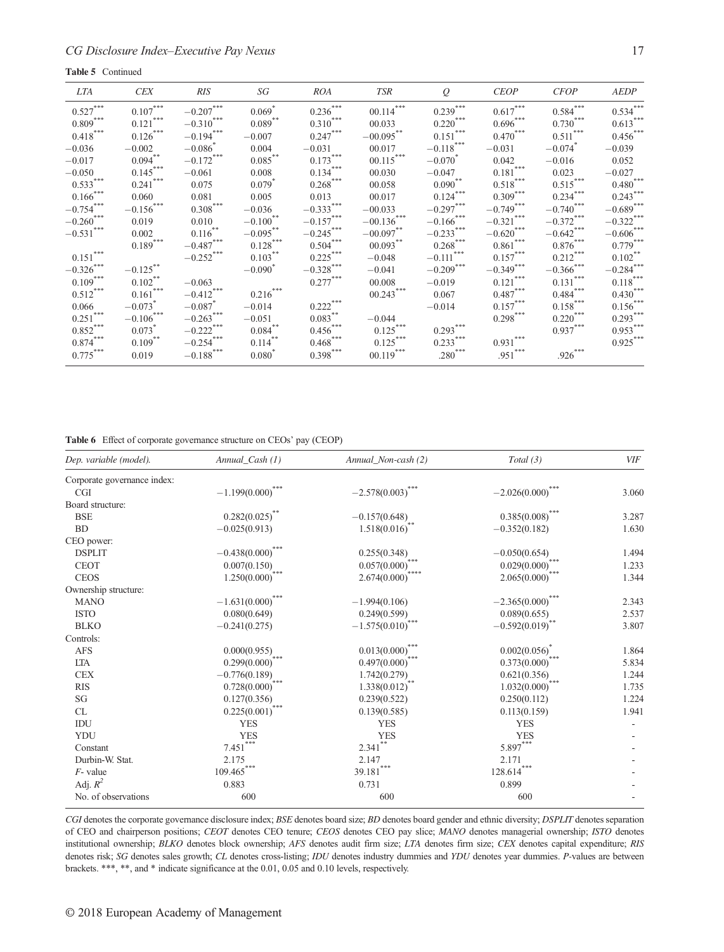#### **Table 5** Continued

| <b>LTA</b>              | <b>CEX</b>            | <b>RIS</b>   | SG                    | <b>ROA</b>   | <b>TSR</b>   | $\mathcal{Q}$           | <b>CEOP</b>  | <b>CFOP</b>           | <b>AEDP</b>          |
|-------------------------|-----------------------|--------------|-----------------------|--------------|--------------|-------------------------|--------------|-----------------------|----------------------|
| $0.527***$              | $0.107***$            | $-0.207***$  | $0.069^{*}$           | $0.236***$   | $00.114***$  | $0.239***$              | $0.617***$   | $0.584***$            | $0.534***$           |
| $0.809***$              | $0.121***$            | $-0.310$ *** | $0.089***$            | $0.310***$   | 00.033       | $0.220***$              | $0.696***$   | $0.730***$            | $0.613***$           |
| $0.418***$              | $0.126***$            | $-0.194$ *** | $-0.007$              | $0.247***$   | $-00.095***$ | $0.151***$              | $0.470***$   | $0.511***$            | $0.456***$           |
| $-0.036$                | $-0.002$              | $-0.086$     | 0.004                 | $-0.031$     | 00.017       | $-0.118***$             | $-0.031$     | $-0.074$ <sup>*</sup> | $-0.039$             |
| $-0.017$                | $0.094***$            | $-0.172$ *** | $0.085***$            | $0.173***$   | $00.115***$  | $-0.070$                | 0.042        | $-0.016$              | 0.052                |
| $-0.050$                | $0.145***$            | $-0.061$     | 0.008                 | $0.134***$   | 00.030       | $-0.047$                | $0.181***$   | 0.023                 | $-0.027$             |
| $0.533***$              | $0.241$ ***           | 0.075        | $0.079*$              | $0.268$ ***  | 00.058       | $0.090***$              | $0.518***$   | $0.515***$            | $0.480***$           |
| $0.166$ ***             | 0.060                 | 0.081        | 0.005                 | 0.013        | 00.017       | $0.124***$              | $0.309***$   | $0.234***$            | $0.243***$           |
| $-0.754***$             | $-0.156$ ***          | $0.308***$   | $-0.036$              | $-0.333$ *** | $-00.033$    | $-0.297***$             | $-0.749$ *** | $-0.740$ ***          | $-0.689^{***}\,$     |
| $-0.260$ <sup>***</sup> | 0.019                 | 0.010        | $-0.100$ **           | $-0.157$ *** | $-00.136***$ | $-0.166$ ***            | $-0.321$ *** | $-0.372$ ***          | $-0.322$ ***         |
| $-0.531$ ***            | 0.002                 | $0.116***$   | $-0.095***$           | $-0.245***$  | $-00.097***$ | $-0.233***$             | $-0.620***$  | $-0.642$ ***          | $-0.606\sp{***}$     |
|                         | $0.189***$            | $-0.487***$  | $0.128***$            | $0.504***$   | $00.093***$  | $0.268$ ***             | $0.861***$   | $0.876***$            | $0.779***$           |
| $0.151***$              |                       | $-0.252$ *** | $0.103***$            | $0.225***$   | $-0.048$     | $-0.111$ <sup>***</sup> | $0.157***$   | $0.212***$            | $0.102***$           |
| $-0.326$ ***            | $-0.125***$           |              | $-0.090$ <sup>*</sup> | $-0.328$ *** | $-0.041$     | $-0.209***$             | $-0.349***$  | $-0.366$ ***          | $-0.284\sp{***}$     |
| $0.109***$              | $0.102***$            | $-0.063$     |                       | $0.277***$   | 00.008       | $-0.019$                | $0.121$ ***  | $0.131***$            | $0.118^\mathrm{***}$ |
| $0.512***$              | $0.161***$            | $-0.412***$  | $0.216***$            |              | $00.243***$  | 0.067                   | $0.487***$   | $0.484***$            | $0.430***$           |
| 0.066                   | $-0.073$ <sup>*</sup> | $-0.087$ $*$ | $-0.014$              | $0.222***$   |              | $-0.014$                | $0.157***$   | $0.158***$            | $0.156***$           |
| $0.251***$              | $-0.106$ ***          | $-0.263$ *** | $-0.051$              | $0.083***$   | $-0.044$     |                         | $0.298$ ***  | $0.220***$            | $0.293***$           |
| $0.852***$              | $0.073$ <sup>*</sup>  | $-0.222$ *** | $0.084***$            | $0.456***$   | $0.125***$   | $0.293***$              |              | $0.937***$            | $0.953***$           |
| $0.874***$              | $0.109***$            | $-0.254$ *** | $0.114***$            | $0.468$ ***  | $0.125***$   | $0.233***$              | $0.931***$   |                       | $0.925***$           |
| $0.775***$              | 0.019                 | $-0.188$ *** | $0.080^{*}$           | $0.398***$   | $00.119***$  | $.280***$               | $.951***$    | $.926***$             |                      |

**Table 6** Effect of corporate governance structure on CEOs' pay (CEOP)

| Dep. variable (model).      | Annual Cash (1)                     | Annual Non-cash (2)                  | Total (3)                             | <b>VIF</b> |
|-----------------------------|-------------------------------------|--------------------------------------|---------------------------------------|------------|
| Corporate governance index: |                                     |                                      |                                       |            |
| <b>CGI</b>                  | $-1.199(0.000)$ ***                 | $-2.578(0.003)$ ***                  | $-2.026(0.000)$ ***                   | 3.060      |
| Board structure:            |                                     |                                      |                                       |            |
| <b>BSE</b>                  | $0.282(0.025)$ **                   | $-0.157(0.648)$                      | $0.385(0.008)$ ***                    | 3.287      |
| <b>BD</b>                   | $-0.025(0.913)$                     | 1.518(0.016)                         | $-0.352(0.182)$                       | 1.630      |
| CEO power:                  |                                     |                                      |                                       |            |
| <b>DSPLIT</b>               | $\left. -0.438(0.000\right) ^{***}$ | 0.255(0.348)                         | $-0.050(0.654)$                       | 1.494      |
| <b>CEOT</b>                 | 0.007(0.150)                        | $0.057(0.000)^*$                     |                                       | 1.233      |
| <b>CEOS</b>                 | 1.250(0.000)                        | ****<br>2.674(0.000)                 | $0.029(0.000)$ ***<br>2.065(0.000)*** | 1.344      |
| Ownership structure:        |                                     |                                      |                                       |            |
| <b>MANO</b>                 | $-1.631(0.000)$ ***                 | $-1.994(0.106)$                      | $-2.365(0.000)$ ***                   | 2.343      |
| <b>ISTO</b>                 | 0.080(0.649)                        | 0.249(0.599)                         | 0.089(0.655)                          | 2.537      |
| <b>BLKO</b>                 | $-0.241(0.275)$                     | $-1.575(0.010)$                      | $-0.592(0.019)^{n}$                   | 3.807      |
| Controls:                   |                                     |                                      |                                       |            |
| <b>AFS</b>                  | 0.000(0.955)                        | $0.013 {\left( 0.000 \right)}^{***}$ | $0.002(0.056)^*$                      | 1.864      |
| LTA                         | $0.299(0.000)^{n}$                  | $0.497(0.000)^{n}$                   | $0.373(0.000)^{***}$                  | 5.834      |
| <b>CEX</b>                  | $-0.776(0.189)$                     | 1.742(0.279)                         | 0.621(0.356)                          | 1.244      |
| <b>RIS</b>                  | $0.728(0.000)^{***}$                | $1.338(0.012)^{**}$                  | $1.032(0.000)^{***}$                  | 1.735      |
| SG                          | 0.127(0.356)                        | 0.239(0.522)                         | 0.250(0.112)                          | 1.224      |
| CL                          | 0.225(0.001)                        | 0.139(0.585)                         | 0.113(0.159)                          | 1.941      |
| IDU                         | <b>YES</b>                          | <b>YES</b>                           | <b>YES</b>                            |            |
| YDU                         | <b>YES</b>                          | <b>YES</b>                           | <b>YES</b>                            |            |
| Constant                    | 7.451                               | $2.341***$                           | $5.897***$                            |            |
| Durbin-W. Stat.             | 2.175                               | 2.147                                | 2.171                                 |            |
| $F$ - value                 | $109.465^{***}\,$                   | 39.181***                            | $128.614***$                          |            |
| Adj. $R^2$                  | 0.883                               | 0.731                                | 0.899                                 |            |
| No. of observations         | 600                                 | 600                                  | 600                                   |            |

*CGI* denotes the corporate governance disclosure index; *BSE* denotes board size; *BD* denotes board gender and ethnic diversity; *DSPLIT* denotes separation of CEO and chairperson positions; *CEOT* denotes CEO tenure; *CEOS* denotes CEO pay slice; *MANO* denotes managerial ownership; *ISTO* denotes institutional ownership; *BLKO* denotes block ownership; *AFS* denotes audit firm size; *LTA* denotes firm size; *CEX* denotes capital expenditure; *RIS* denotes risk; *SG* denotes sales growth; *CL* denotes cross-listing; *IDU* denotes industry dummies and *YDU* denotes year dummies. *P-*values are between brackets. \*\*\*, \*\*, and \* indicate significance at the 0.01, 0.05 and 0.10 levels, respectively.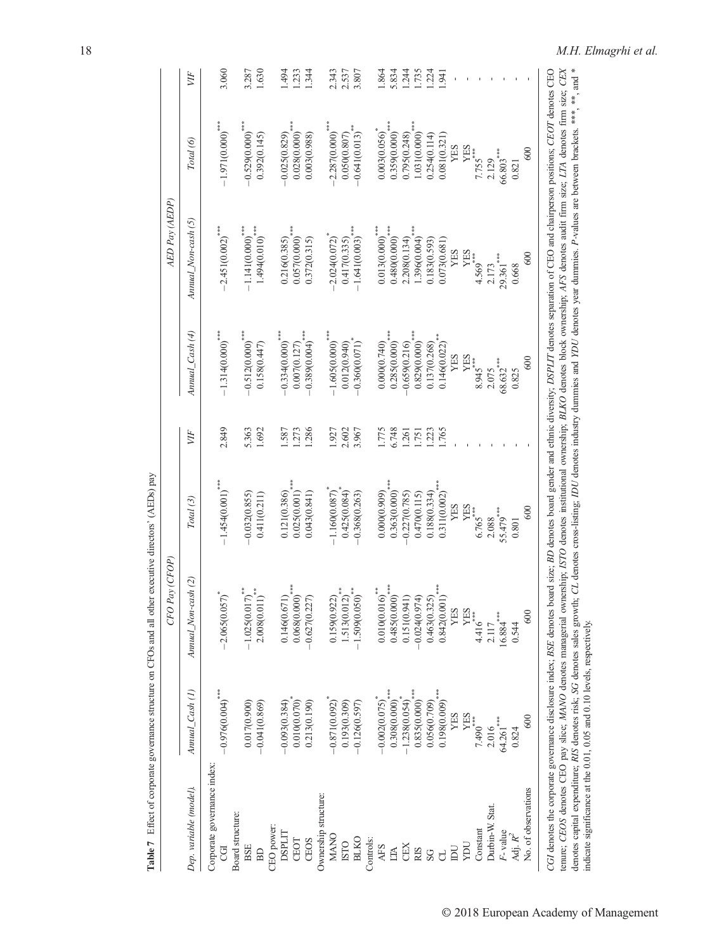| $1.494(0.010)$ ***<br>$0.013(0.000)$ ***<br>$0.480(0.000)$ ***<br>$-2.451(0.002)$ ***<br>$-1.141(0.000)$ ***<br>$0.057(0.000)$ ***<br>$-1.641(0.003)$ ***<br>$1.396(0.004)$ ***<br>$-2.024(0.072)$<br>0.216(0.385)<br>0.372(0.315)<br>0.417(0.335)<br>2.208(0.134)<br>0.183(0.593)<br>0.073(0.681)<br>YES<br><b>YES</b><br>$4.569***$<br>29.361***<br>2.173<br>0.668<br>$0.285(0.000)$ ***<br>Annual_Cash (4)<br>$-1.314(0.000)$ ***<br>$-0.389(0.004)^{***}$<br>$0.829(0.000)$ ***<br>$-0.512(0.000)$ ***<br>$-1.605(0.000)$ ***<br>$-0.334(0.000)$ ***<br>$0.146(0.022)$ **<br>$-0.360(0.071)$<br>0.000(0.740)<br>$-0.659(0.216)$<br>0.137(0.268)<br>0.158(0.447)<br>0.012(0.940)<br>0.007(0.127)<br><b>XES</b><br><b>YES</b><br>$8.945***$<br>68.632***<br>2.075<br>0.825<br>2.849<br>2.602<br>6.748<br>1.765<br>5.363<br>1.692<br>587<br>.273<br>.286<br>3.967<br>1.775<br>1.223<br>1.927<br>.261<br>1.751<br>УF<br>$-1.454(0.001)^{***}$<br>$0.363(0.000)$ ***<br>$0.025(0.001)^{***}$<br>$0.311(0.002)$ ***<br>0.121(0.386)<br>$-1.160(0.087)$<br>0.425(0.084)<br>0.000(0.909)<br>$-0.227(0.785)$<br>0.188(0.334)<br>$-0.032(0.855)$<br>0.043(0.841)<br>$-0.368(0.263)$<br>0.470(0.115)<br>0.411(0.211)<br>Total(3)<br><b>XES</b><br><b>YES</b><br>$6.765***$<br>55.479***<br>2.088<br>0.801<br>Annual_Non-cash (2)<br>$\begin{array}{c} 0.146(0.671) \\ 0.068(0.000) ^{***} \end{array}$<br>$\begin{array}{c} 0.010(0.016)^{**} \\ 0.485(0.000)^{***} \end{array}$<br>$0.842(0.001)$ ***<br>$\begin{array}{c} 0.159(0.922)\\ 1.513(0.012)\\ -1.509(0.050)\\ \end{array}$<br>$\begin{array}{c} -1.025(0.017) ^{\ast \ast} \\ 2.008(0.011) ^{\ast \ast} \end{array}$<br>$-2.065(0.057)$<br>$-0.627(0.227)$<br>0.151(0.941)<br>$-0.024(0.974)$<br>0.463(0.325)<br><b>YES</b><br>$YES$<br>4.416***<br>$16.884***$<br>0.544<br>2.117<br>$-0.976(0.004)^{***}$<br>$0.308(0.000)$ ***<br>$0.835(0.000)$ ***<br>$0.198(0.009)$ ***<br>Annual_Cash (1)<br>$-0.871(0.092)^{*}$<br>$-0.002(0.075)$<br>0.213(0.190)<br>0.017(0.900)<br>$-0.041(0.869)$<br>$-0.093(0.384)$<br>0.010(0.070)<br>0.056(0.709)<br>0.193(0.309)<br>$-0.126(0.597)$<br>1.238(0.054)<br><b>YES</b><br><b>YES</b><br>$7.490***$<br>$64.261***$<br>2.016<br>0.824<br>Dep. variable (model).<br>Durbin-W. Stat.<br>Constant<br>F-value<br>DSPLIT<br><b>MANO</b><br>Adj. $R^2$<br>CEOT<br><b>BLKO</b><br>CEOS<br><b>ISTO</b><br><b>UCK</b><br><b>AFS</b><br>CEX<br><b>BSE</b><br><b>GO</b><br>$\overline{\mathbb{D}}$<br><b>RIS</b><br>É<br>BD<br>SG<br>$\overline{d}$ |                     |     | CFO Pay (CFOP) |     |     | AED Pay (AEDP)      |                                     |                |
|---------------------------------------------------------------------------------------------------------------------------------------------------------------------------------------------------------------------------------------------------------------------------------------------------------------------------------------------------------------------------------------------------------------------------------------------------------------------------------------------------------------------------------------------------------------------------------------------------------------------------------------------------------------------------------------------------------------------------------------------------------------------------------------------------------------------------------------------------------------------------------------------------------------------------------------------------------------------------------------------------------------------------------------------------------------------------------------------------------------------------------------------------------------------------------------------------------------------------------------------------------------------------------------------------------------------------------------------------------------------------------------------------------------------------------------------------------------------------------------------------------------------------------------------------------------------------------------------------------------------------------------------------------------------------------------------------------------------------------------------------------------------------------------------------------------------------------------------------------------------------------------------------------------------------------------------------------------------------------------------------------------------------------------------------------------------------------------------------------------------------------------------------------------------------------------------------------------------------------------------------------------------------------------------------------------------------------------------------------------------------------------------------------------------------------------------------------------------------------------------------------------------------------------|---------------------|-----|----------------|-----|-----|---------------------|-------------------------------------|----------------|
| Corporate governance index:<br>Ownership structure:<br>Board structure:<br>CEO power:<br>Controls:                                                                                                                                                                                                                                                                                                                                                                                                                                                                                                                                                                                                                                                                                                                                                                                                                                                                                                                                                                                                                                                                                                                                                                                                                                                                                                                                                                                                                                                                                                                                                                                                                                                                                                                                                                                                                                                                                                                                                                                                                                                                                                                                                                                                                                                                                                                                                                                                                                    |                     |     |                |     |     | Annual_Non-cash (5) | Total (6)                           | УF             |
|                                                                                                                                                                                                                                                                                                                                                                                                                                                                                                                                                                                                                                                                                                                                                                                                                                                                                                                                                                                                                                                                                                                                                                                                                                                                                                                                                                                                                                                                                                                                                                                                                                                                                                                                                                                                                                                                                                                                                                                                                                                                                                                                                                                                                                                                                                                                                                                                                                                                                                                                       |                     |     |                |     |     |                     | $-1.971(0.000)$ ***                 | 3.060          |
|                                                                                                                                                                                                                                                                                                                                                                                                                                                                                                                                                                                                                                                                                                                                                                                                                                                                                                                                                                                                                                                                                                                                                                                                                                                                                                                                                                                                                                                                                                                                                                                                                                                                                                                                                                                                                                                                                                                                                                                                                                                                                                                                                                                                                                                                                                                                                                                                                                                                                                                                       |                     |     |                |     |     |                     | $-0.529(0.000)$ ***<br>0.392(0.145) | 3.287<br>1.630 |
|                                                                                                                                                                                                                                                                                                                                                                                                                                                                                                                                                                                                                                                                                                                                                                                                                                                                                                                                                                                                                                                                                                                                                                                                                                                                                                                                                                                                                                                                                                                                                                                                                                                                                                                                                                                                                                                                                                                                                                                                                                                                                                                                                                                                                                                                                                                                                                                                                                                                                                                                       |                     |     |                |     |     |                     | $-0.025(0.829)$                     | 1.494          |
|                                                                                                                                                                                                                                                                                                                                                                                                                                                                                                                                                                                                                                                                                                                                                                                                                                                                                                                                                                                                                                                                                                                                                                                                                                                                                                                                                                                                                                                                                                                                                                                                                                                                                                                                                                                                                                                                                                                                                                                                                                                                                                                                                                                                                                                                                                                                                                                                                                                                                                                                       |                     |     |                |     |     |                     | $0.028(0.000)$ ***<br>0.003(0.988)  | 1.233<br>1.344 |
|                                                                                                                                                                                                                                                                                                                                                                                                                                                                                                                                                                                                                                                                                                                                                                                                                                                                                                                                                                                                                                                                                                                                                                                                                                                                                                                                                                                                                                                                                                                                                                                                                                                                                                                                                                                                                                                                                                                                                                                                                                                                                                                                                                                                                                                                                                                                                                                                                                                                                                                                       |                     |     |                |     |     |                     | $-2.287(0.000)^{***}$               | 2.343          |
|                                                                                                                                                                                                                                                                                                                                                                                                                                                                                                                                                                                                                                                                                                                                                                                                                                                                                                                                                                                                                                                                                                                                                                                                                                                                                                                                                                                                                                                                                                                                                                                                                                                                                                                                                                                                                                                                                                                                                                                                                                                                                                                                                                                                                                                                                                                                                                                                                                                                                                                                       |                     |     |                |     |     |                     | 0.050(0.807)                        |                |
|                                                                                                                                                                                                                                                                                                                                                                                                                                                                                                                                                                                                                                                                                                                                                                                                                                                                                                                                                                                                                                                                                                                                                                                                                                                                                                                                                                                                                                                                                                                                                                                                                                                                                                                                                                                                                                                                                                                                                                                                                                                                                                                                                                                                                                                                                                                                                                                                                                                                                                                                       |                     |     |                |     |     |                     | $-0.641(0.013)$ **                  | 2.537<br>3.807 |
|                                                                                                                                                                                                                                                                                                                                                                                                                                                                                                                                                                                                                                                                                                                                                                                                                                                                                                                                                                                                                                                                                                                                                                                                                                                                                                                                                                                                                                                                                                                                                                                                                                                                                                                                                                                                                                                                                                                                                                                                                                                                                                                                                                                                                                                                                                                                                                                                                                                                                                                                       |                     |     |                |     |     |                     |                                     |                |
|                                                                                                                                                                                                                                                                                                                                                                                                                                                                                                                                                                                                                                                                                                                                                                                                                                                                                                                                                                                                                                                                                                                                                                                                                                                                                                                                                                                                                                                                                                                                                                                                                                                                                                                                                                                                                                                                                                                                                                                                                                                                                                                                                                                                                                                                                                                                                                                                                                                                                                                                       |                     |     |                |     |     |                     | 0.003(0.056)                        | .864           |
|                                                                                                                                                                                                                                                                                                                                                                                                                                                                                                                                                                                                                                                                                                                                                                                                                                                                                                                                                                                                                                                                                                                                                                                                                                                                                                                                                                                                                                                                                                                                                                                                                                                                                                                                                                                                                                                                                                                                                                                                                                                                                                                                                                                                                                                                                                                                                                                                                                                                                                                                       |                     |     |                |     |     |                     | $0.359(0.000)$ ***                  | 5.834          |
|                                                                                                                                                                                                                                                                                                                                                                                                                                                                                                                                                                                                                                                                                                                                                                                                                                                                                                                                                                                                                                                                                                                                                                                                                                                                                                                                                                                                                                                                                                                                                                                                                                                                                                                                                                                                                                                                                                                                                                                                                                                                                                                                                                                                                                                                                                                                                                                                                                                                                                                                       |                     |     |                |     |     |                     | $1.031(0.000)$ ***<br>0.795(0.248)  | .244<br>1.735  |
|                                                                                                                                                                                                                                                                                                                                                                                                                                                                                                                                                                                                                                                                                                                                                                                                                                                                                                                                                                                                                                                                                                                                                                                                                                                                                                                                                                                                                                                                                                                                                                                                                                                                                                                                                                                                                                                                                                                                                                                                                                                                                                                                                                                                                                                                                                                                                                                                                                                                                                                                       |                     |     |                |     |     |                     | 0.254(0.114)                        | 1.224          |
|                                                                                                                                                                                                                                                                                                                                                                                                                                                                                                                                                                                                                                                                                                                                                                                                                                                                                                                                                                                                                                                                                                                                                                                                                                                                                                                                                                                                                                                                                                                                                                                                                                                                                                                                                                                                                                                                                                                                                                                                                                                                                                                                                                                                                                                                                                                                                                                                                                                                                                                                       |                     |     |                |     |     |                     | 0.081(0.321)                        | .941           |
|                                                                                                                                                                                                                                                                                                                                                                                                                                                                                                                                                                                                                                                                                                                                                                                                                                                                                                                                                                                                                                                                                                                                                                                                                                                                                                                                                                                                                                                                                                                                                                                                                                                                                                                                                                                                                                                                                                                                                                                                                                                                                                                                                                                                                                                                                                                                                                                                                                                                                                                                       |                     |     |                |     |     |                     | <b>XES</b>                          |                |
|                                                                                                                                                                                                                                                                                                                                                                                                                                                                                                                                                                                                                                                                                                                                                                                                                                                                                                                                                                                                                                                                                                                                                                                                                                                                                                                                                                                                                                                                                                                                                                                                                                                                                                                                                                                                                                                                                                                                                                                                                                                                                                                                                                                                                                                                                                                                                                                                                                                                                                                                       |                     |     |                |     |     |                     | YES                                 |                |
|                                                                                                                                                                                                                                                                                                                                                                                                                                                                                                                                                                                                                                                                                                                                                                                                                                                                                                                                                                                                                                                                                                                                                                                                                                                                                                                                                                                                                                                                                                                                                                                                                                                                                                                                                                                                                                                                                                                                                                                                                                                                                                                                                                                                                                                                                                                                                                                                                                                                                                                                       |                     |     |                |     |     |                     | $7.755***$                          | ı              |
|                                                                                                                                                                                                                                                                                                                                                                                                                                                                                                                                                                                                                                                                                                                                                                                                                                                                                                                                                                                                                                                                                                                                                                                                                                                                                                                                                                                                                                                                                                                                                                                                                                                                                                                                                                                                                                                                                                                                                                                                                                                                                                                                                                                                                                                                                                                                                                                                                                                                                                                                       |                     |     |                |     |     |                     | 2.129                               |                |
|                                                                                                                                                                                                                                                                                                                                                                                                                                                                                                                                                                                                                                                                                                                                                                                                                                                                                                                                                                                                                                                                                                                                                                                                                                                                                                                                                                                                                                                                                                                                                                                                                                                                                                                                                                                                                                                                                                                                                                                                                                                                                                                                                                                                                                                                                                                                                                                                                                                                                                                                       |                     |     |                |     |     |                     | 66.803***                           |                |
|                                                                                                                                                                                                                                                                                                                                                                                                                                                                                                                                                                                                                                                                                                                                                                                                                                                                                                                                                                                                                                                                                                                                                                                                                                                                                                                                                                                                                                                                                                                                                                                                                                                                                                                                                                                                                                                                                                                                                                                                                                                                                                                                                                                                                                                                                                                                                                                                                                                                                                                                       |                     |     |                |     |     |                     | 0.821                               |                |
|                                                                                                                                                                                                                                                                                                                                                                                                                                                                                                                                                                                                                                                                                                                                                                                                                                                                                                                                                                                                                                                                                                                                                                                                                                                                                                                                                                                                                                                                                                                                                                                                                                                                                                                                                                                                                                                                                                                                                                                                                                                                                                                                                                                                                                                                                                                                                                                                                                                                                                                                       | No. of observations | 600 | 600            | 600 | 600 | 600                 | 600                                 |                |

tenure; CEOS denotes CEO pay slice; MANO denotes managerial ownership; ISTO denotes institutional ownership; BLKO denotes bock ownership; AFS denotes audit firm size; LTA denotes firm size; CEX<br>denotes capital expenditure; tenure; CEOS denotes CEO pay slice; MANO denotes managerial ownership; ISTO denotes institutional ownership; BLKO denotes block ownership; AFS denotes audit firm size; LTA denotes firm size; CEX denotes capital expenditure; RIS denotes risk; SG denotes sales growth; CL denotes cross-listing; IDU denotes industry dummies and YDU denotes year dummies. P-values are between brackets. \*\*\*, and \* indicate significance at the 0.01, 0.05 and 0.10 levels, respectively.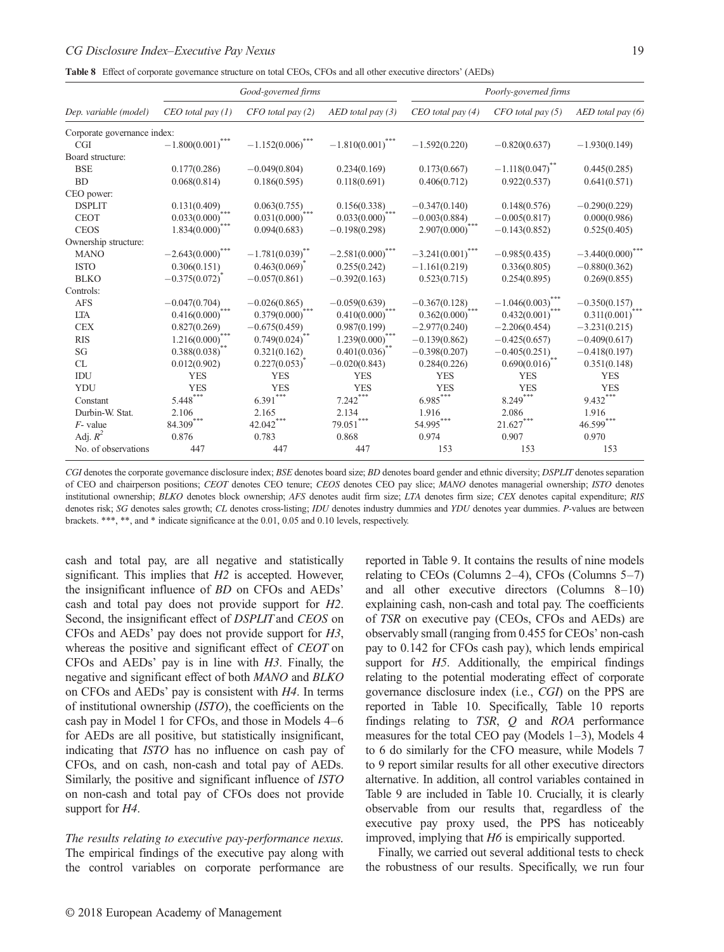|  |  | <b>Table 8</b> Effect of corporate governance structure on total CEOs, CFOs and all other executive directors' (AEDs) |  |
|--|--|-----------------------------------------------------------------------------------------------------------------------|--|
|--|--|-----------------------------------------------------------------------------------------------------------------------|--|

|                             |                           | Good-governed firms     |                         |                           | Poorly-governed firms |                   |
|-----------------------------|---------------------------|-------------------------|-------------------------|---------------------------|-----------------------|-------------------|
| Dep. variable (model)       | $CEO$ total pay $(1)$     | $CFO$ total pay $(2)$   | $AED$ total pay $(3)$   | $CEO$ total pay $(4)$     | $CFO$ total pay $(5)$ | AED total pay (6) |
| Corporate governance index: |                           |                         |                         |                           |                       |                   |
| <b>CGI</b>                  | $-1.800(0.001)$ ***       | $-1.152(0.006)$ ***     | $-1.810(0.001)$ ***     | $-1.592(0.220)$           | $-0.820(0.637)$       | $-1.930(0.149)$   |
| Board structure:            |                           |                         |                         |                           |                       |                   |
| <b>BSE</b>                  | 0.177(0.286)              | $-0.049(0.804)$         | 0.234(0.169)            | 0.173(0.667)              | $-1.118(0.047)$ **    | 0.445(0.285)      |
| <b>BD</b>                   | 0.068(0.814)              | 0.186(0.595)            | 0.118(0.691)            | 0.406(0.712)              | 0.922(0.537)          | 0.641(0.571)      |
| CEO power:                  |                           |                         |                         |                           |                       |                   |
| <b>DSPLIT</b>               | 0.131(0.409)              | 0.063(0.755)            | 0.156(0.338)            | $-0.347(0.140)$           | 0.148(0.576)          | $-0.290(0.229)$   |
| <b>CEOT</b>                 | $0.033(0.000)^{n}$        | $0.031(0.000)^{4}$      | $0.033(0.000)^{*}$      | $-0.003(0.884)$           | $-0.005(0.817)$       | 0.000(0.986)      |
| <b>CEOS</b>                 | $1.834(0.000)^{***}$      | 0.094(0.683)            | $-0.198(0.298)$         | $2.907(0.000)^{***}$      | $-0.143(0.852)$       | 0.525(0.405)      |
| Ownership structure:        |                           |                         |                         |                           |                       |                   |
| <b>MANO</b>                 | $-2.643(0.000)^{7}$       | $-1.781(0.039)^{**}$    | $-2.581(0.000)$ ***     | $-3.241(0.001)^{4}$       | $-0.985(0.435)$       | $-3.440(0.000)^T$ |
| <b>ISTO</b>                 | 0.306(0.151)              | $0.463(0.069)^{7}$      | 0.255(0.242)            | $-1.161(0.219)$           | 0.336(0.805)          | $-0.880(0.362)$   |
| <b>BLKO</b>                 | $-0.375(0.072)^{n}$       | $-0.057(0.861)$         | $-0.392(0.163)$         | 0.523(0.715)              | 0.254(0.895)          | 0.269(0.855)      |
| Controls:                   |                           |                         |                         |                           |                       |                   |
| <b>AFS</b>                  | $-0.047(0.704)$           | $-0.026(0.865)$         | $-0.059(0.639)$         | $-0.367(0.128)$           | $-1.046(0.003)$ ***   | $-0.350(0.157)$   |
| <b>LTA</b>                  | 0.416(0.000)              | 0.379(0.000)            | $0.410(0.000)^{7}$      | $0.362(0.000)^{^{\circ}}$ | $0.432(0.001)^{7}$    | 0.311(0.001)      |
| <b>CEX</b>                  | 0.827(0.269)              | $-0.675(0.459)$         | 0.987(0.199)            | $-2.977(0.240)$           | $-2.206(0.454)$       | $-3.231(0.215)$   |
| <b>RIS</b>                  | $1.216(0.000)^{^{\circ}}$ | $0.749(0.024)^{n}$      | 1.239(0.000)            | $-0.139(0.862)$           | $-0.425(0.657)$       | $-0.409(0.617)$   |
| SG                          | 0.388(0.038)              | 0.321(0.162)            | 0.401(0.036)            | $-0.398(0.207)$           | $-0.405(0.251)$       | $-0.418(0.197)$   |
| <b>CL</b>                   | 0.012(0.902)              | 0.227(0.053)            | $-0.020(0.843)$         | 0.284(0.226)              | $0.690(0.016)^{n}$    | 0.351(0.148)      |
| IDU                         | <b>YES</b>                | <b>YES</b>              | <b>YES</b>              | <b>YES</b>                | <b>YES</b>            | <b>YES</b>        |
| YDU                         | <b>YES</b>                | <b>YES</b>              | <b>YES</b>              | <b>YES</b>                | <b>YES</b>            | <b>YES</b>        |
| Constant                    | $5.448***$                | $6.391***$              | $7.242***$              | $6.985***$                | $8.249***$            | $9.432***$        |
| Durbin-W. Stat.             | 2.106                     | 2.165                   | 2.134                   | 1.916                     | 2.086                 | 1.916             |
| $F$ - value                 | $84.309^{***}$            | $42.042^{\ast\ast\ast}$ | $79.051^{\ast\ast\ast}$ | 54.995***                 | $21.627***$           | $46.599***$       |
| Adj. $R^2$                  | 0.876                     | 0.783                   | 0.868                   | 0.974                     | 0.907                 | 0.970             |
| No. of observations         | 447                       | 447                     | 447                     | 153                       | 153                   | 153               |

*CGI* denotes the corporate governance disclosure index; *BSE* denotes board size; *BD* denotes board gender and ethnic diversity; *DSPLIT* denotes separation of CEO and chairperson positions; *CEOT* denotes CEO tenure; *CEOS* denotes CEO pay slice; *MANO* denotes managerial ownership; *ISTO* denotes institutional ownership; *BLKO* denotes block ownership; *AFS* denotes audit firm size; *LTA* denotes firm size; *CEX* denotes capital expenditure; *RIS* denotes risk; *SG* denotes sales growth; *CL* denotes cross-listing; *IDU* denotes industry dummies and *YDU* denotes year dummies. *P-*values are between brackets. \*\*\*, \*\*, and \* indicate significance at the 0.01, 0.05 and 0.10 levels, respectively.

cash and total pay, are all negative and statistically significant. This implies that *H2* is accepted. However, the insignificant influence of *BD* on CFOs and AEDs' cash and total pay does not provide support for *H2*. Second, the insignificant effect of *DSPLIT* and *CEOS* on CFOs and AEDs' pay does not provide support for *H3*, whereas the positive and significant effect of *CEOT* on CFOs and AEDs' pay is in line with *H3*. Finally, the negative and significant effect of both *MANO* and *BLKO* on CFOs and AEDs' pay is consistent with *H4*. In terms of institutional ownership (*ISTO*), the coefficients on the cash pay in Model 1 for CFOs, and those in Models 4–6 for AEDs are all positive, but statistically insignificant, indicating that *ISTO* has no influence on cash pay of CFOs, and on cash, non-cash and total pay of AEDs. Similarly, the positive and significant influence of *ISTO* on non-cash and total pay of CFOs does not provide support for *H4*.

*The results relating to executive pay-performance nexus.* The empirical findings of the executive pay along with the control variables on corporate performance are reported in Table 9. It contains the results of nine models relating to CEOs (Columns 2–4), CFOs (Columns 5–7) and all other executive directors (Columns 8–10) explaining cash, non-cash and total pay. The coefficients of *TSR* on executive pay (CEOs, CFOs and AEDs) are observably small (ranging from 0.455 for CEOs' non-cash pay to 0.142 for CFOs cash pay), which lends empirical support for *H5*. Additionally, the empirical findings relating to the potential moderating effect of corporate governance disclosure index (i.e., *CGI*) on the PPS are reported in Table 10. Specifically, Table 10 reports findings relating to *TSR*, *Q* and *ROA* performance measures for the total CEO pay (Models 1–3), Models 4 to 6 do similarly for the CFO measure, while Models 7 to 9 report similar results for all other executive directors alternative. In addition, all control variables contained in Table 9 are included in Table 10. Crucially, it is clearly observable from our results that, regardless of the executive pay proxy used, the PPS has noticeably improved, implying that *H6* is empirically supported.

Finally, we carried out several additional tests to check the robustness of our results. Specifically, we run four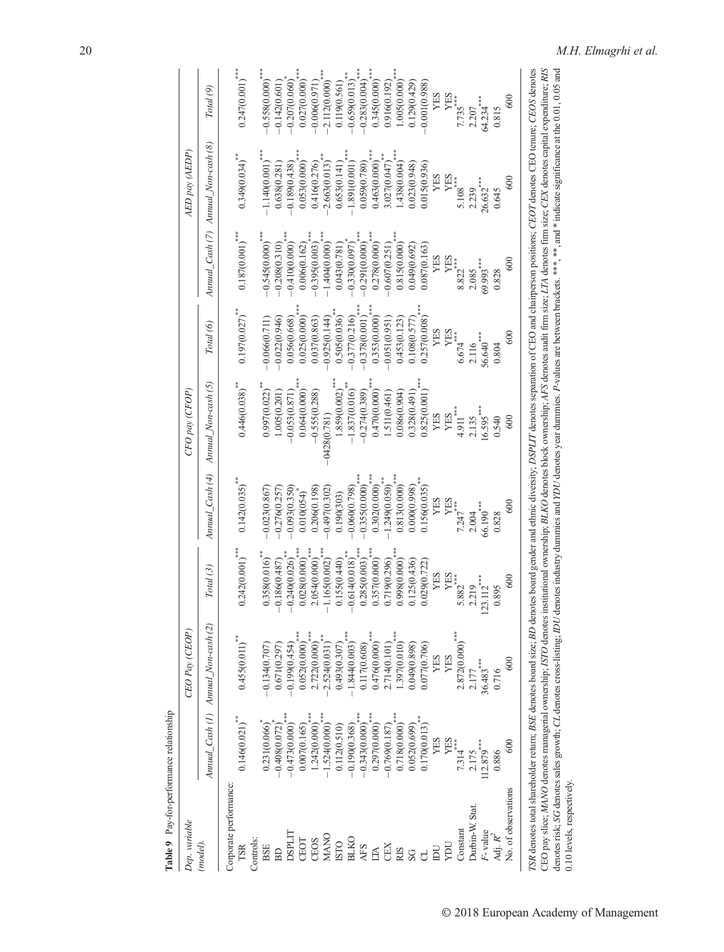| Table 9 Pay-for-performance relationship |                     |                                                                                                                                                                                                               |                     |                    |                      |                     |                     |                                     |                       |
|------------------------------------------|---------------------|---------------------------------------------------------------------------------------------------------------------------------------------------------------------------------------------------------------|---------------------|--------------------|----------------------|---------------------|---------------------|-------------------------------------|-----------------------|
| Dep. variable                            |                     | CEO Pay (CEOP)                                                                                                                                                                                                |                     |                    | CFO pay (CFOP)       |                     |                     | AED pay (AEDP)                      |                       |
| (mod el)                                 |                     | Annual_Cash (1) Annual_Non-cash (2)                                                                                                                                                                           | Total(3)            | Annual_Cash (4)    | Annual_Non-cash (5)  | Total (6)           |                     | Annual_Cash (7) Annual_Non-cash (8) | Total (9)             |
| Corporate performance:<br>TSR            | $0.146(0.021)^*$    | $0.455(0.011)^{**}$                                                                                                                                                                                           | $0.242(0.001)$ ***  | $0.142(0.035)$ **  | $0.446(0.038)^{**}$  | $0.197(0.027)$ **   | $0.187(0.001)$ ***  | $0.349(0.034)^{**}$                 | $0.247(0.001)$ ***    |
| Controls:                                |                     |                                                                                                                                                                                                               |                     |                    |                      |                     |                     |                                     |                       |
| <b>BSE</b>                               | 0.231(0.066)        | $-0.134(0.707)$                                                                                                                                                                                               | $0.358(0.016)^{**}$ | $-0.023(0.867)$    | $0.997(0.022)^{**}$  | $-0.066(0.711)$     | $-0.545(0.000)$ *** | $-1.140(0.001)$ ***                 | $-0.558(0.000)^{***}$ |
| $\overline{B}$                           | $-0.408(0.072)$     | 0.671(0.297)                                                                                                                                                                                                  | $-0.186(0.487)$     | $-0.276(0.257)$    | 1.005(0.201)         | $-0.022(0.946)$     | $-0.208(0.310)$     | 0.638(0.281)                        | $-0.142(0.601)$       |
| <b>DSPLIT</b>                            | $0.473(0.000)$ ***  | 0.199(0.454)                                                                                                                                                                                                  | $-0.240(0.026)$     | 0.093(0.350)       | $-0.053(0.871)$      | 0.056(0.668)        | $-0.410(0.000)$ *** | 0.189(0.438)                        | $-0.207(0.060)$       |
| CEOT                                     | 0.007(0.165)        | 0.052(0.000)                                                                                                                                                                                                  | $0.028(0.000)$ ***  | 0.010(054)         | 0.064(0.000)         | $0.025(0.000)$ ***  | 0.006(0.162)        | 0.053(0.000)                        | 0.027(0.000)          |
| CEOS                                     | $1.242(0.000)$ ***  | 2.722(0.000)                                                                                                                                                                                                  | $2.054(0.000)$ ***  | 0.206(0.198)       | $-0.555(0.288)$      | 0.037(0.863)        | $-0.395(0.003)$     | 0.416(0.276)                        | $-0.006(0.971)$       |
| <b>MANO</b>                              | $1.524(0.000)$ ***  | 2.524(0.031)                                                                                                                                                                                                  | $-1.165(0.002)$ *** | 0.497(0.302)       | $-0428(0.781)$       | $-0.925(0.144)$     | $-1.404(0.000)$ *** | 2.663(0.013)                        | $-2.112(0.000)$ **    |
| <b>ISTO</b>                              | 0.112(0.510)        | 0.493(0.307)                                                                                                                                                                                                  | 0.155(0.440)        | 0.190(303)         | $1.859(0.002)$ ***   | 0.505(0.036)        | 0.043(0.781)        | 0.653(0.141)                        | 0.119(0.561)          |
| <b>BLKO</b>                              | $-0.190(0.368)$     | $-1.844(0.003)$                                                                                                                                                                                               | $0.614(0.018)$ **   | 0.060(0.798)       | $-1.837(0.016)^{**}$ | 0.377(0.216)        | $-0.330(0.097)$     | $1.891(0.001)^{***}$                | $-0.659(0.013)$       |
| AFS                                      | $-0.343(0.000)$ *** | 0.117(0.608)                                                                                                                                                                                                  | $0.285(0.003)$ ***  | $0.355(0.000)$ *** | $-0.274(0.389)$      | $-0.378(0.001)$ *** | $-0.291(0.000)$ *** | 0.059(0.780)                        | $-0.283(0.004)$ ***   |
| EÃ                                       | $0.297(0.000)$ ***  | 0.476(0.000)                                                                                                                                                                                                  | 0.357(0.000)        | $0.302(0.000)$ *** | 0.470(0.000)         | 0.353(0.000)        | $0.278(0.000)$ ***  | 黄黄姜<br>0.463(0.000)                 | $0.345(0.000)$ ***    |
| CEX                                      | $-0.769(0.187)$     | 2.714(0.101)                                                                                                                                                                                                  | 0.719(0.296)        | $1.249(0.050)$ **  | 1.511(0.461)         | 0.051(0.951)        | $-0.607(0.251)$     | 3.027(0.047)                        | 0.916(0.192)          |
| <b>RIS</b>                               | $0.718(0.000)$ ***  | $1.397(0.010)$ ***                                                                                                                                                                                            | 0.998(0.000)        | $0.813(0.000)$ *** | 0.086(0.904)         | 0.453(0.123)        | $0.815(0.000)$ ***  | $1.438(0.004)$ ***                  | 1.005(0.000)          |
| SG                                       | 0.052(0.699)        | 0.049(0.898)                                                                                                                                                                                                  | 0.125(0.436)        | 0.000(0.998)       | 0.328(0.491)         | 0.108(0.577)        | 0.049(0.692)        | 0.023(0.948)                        | 0.129(0.429)          |
| ಕ                                        | $0.170(0.013)$ **   | 0.077(0.706)                                                                                                                                                                                                  | 0.029(0.722)        | $0.156(0.035)$ **  | $0.825(0.001)^{**}$  | $0.257(0.008)$ ***  | 0.087(0.163)        | 0.015(0.936)                        | $-0.001(0.988)$       |
| $\overline{D}$                           | YES                 | YES                                                                                                                                                                                                           | YES                 | YES                | YES                  | YES                 | YES                 | YES                                 | YES                   |
| DCX                                      | YES                 | <b>YES</b>                                                                                                                                                                                                    | YES                 | YES                | YES                  | YES                 | YES                 | YES                                 | YES                   |
| Constant                                 | $7.314***$          | $2.872(0.000)$ ***                                                                                                                                                                                            | $5.882***$          | $7.247***$         | $4.911***$           | $6.674***$          | $8.822***$          | $5.108***$                          | $7.735***$            |
| Durbin-W. Stat                           | 2.175               | 2.177                                                                                                                                                                                                         | 2.219               | 2.004              | 2.135                | 2.116               | 2.085               | 2.239                               | 2.207                 |
| F-value                                  | $112.879***$        | $36.483***$                                                                                                                                                                                                   | $123.112***$        | $66.190***$        | $16.595***$          | $56.640***$         | $69.993***$         | $26.632***$                         | $64.234***$           |
| Adj. $R^2$                               | 0.886               | 0.716                                                                                                                                                                                                         | 0.895               | 0.828              | 0.540                | 0.804               | 0.828               | 0.645                               | 0.815                 |
| No. of observations                      | 600                 | 600                                                                                                                                                                                                           | 600                 | 600                | 600                  | 600                 | 600                 | 600                                 | 600                   |
|                                          |                     | TSR denotes total shareholder return; BSE denotes board size; BD denotes board gender and ethnic diversity; DSPLIT denotes separation of CEO and chairperson positions; CEOT denotes CEO tenure; CEOS denotes |                     |                    |                      |                     |                     |                                     |                       |

CEO pay slice; *MANO* denotes managerial ownership; *ISTO* denotes institutional ownership; *BLKO* denotes block ownership; *AFS* denotes audit firm size; *LTA* denotes firm size; *CEX* denotes capital expenditure; *RIS*<br>d CEO pay slice; MANO denotes managerial ownership; ISTO denotes institutional ownership; BLKO denotes block ownership; AFS denotes audit firm size; LTA denotes firm size; CEX denotes capital expenditure; RIS denotes risk; SG denotes sales growth; CL denotes cross-listing; IDU denotes industry dummies and YDU denotes year dummies. P-values are between brackets. \*\*\*, \*\*\*, and \* indicate significance at the 0.01, 0.05 and 0.10 levels, respectively.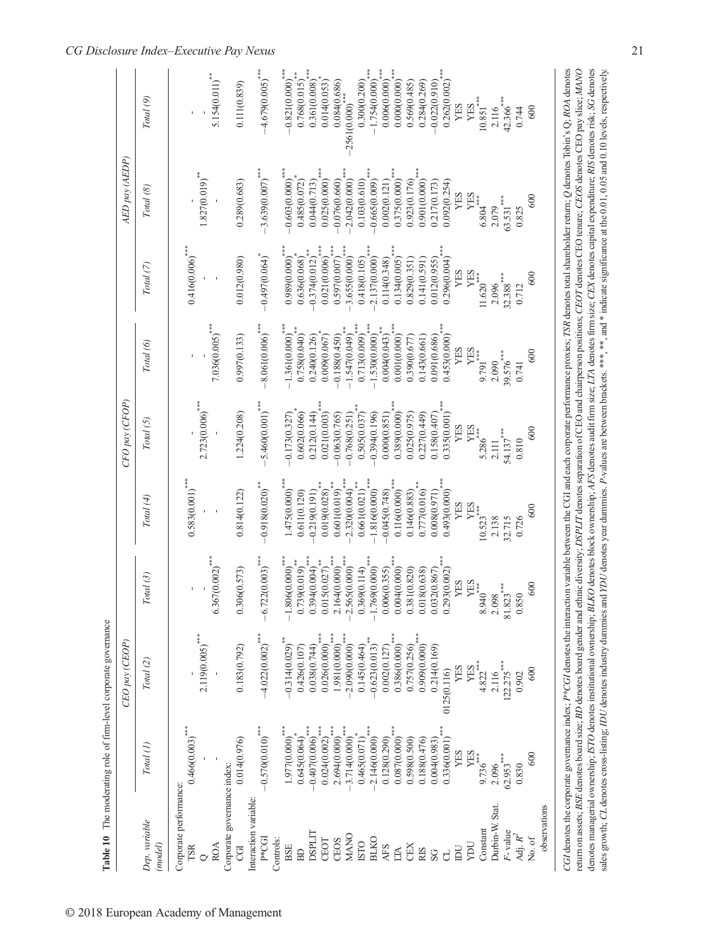|                                                                                                                                                                                                                                          |                                                                                                                                                                                                                                                                                                                                                                                                                                                              | Table 10 The moderating role of firm-level corporate governance                                                                                                                                                                                                                                                                        |                                                                                                                                                                                                                                                                                                                                                                                                                                                                    |                                                                                                                                                                                                                                                                                                                                                                                            |                                                                                                                                                                                                                                                                                                                                                   |                                                                                                                                                                                                                                                                                                                                                     |                                                                                                                                                                                                                                                                                                                                                                                                         |                                                                                                                                                                                                                                                                                                                                                                                                                                                                                     |                                                                                                                                                                                                                                                                                                                                                |
|------------------------------------------------------------------------------------------------------------------------------------------------------------------------------------------------------------------------------------------|--------------------------------------------------------------------------------------------------------------------------------------------------------------------------------------------------------------------------------------------------------------------------------------------------------------------------------------------------------------------------------------------------------------------------------------------------------------|----------------------------------------------------------------------------------------------------------------------------------------------------------------------------------------------------------------------------------------------------------------------------------------------------------------------------------------|--------------------------------------------------------------------------------------------------------------------------------------------------------------------------------------------------------------------------------------------------------------------------------------------------------------------------------------------------------------------------------------------------------------------------------------------------------------------|--------------------------------------------------------------------------------------------------------------------------------------------------------------------------------------------------------------------------------------------------------------------------------------------------------------------------------------------------------------------------------------------|---------------------------------------------------------------------------------------------------------------------------------------------------------------------------------------------------------------------------------------------------------------------------------------------------------------------------------------------------|-----------------------------------------------------------------------------------------------------------------------------------------------------------------------------------------------------------------------------------------------------------------------------------------------------------------------------------------------------|---------------------------------------------------------------------------------------------------------------------------------------------------------------------------------------------------------------------------------------------------------------------------------------------------------------------------------------------------------------------------------------------------------|-------------------------------------------------------------------------------------------------------------------------------------------------------------------------------------------------------------------------------------------------------------------------------------------------------------------------------------------------------------------------------------------------------------------------------------------------------------------------------------|------------------------------------------------------------------------------------------------------------------------------------------------------------------------------------------------------------------------------------------------------------------------------------------------------------------------------------------------|
|                                                                                                                                                                                                                                          |                                                                                                                                                                                                                                                                                                                                                                                                                                                              | CEO pay (CEOP)                                                                                                                                                                                                                                                                                                                         |                                                                                                                                                                                                                                                                                                                                                                                                                                                                    |                                                                                                                                                                                                                                                                                                                                                                                            | CFO pay (CFOP)                                                                                                                                                                                                                                                                                                                                    |                                                                                                                                                                                                                                                                                                                                                     |                                                                                                                                                                                                                                                                                                                                                                                                         | AED pay (AEDP)                                                                                                                                                                                                                                                                                                                                                                                                                                                                      |                                                                                                                                                                                                                                                                                                                                                |
| Dep. variable<br>(model)                                                                                                                                                                                                                 | Total (1)                                                                                                                                                                                                                                                                                                                                                                                                                                                    | Total (2)                                                                                                                                                                                                                                                                                                                              | Total (3)                                                                                                                                                                                                                                                                                                                                                                                                                                                          | Total (4)                                                                                                                                                                                                                                                                                                                                                                                  | Total (5)                                                                                                                                                                                                                                                                                                                                         | Total (6)                                                                                                                                                                                                                                                                                                                                           | Total (7)                                                                                                                                                                                                                                                                                                                                                                                               | Total (8)                                                                                                                                                                                                                                                                                                                                                                                                                                                                           | Total (9)                                                                                                                                                                                                                                                                                                                                      |
| Corporate performance:<br><b>ROA</b><br><b>TSR</b><br>$\circ$                                                                                                                                                                            | $0.466(0.003)$ ***                                                                                                                                                                                                                                                                                                                                                                                                                                           | $2.119(0.005)$ ***                                                                                                                                                                                                                                                                                                                     | $6.367(0.002)$ ***                                                                                                                                                                                                                                                                                                                                                                                                                                                 | $0.583(0.001)$ ***                                                                                                                                                                                                                                                                                                                                                                         | $2.723(0.006)$ ***                                                                                                                                                                                                                                                                                                                                | $7.036(0.005)$ ***                                                                                                                                                                                                                                                                                                                                  | $0.416(0.006)$ ***                                                                                                                                                                                                                                                                                                                                                                                      | $1.827(0.019)$ <sup>**</sup>                                                                                                                                                                                                                                                                                                                                                                                                                                                        | $5.154(0.011)^{**}$                                                                                                                                                                                                                                                                                                                            |
| Corporate governance index:<br>Interaction variable:<br>G                                                                                                                                                                                | 0.014(0.976)                                                                                                                                                                                                                                                                                                                                                                                                                                                 | 0.183(0.792)                                                                                                                                                                                                                                                                                                                           | 0.306(0.573)                                                                                                                                                                                                                                                                                                                                                                                                                                                       | 0.814(0.122)                                                                                                                                                                                                                                                                                                                                                                               | 1.224(0.208)                                                                                                                                                                                                                                                                                                                                      | 0.997(0.133)                                                                                                                                                                                                                                                                                                                                        | 0.012(0.980)                                                                                                                                                                                                                                                                                                                                                                                            | 0.289(0.683)                                                                                                                                                                                                                                                                                                                                                                                                                                                                        | 0.111(0.839)                                                                                                                                                                                                                                                                                                                                   |
| $P^*CG$                                                                                                                                                                                                                                  | $-0.570(0.010)$ ***                                                                                                                                                                                                                                                                                                                                                                                                                                          | $-4.022(0.002)$ ***                                                                                                                                                                                                                                                                                                                    | $-6.722(0.003)$ ***                                                                                                                                                                                                                                                                                                                                                                                                                                                | $-0.918(0.020)$ **                                                                                                                                                                                                                                                                                                                                                                         | $-5.460(0.001)$ ***                                                                                                                                                                                                                                                                                                                               | $-8.061(0.006)$ ***                                                                                                                                                                                                                                                                                                                                 | $-0.497(0.064)$                                                                                                                                                                                                                                                                                                                                                                                         | $-3.639(0.007)$ ***                                                                                                                                                                                                                                                                                                                                                                                                                                                                 | $-4.679(0.005)$ ***                                                                                                                                                                                                                                                                                                                            |
| Durbin-W. Stat.<br>Constant<br>F-value<br>DSPLIT<br>Adj. $R^2$<br><b>MANO</b><br>Controls:<br>CEOT<br>CEOS<br><b>BLKO</b><br><b>ISTO</b><br><b>UCK</b><br><b>BSE</b><br>AFS<br>CEX<br>$\overline{D}$<br>É<br><b>RIS</b><br>BD<br>SG<br>B | $0.024(0.002)$ ***<br>$2.694(0.000)$ ***<br>$0.336(0.001)^{***}$<br>$-0.407(0.006)$ ***<br>$-3.714(0.000)$ ***<br>$0.087(0.000)$ ***<br>$-2.146(0.000)$ ***<br>$1.977(0.000)$ ***<br>0.645(0.064)<br>0.188(0.476)<br>0.128(0.290)<br>0.598(0.500)<br>0.004(0.983)<br>0.465(0.071)<br><b>YES</b><br>$\begin{array}{c}\n \stackrel{\leftrightarrow}{\text{YES}} \\  \text{YES} \\  \text{9.736}^{\ast\ast\ast}\n \end{array}$<br>$62.953***$<br>2.096<br>0.830 | $0.026(0.000)$ ***<br>$1.981(0.000)$ ***<br>$2.090(0.000)$ ***<br>$0.909(0.000)$ ***<br>$0.386(0.000)$ ***<br>$-0.314(0.029)^{**}$<br>$-0.623(0.013)^{**}$<br>0.757(0.256)<br>0.214(0.169)<br>0.038(0.744)<br>0.145(0.464)<br>0.426(0.107)<br>0.002(0.127<br>$4.822***$<br>$122.275***$<br>YES<br>YES<br>0125(0.116)<br>2.116<br>0.902 | $0.394(0.004)^{***}$<br>$.164(0.000)$ ***<br>$.565(0.000)$ ***<br>$-1.769(0.000)$ ***<br>$0.004(0.000)$ ***<br>$-1.806(0.000)$ ***<br>$0.293(0.002)$ ***<br>$0.739(0.019)$ **<br>$\begin{array}{c} 0.015(0.027) ^{**} \\ 2.164(0.000) ^{***} \\ -2.565(0.000) ^{***} \\ 0.369(0.114) \end{array}$<br>0.006(0.355)<br>0.381(0.820)<br>0.018(0.638)<br>0.032(0.867)<br>YES<br>$Y_{\text{HSS}}^{\text{HSS}}$<br>x,940***<br>$81.823***$<br>2.098<br>0.850<br>$\infty$ | $2.320(0.004)$ ***<br>$-1.816(0.000)$ ***<br>$0.116(0.000)$ ***<br>$0.493(0.000)$ ***<br>$1.475(0.000)$ **<br>$0.601(0.019)$ **<br>$0.661(0.021)$ **<br>$0.777(0.016)$ <sup>**</sup><br>0.019(0.028)<br>0.146(0.883)<br>0.008(0.971)<br>0.045(0.748)<br>0.219(0.191)<br>0.611(0.120)<br>YES<br>$\begin{array}{c}\n\uparrow \\ \uparrow\n\end{array}$ 10.523***<br>2.138<br>32.715<br>0.726 | $0.021(0.003)$ ***<br>$0.389(0.000)$ ***<br>$0.335(0.001)$ ***<br>$0.505(0.037)$ **<br>0.602(0.066)<br>0.212(0.144)<br>$-0.394(0.196)$<br>$-0.173(0.327)$<br>$-0.768(0.251)$<br>0.000(0.851)<br>0.025(0.975)<br>0.227(0.449)<br>$-0.063(0.765)$<br>0.158(0.407)<br>YES<br>$Y =$<br>5.286 <sup>***</sup><br>5.286<br>$54.137***$<br>0.810<br>2.111 | $0.713(0.009)$ ***<br>$0.001(0.000)$ ***<br>$-1.530(0.000)$ ***<br>$0.453(0.000)$ ***<br>$-1.361(0.000)$ ***<br>$0.004(0.043)$ **<br>$0.758(0.040)$ **<br>$-1.547(0.049)$ **<br>0.240(0.126)<br>0.009(0.067)<br>$-0.188(0.450)$<br>0.091(0.686)<br>0.390(0.677)<br>0.143(0.661)<br><b>YES</b><br>YES<br>$9.791***$<br>$39.576***$<br>2.090<br>0.741 | $0.021(0.006)$ ***<br>$0.597(0.007)$ ***<br>$3.655(0.000)$ ***<br>$0.134(0.005)$ ***<br>2.137(0.000)****<br>$0.296(0.004)$ ***<br>$0.989(0.000)$ ***<br>$0.374(0.012)$ **<br>0.636(0.068)<br>0.418(0.105)<br>0.829(0.351)<br>0.141(0.591)<br>0.012(0.955)<br>0.114(0.348)<br>YES<br>$\begin{array}{c} \overbrace{\text{YES}}^{\text{max}} \\ 11.620^{***} \end{array}$<br>$32.388***$<br>2.096<br>0.712 | $0.025(0.000)$ ***<br>$-0.665(0.009)$ ***<br>$-0.603(0.000)$ ***<br>$-2.042(0.000)^*$<br>0.103(0.610)<br>0.375(0.000)<br>0.923(0.176)<br>0.901(0.000)<br>0.485(0.072)<br>0.044(0.713)<br>$-0.076(0.660)$<br>0.002(0.121)<br>0.217(0.173)<br>0.092(0.254)<br>YES<br>$\begin{array}{c}\n \stackrel{\rightarrow}{\text{YES}} \\  \text{6.804}^{\text{***}} \\  \stackrel{\rightarrow}{\text{C}} \\  \stackrel{\rightarrow}{\text{C}} \\  \end{array}$<br>$63.531***$<br>2.079<br>0.825 | $0.361(0.008)$ ***<br>$-1.754(0.000)$ ***<br>$0.006(0.000)$ ***<br>$0.000(0.000)$ ***<br>$0.262(0.002)$ ***<br>$-0.821(0.000)$ ***<br>$0.768(0.015)$ **<br>0.014(0.053)<br>0.084(0.686)<br>0.300(0.200)<br>0.284(0.269)<br>$-0.022(0.910)$<br>0.569(0.485)<br>$2561(0.000)$ ***<br>$42.366$ ***<br>$10.851***$<br>YES<br>YES<br>2.116<br>0.744 |
| observations<br>No. of                                                                                                                                                                                                                   | 600                                                                                                                                                                                                                                                                                                                                                                                                                                                          | 600                                                                                                                                                                                                                                                                                                                                    | 600                                                                                                                                                                                                                                                                                                                                                                                                                                                                | 600                                                                                                                                                                                                                                                                                                                                                                                        | 600                                                                                                                                                                                                                                                                                                                                               | 600                                                                                                                                                                                                                                                                                                                                                 | 600                                                                                                                                                                                                                                                                                                                                                                                                     | 600                                                                                                                                                                                                                                                                                                                                                                                                                                                                                 | 600                                                                                                                                                                                                                                                                                                                                            |

*CGI* denotes the corporate governance index; *P\*CGI* denotes the interaction variable between the CGI and each corporate performance proxies; *TSR* denotes total shareholder return; CGI denotes the corporate governance index, P\*CGI denotes the interaction variable between the CGI and each corporate performance proxies; TSR denotes total shareholder return; Q denotes Tobin's Q; ROA denotes return on as denotes Tobin's Q; *ROA* denotes return on assets; BSE denotes board size; BD denotes board gender and ethnic driversity; DSPLIT denotes separation of CEO and chairperson positions; CEOT denotes CEO tenure; CEOS denotes CEO pay slice; MANO denotes managerial ownership; ISTO denotes institutional ownership; BLKO denotes block ownership; AFS denotes audit firm size; LTA denotes firm size; CEX denotes capital expenditure; RIS denotes risk; SG denotes sales growth; CL denotes cross-listing; IDU denotes industry dummics and YDU denotes year dummies. P-values are between brackets. \*\*\*, and \* indicate significance at the 0.01, 0.05 and 0.10 levels, respectively

## *CG Disclosure Index–Executive Pay Nexus* 21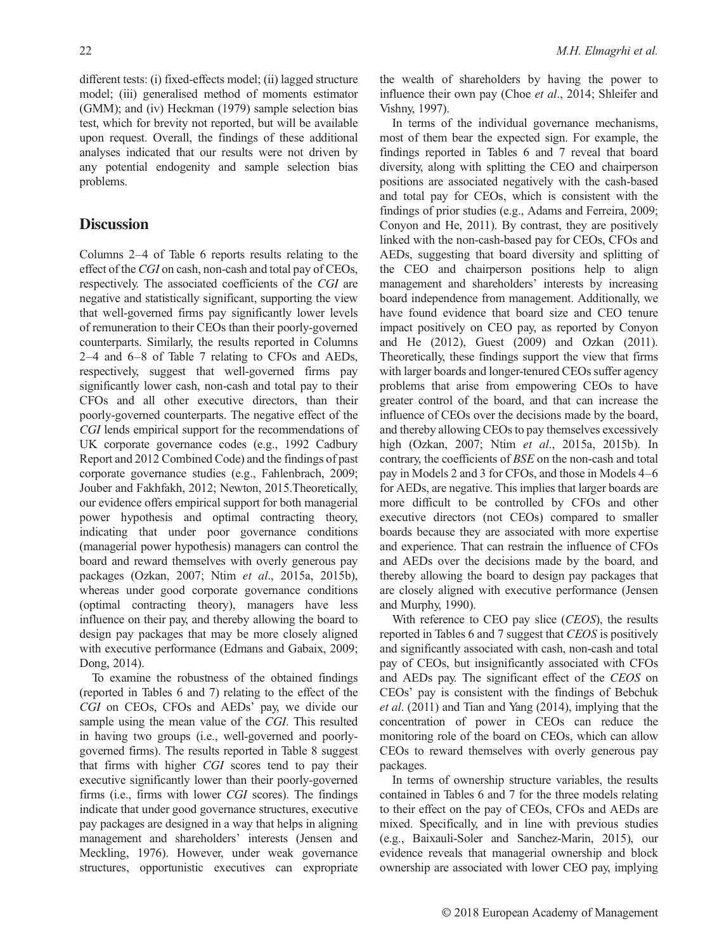different tests: (i) fixed-effects model; (ii) lagged structure model; (iii) generalised method of moments estimator (GMM); and (iv) Heckman (1979) sample selection bias test, which for brevity not reported, but will be available upon request. Overall, the findings of these additional analyses indicated that our results were not driven by any potential endogenity and sample selection bias problems.

# **Discussion**

Columns 2–4 of Table 6 reports results relating to the effect of the *CGI* on cash, non-cash and total pay of CEOs, respectively. The associated coefficients of the *CGI* are negative and statistically significant, supporting the view that well-governed firms pay significantly lower levels of remuneration to their CEOs than their poorly-governed counterparts. Similarly, the results reported in Columns 2–4 and 6–8 of Table 7 relating to CFOs and AEDs, respectively, suggest that well-governed firms pay significantly lower cash, non-cash and total pay to their CFOs and all other executive directors, than their poorly-governed counterparts. The negative effect of the *CGI* lends empirical support for the recommendations of UK corporate governance codes (e.g., 1992 Cadbury Report and 2012 Combined Code) and the findings of past corporate governance studies (e.g., Fahlenbrach, 2009; Jouber and Fakhfakh, 2012; Newton, 2015.Theoretically, our evidence offers empirical support for both managerial power hypothesis and optimal contracting theory, indicating that under poor governance conditions (managerial power hypothesis) managers can control the board and reward themselves with overly generous pay packages (Ozkan, 2007; Ntim *et al*., 2015a, 2015b), whereas under good corporate governance conditions (optimal contracting theory), managers have less influence on their pay, and thereby allowing the board to design pay packages that may be more closely aligned with executive performance (Edmans and Gabaix, 2009; Dong, 2014).

To examine the robustness of the obtained findings (reported in Tables 6 and 7) relating to the effect of the *CGI* on CEOs, CFOs and AEDs' pay, we divide our sample using the mean value of the *CGI*. This resulted in having two groups (i.e., well-governed and poorlygoverned firms). The results reported in Table 8 suggest that firms with higher *CGI* scores tend to pay their executive significantly lower than their poorly-governed firms (i.e., firms with lower *CGI* scores). The findings indicate that under good governance structures, executive pay packages are designed in a way that helps in aligning management and shareholders' interests (Jensen and Meckling, 1976). However, under weak governance structures, opportunistic executives can expropriate the wealth of shareholders by having the power to influence their own pay (Choe *et al*., 2014; Shleifer and Vishny, 1997).

In terms of the individual governance mechanisms, most of them bear the expected sign. For example, the findings reported in Tables 6 and 7 reveal that board diversity, along with splitting the CEO and chairperson positions are associated negatively with the cash-based and total pay for CEOs, which is consistent with the findings of prior studies (e.g., Adams and Ferreira, 2009; Conyon and He, 2011). By contrast, they are positively linked with the non-cash-based pay for CEOs, CFOs and AEDs, suggesting that board diversity and splitting of the CEO and chairperson positions help to align management and shareholders' interests by increasing board independence from management. Additionally, we have found evidence that board size and CEO tenure impact positively on CEO pay, as reported by Conyon and He (2012), Guest (2009) and Ozkan (2011). Theoretically, these findings support the view that firms with larger boards and longer-tenured CEOs suffer agency problems that arise from empowering CEOs to have greater control of the board, and that can increase the influence of CEOs over the decisions made by the board, and thereby allowing CEOs to pay themselves excessively high (Ozkan, 2007; Ntim *et al*., 2015a, 2015b). In contrary, the coefficients of *BSE* on the non-cash and total pay in Models 2 and 3 for CFOs, and those in Models 4–6 for AEDs, are negative. This implies that larger boards are more difficult to be controlled by CFOs and other executive directors (not CEOs) compared to smaller boards because they are associated with more expertise and experience. That can restrain the influence of CFOs and AEDs over the decisions made by the board, and thereby allowing the board to design pay packages that are closely aligned with executive performance (Jensen and Murphy, 1990).

With reference to CEO pay slice (*CEOS*), the results reported in Tables 6 and 7 suggest that *CEOS* is positively and significantly associated with cash, non-cash and total pay of CEOs, but insignificantly associated with CFOs and AEDs pay. The significant effect of the *CEOS* on CEOs' pay is consistent with the findings of Bebchuk *et al*. (2011) and Tian and Yang (2014), implying that the concentration of power in CEOs can reduce the monitoring role of the board on CEOs, which can allow CEOs to reward themselves with overly generous pay packages.

In terms of ownership structure variables, the results contained in Tables 6 and 7 for the three models relating to their effect on the pay of CEOs, CFOs and AEDs are mixed. Specifically, and in line with previous studies (e.g., Baixauli-Soler and Sanchez-Marin, 2015), our evidence reveals that managerial ownership and block ownership are associated with lower CEO pay, implying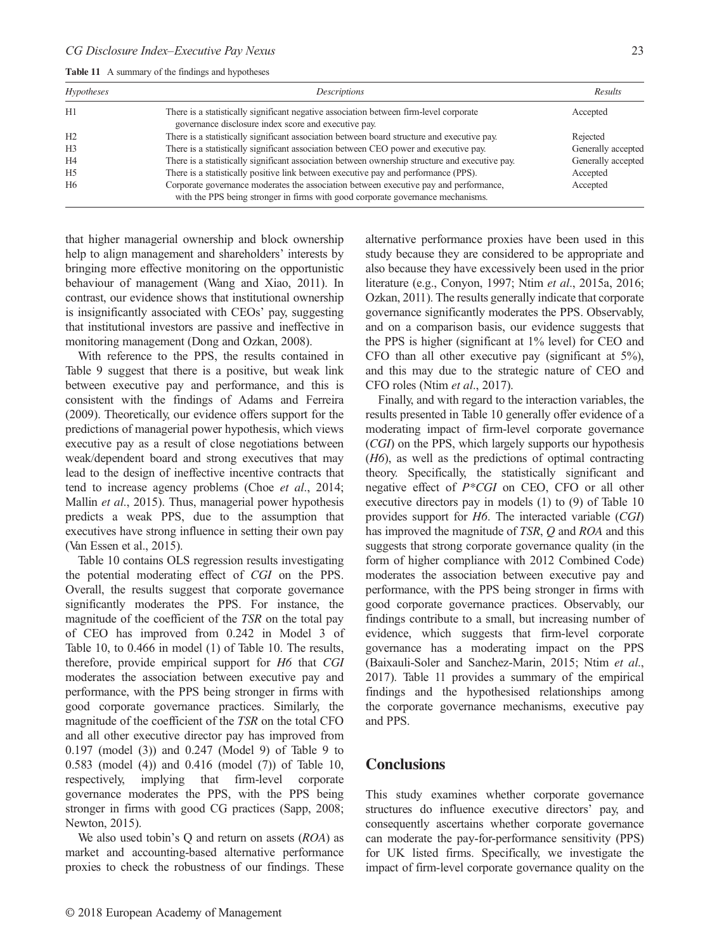| Hypotheses     | <i>Descriptions</i>                                                                                                                                                      | Results            |
|----------------|--------------------------------------------------------------------------------------------------------------------------------------------------------------------------|--------------------|
| H1             | There is a statistically significant negative association between firm-level corporate<br>governance disclosure index score and executive pay.                           | Accepted           |
| H <sub>2</sub> | There is a statistically significant association between board structure and executive pay.                                                                              | Rejected           |
| H <sub>3</sub> | There is a statistically significant association between CEO power and executive pay.                                                                                    | Generally accepted |
| H <sub>4</sub> | There is a statistically significant association between ownership structure and executive pay.                                                                          | Generally accepted |
| H <sub>5</sub> | There is a statistically positive link between executive pay and performance (PPS).                                                                                      | Accepted           |
| H <sub>6</sub> | Corporate governance moderates the association between executive pay and performance,<br>with the PPS being stronger in firms with good corporate governance mechanisms. | Accepted           |

that higher managerial ownership and block ownership help to align management and shareholders' interests by bringing more effective monitoring on the opportunistic behaviour of management (Wang and Xiao, 2011). In contrast, our evidence shows that institutional ownership is insignificantly associated with CEOs' pay, suggesting that institutional investors are passive and ineffective in monitoring management (Dong and Ozkan, 2008).

With reference to the PPS, the results contained in Table 9 suggest that there is a positive, but weak link between executive pay and performance, and this is consistent with the findings of Adams and Ferreira (2009). Theoretically, our evidence offers support for the predictions of managerial power hypothesis, which views executive pay as a result of close negotiations between weak/dependent board and strong executives that may lead to the design of ineffective incentive contracts that tend to increase agency problems (Choe *et al*., 2014; Mallin *et al*., 2015). Thus, managerial power hypothesis predicts a weak PPS, due to the assumption that executives have strong influence in setting their own pay (Van Essen et al., 2015).

Table 10 contains OLS regression results investigating the potential moderating effect of *CGI* on the PPS. Overall, the results suggest that corporate governance significantly moderates the PPS. For instance, the magnitude of the coefficient of the *TSR* on the total pay of CEO has improved from 0.242 in Model 3 of Table 10, to 0.466 in model (1) of Table 10. The results, therefore, provide empirical support for *H6* that *CGI* moderates the association between executive pay and performance, with the PPS being stronger in firms with good corporate governance practices. Similarly, the magnitude of the coefficient of the *TSR* on the total CFO and all other executive director pay has improved from 0.197 (model (3)) and 0.247 (Model 9) of Table 9 to 0.583 (model (4)) and 0.416 (model (7)) of Table 10, respectively, implying that firm-level corporate governance moderates the PPS, with the PPS being stronger in firms with good CG practices (Sapp, 2008; Newton, 2015).

We also used tobin's Q and return on assets (*ROA*) as market and accounting-based alternative performance proxies to check the robustness of our findings. These alternative performance proxies have been used in this study because they are considered to be appropriate and also because they have excessively been used in the prior literature (e.g., Conyon, 1997; Ntim *et al*., 2015a, 2016; Ozkan, 2011). The results generally indicate that corporate governance significantly moderates the PPS. Observably, and on a comparison basis, our evidence suggests that the PPS is higher (significant at 1% level) for CEO and CFO than all other executive pay (significant at 5%), and this may due to the strategic nature of CEO and CFO roles (Ntim *et al*., 2017).

Finally, and with regard to the interaction variables, the results presented in Table 10 generally offer evidence of a moderating impact of firm-level corporate governance (*CGI*) on the PPS, which largely supports our hypothesis (*H6*), as well as the predictions of optimal contracting theory. Specifically, the statistically significant and negative effect of *P\*CGI* on CEO, CFO or all other executive directors pay in models (1) to (9) of Table 10 provides support for *H6*. The interacted variable (*CGI*) has improved the magnitude of *TSR*, *Q* and *ROA* and this suggests that strong corporate governance quality (in the form of higher compliance with 2012 Combined Code) moderates the association between executive pay and performance, with the PPS being stronger in firms with good corporate governance practices. Observably, our findings contribute to a small, but increasing number of evidence, which suggests that firm-level corporate governance has a moderating impact on the PPS (Baixauli-Soler and Sanchez-Marin, 2015; Ntim *et al*., 2017). Table 11 provides a summary of the empirical findings and the hypothesised relationships among the corporate governance mechanisms, executive pay and PPS.

# **Conclusions**

This study examines whether corporate governance structures do influence executive directors' pay, and consequently ascertains whether corporate governance can moderate the pay-for-performance sensitivity (PPS) for UK listed firms. Specifically, we investigate the impact of firm-level corporate governance quality on the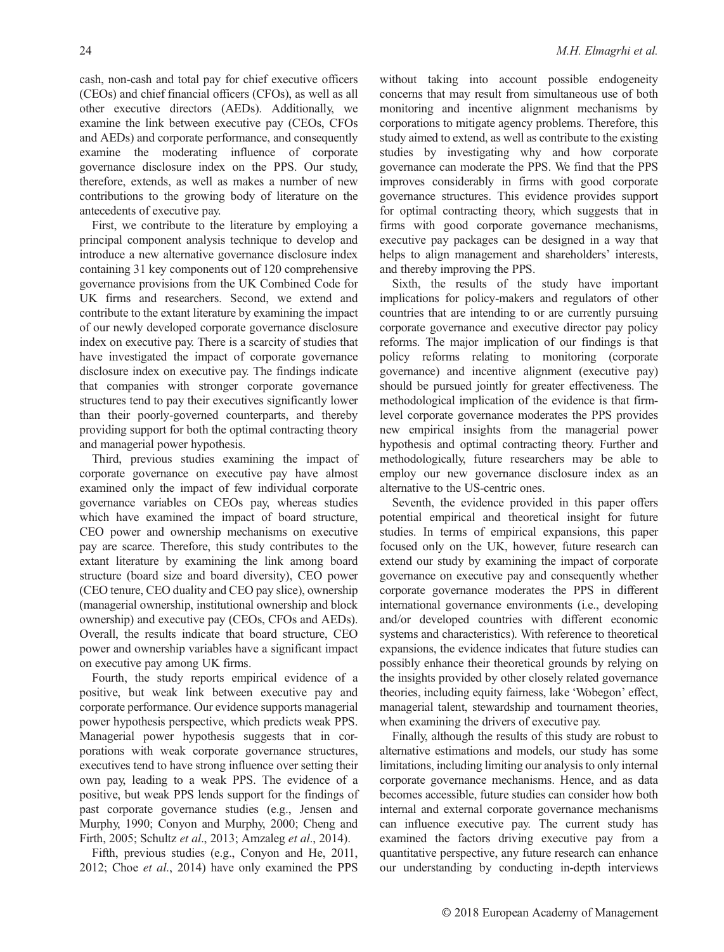cash, non-cash and total pay for chief executive officers (CEOs) and chief financial officers (CFOs), as well as all other executive directors (AEDs). Additionally, we examine the link between executive pay (CEOs, CFOs and AEDs) and corporate performance, and consequently examine the moderating influence of corporate governance disclosure index on the PPS. Our study, therefore, extends, as well as makes a number of new contributions to the growing body of literature on the antecedents of executive pay.

First, we contribute to the literature by employing a principal component analysis technique to develop and introduce a new alternative governance disclosure index containing 31 key components out of 120 comprehensive governance provisions from the UK Combined Code for UK firms and researchers. Second, we extend and contribute to the extant literature by examining the impact of our newly developed corporate governance disclosure index on executive pay. There is a scarcity of studies that have investigated the impact of corporate governance disclosure index on executive pay. The findings indicate that companies with stronger corporate governance structures tend to pay their executives significantly lower than their poorly-governed counterparts, and thereby providing support for both the optimal contracting theory and managerial power hypothesis.

Third, previous studies examining the impact of corporate governance on executive pay have almost examined only the impact of few individual corporate governance variables on CEOs pay, whereas studies which have examined the impact of board structure, CEO power and ownership mechanisms on executive pay are scarce. Therefore, this study contributes to the extant literature by examining the link among board structure (board size and board diversity), CEO power (CEO tenure, CEO duality and CEO pay slice), ownership (managerial ownership, institutional ownership and block ownership) and executive pay (CEOs, CFOs and AEDs). Overall, the results indicate that board structure, CEO power and ownership variables have a significant impact on executive pay among UK firms.

Fourth, the study reports empirical evidence of a positive, but weak link between executive pay and corporate performance. Our evidence supports managerial power hypothesis perspective, which predicts weak PPS. Managerial power hypothesis suggests that in corporations with weak corporate governance structures, executives tend to have strong influence over setting their own pay, leading to a weak PPS. The evidence of a positive, but weak PPS lends support for the findings of past corporate governance studies (e.g., Jensen and Murphy, 1990; Conyon and Murphy, 2000; Cheng and Firth, 2005; Schultz *et al*., 2013; Amzaleg *et al*., 2014).

Fifth, previous studies (e.g., Conyon and He, 2011, 2012; Choe *et al*., 2014) have only examined the PPS

without taking into account possible endogeneity concerns that may result from simultaneous use of both monitoring and incentive alignment mechanisms by corporations to mitigate agency problems. Therefore, this study aimed to extend, as well as contribute to the existing studies by investigating why and how corporate governance can moderate the PPS. We find that the PPS improves considerably in firms with good corporate governance structures. This evidence provides support for optimal contracting theory, which suggests that in firms with good corporate governance mechanisms, executive pay packages can be designed in a way that helps to align management and shareholders' interests, and thereby improving the PPS.

Sixth, the results of the study have important implications for policy-makers and regulators of other countries that are intending to or are currently pursuing corporate governance and executive director pay policy reforms. The major implication of our findings is that policy reforms relating to monitoring (corporate governance) and incentive alignment (executive pay) should be pursued jointly for greater effectiveness. The methodological implication of the evidence is that firmlevel corporate governance moderates the PPS provides new empirical insights from the managerial power hypothesis and optimal contracting theory. Further and methodologically, future researchers may be able to employ our new governance disclosure index as an alternative to the US-centric ones.

Seventh, the evidence provided in this paper offers potential empirical and theoretical insight for future studies. In terms of empirical expansions, this paper focused only on the UK, however, future research can extend our study by examining the impact of corporate governance on executive pay and consequently whether corporate governance moderates the PPS in different international governance environments (i.e., developing and/or developed countries with different economic systems and characteristics). With reference to theoretical expansions, the evidence indicates that future studies can possibly enhance their theoretical grounds by relying on the insights provided by other closely related governance theories, including equity fairness, lake 'Wobegon' effect, managerial talent, stewardship and tournament theories, when examining the drivers of executive pay.

Finally, although the results of this study are robust to alternative estimations and models, our study has some limitations, including limiting our analysis to only internal corporate governance mechanisms. Hence, and as data becomes accessible, future studies can consider how both internal and external corporate governance mechanisms can influence executive pay. The current study has examined the factors driving executive pay from a quantitative perspective, any future research can enhance our understanding by conducting in-depth interviews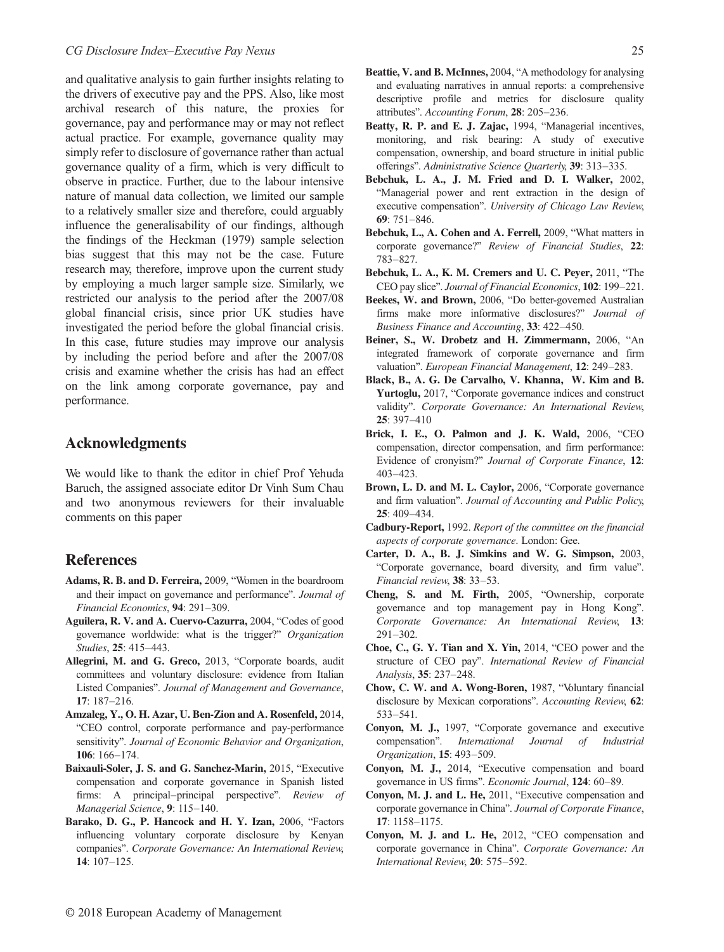and qualitative analysis to gain further insights relating to the drivers of executive pay and the PPS. Also, like most archival research of this nature, the proxies for governance, pay and performance may or may not reflect actual practice. For example, governance quality may simply refer to disclosure of governance rather than actual governance quality of a firm, which is very difficult to observe in practice. Further, due to the labour intensive nature of manual data collection, we limited our sample to a relatively smaller size and therefore, could arguably influence the generalisability of our findings, although the findings of the Heckman (1979) sample selection bias suggest that this may not be the case. Future research may, therefore, improve upon the current study by employing a much larger sample size. Similarly, we restricted our analysis to the period after the 2007/08 global financial crisis, since prior UK studies have investigated the period before the global financial crisis. In this case, future studies may improve our analysis by including the period before and after the 2007/08 crisis and examine whether the crisis has had an effect on the link among corporate governance, pay and performance.

#### **Acknowledgments**

We would like to thank the editor in chief Prof Yehuda Baruch, the assigned associate editor Dr Vinh Sum Chau and two anonymous reviewers for their invaluable comments on this paper

#### **References**

- **Adams, R. B. and D. Ferreira,** 2009, "Women in the boardroom and their impact on governance and performance". *Journal of Financial Economics*, **94**: 291–309.
- **Aguilera, R. V. and A. Cuervo-Cazurra,** 2004, "Codes of good governance worldwide: what is the trigger?" *Organization Studies*, **25**: 415–443.
- **Allegrini, M. and G. Greco,** 2013, "Corporate boards, audit committees and voluntary disclosure: evidence from Italian Listed Companies". *Journal of Management and Governance*, **17**: 187–216.
- **Amzaleg, Y., O. H. Azar, U. Ben-Zion and A. Rosenfeld,** 2014, "CEO control, corporate performance and pay-performance sensitivity". *Journal of Economic Behavior and Organization*, **106**: 166–174.
- **Baixauli-Soler, J. S. and G. Sanchez-Marin,** 2015, "Executive compensation and corporate governance in Spanish listed firms: A principal–principal perspective". *Review of Managerial Science*, **9**: 115–140.
- **Barako, D. G., P. Hancock and H. Y. Izan,** 2006, "Factors influencing voluntary corporate disclosure by Kenyan companies". *Corporate Governance: An International Review*, **14**: 107–125.
- **Beattie, V. and B. McInnes,** 2004, "A methodology for analysing and evaluating narratives in annual reports: a comprehensive descriptive profile and metrics for disclosure quality attributes". *Accounting Forum*, **28**: 205–236.
- **Beatty, R. P. and E. J. Zajac,** 1994, "Managerial incentives, monitoring, and risk bearing: A study of executive compensation, ownership, and board structure in initial public offerings". *Administrative Science Quarterly*, **39**: 313–335.
- **Bebchuk, L. A., J. M. Fried and D. I. Walker,** 2002, "Managerial power and rent extraction in the design of executive compensation". *University of Chicago Law Review*, **69**: 751–846.
- **Bebchuk, L., A. Cohen and A. Ferrell,** 2009, "What matters in corporate governance?" *Review of Financial Studies*, **22**: 783–827.
- **Bebchuk, L. A., K. M. Cremers and U. C. Peyer,** 2011, "The CEO pay slice". *Journal of Financial Economics*, **102**: 199–221.
- **Beekes, W. and Brown,** 2006, "Do better-governed Australian firms make more informative disclosures?" *Journal of Business Finance and Accounting*, **33**: 422–450.
- **Beiner, S., W. Drobetz and H. Zimmermann,** 2006, "An integrated framework of corporate governance and firm valuation". *European Financial Management*, **12**: 249–283.
- **Black, B., A. G. De Carvalho, V. Khanna, W. Kim and B. Yurtoglu,** 2017, "Corporate governance indices and construct validity". *Corporate Governance: An International Review*, **25**: 397–410
- **Brick, I. E., O. Palmon and J. K. Wald,** 2006, "CEO compensation, director compensation, and firm performance: Evidence of cronyism?" *Journal of Corporate Finance*, **12**: 403–423.
- **Brown, L. D. and M. L. Caylor,** 2006, "Corporate governance and firm valuation". *Journal of Accounting and Public Policy*, **25**: 409–434.
- **Cadbury-Report,** 1992. *Report of the committee on the financial aspects of corporate governance*. London: Gee.
- **Carter, D. A., B. J. Simkins and W. G. Simpson,** 2003, "Corporate governance, board diversity, and firm value". *Financial review*, **38**: 33–53.
- **Cheng, S. and M. Firth,** 2005, "Ownership, corporate governance and top management pay in Hong Kong". *Corporate Governance: An International Review*, **13**: 291–302.
- **Choe, C., G. Y. Tian and X. Yin,** 2014, "CEO power and the structure of CEO pay". *International Review of Financial Analysis*, **35**: 237–248.
- **Chow, C. W. and A. Wong-Boren,** 1987, "Voluntary financial disclosure by Mexican corporations". *Accounting Review*, **62**: 533–541.
- **Conyon, M. J.,** 1997, "Corporate governance and executive compensation". *International Journal of Industrial Organization*, **15**: 493–509.
- **Conyon, M. J.,** 2014, "Executive compensation and board governance in US firms". *Economic Journal*, **124**: 60–89.
- **Conyon, M. J. and L. He,** 2011, "Executive compensation and corporate governance in China". *Journal of Corporate Finance*, **17**: 1158–1175.
- **Conyon, M. J. and L. He,** 2012, "CEO compensation and corporate governance in China". *Corporate Governance: An International Review*, **20**: 575–592.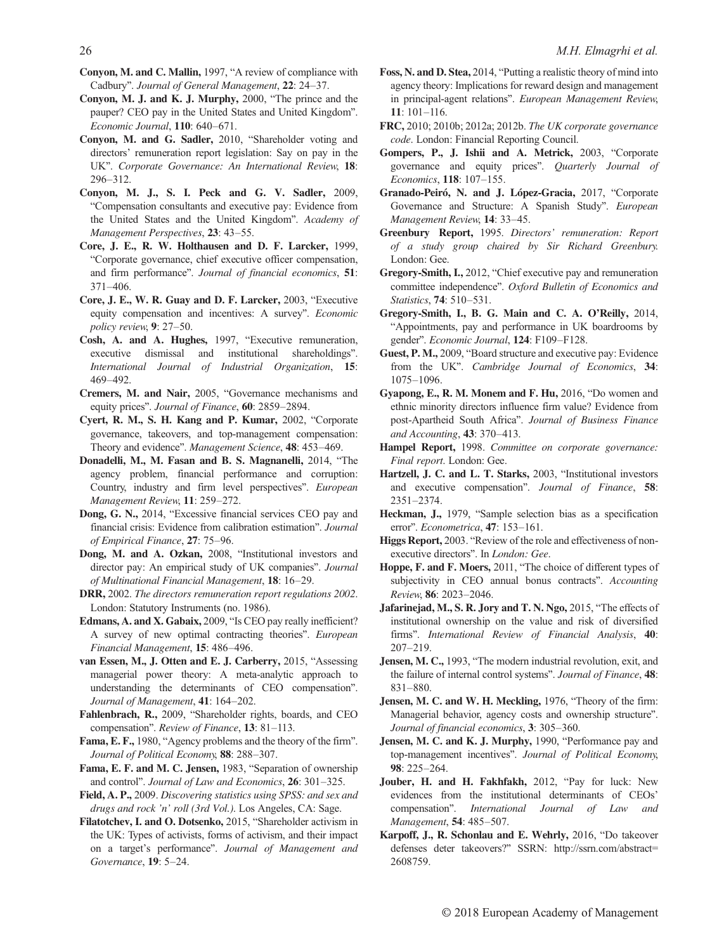- **Conyon, M. and C. Mallin,** 1997, "A review of compliance with Cadbury". *Journal of General Management*, **22**: 24–37.
- **Conyon, M. J. and K. J. Murphy,** 2000, "The prince and the pauper? CEO pay in the United States and United Kingdom". *Economic Journal*, **110**: 640–671.
- **Conyon, M. and G. Sadler,** 2010, "Shareholder voting and directors' remuneration report legislation: Say on pay in the UK". *Corporate Governance: An International Review*, **18**: 296–312.
- **Conyon, M. J., S. I. Peck and G. V. Sadler,** 2009, "Compensation consultants and executive pay: Evidence from the United States and the United Kingdom". *Academy of Management Perspectives*, **23**: 43–55.
- **Core, J. E., R. W. Holthausen and D. F. Larcker,** 1999, "Corporate governance, chief executive officer compensation, and firm performance". *Journal of financial economics*, **51**: 371–406.
- **Core, J. E., W. R. Guay and D. F. Larcker,** 2003, "Executive equity compensation and incentives: A survey". *Economic policy review*, **9**: 27–50.
- **Cosh, A. and A. Hughes,** 1997, "Executive remuneration, executive dismissal and institutional shareholdings". *International Journal of Industrial Organization*, **15**: 469–492.
- **Cremers, M. and Nair,** 2005, "Governance mechanisms and equity prices". *Journal of Finance*, **60**: 2859–2894.
- **Cyert, R. M., S. H. Kang and P. Kumar,** 2002, "Corporate governance, takeovers, and top-management compensation: Theory and evidence". *Management Science*, **48**: 453–469.
- **Donadelli, M., M. Fasan and B. S. Magnanelli,** 2014, "The agency problem, financial performance and corruption: Country, industry and firm level perspectives". *European Management Review*, **11**: 259–272.
- **Dong, G. N.,** 2014, "Excessive financial services CEO pay and financial crisis: Evidence from calibration estimation". *Journal of Empirical Finance*, **27**: 75–96.
- **Dong, M. and A. Ozkan,** 2008, "Institutional investors and director pay: An empirical study of UK companies". *Journal of Multinational Financial Management*, **18**: 16–29.
- **DRR,** 2002. *The directors remuneration report regulations 2002*. London: Statutory Instruments (no. 1986).
- **Edmans, A. and X. Gabaix,** 2009, "Is CEO pay really inefficient? A survey of new optimal contracting theories". *European Financial Management*, **15**: 486–496.
- **van Essen, M., J. Otten and E. J. Carberry,** 2015, "Assessing managerial power theory: A meta-analytic approach to understanding the determinants of CEO compensation". *Journal of Management*, **41**: 164–202.
- **Fahlenbrach, R.,** 2009, "Shareholder rights, boards, and CEO compensation". *Review of Finance*, **13**: 81–113.
- **Fama, E. F.,** 1980, "Agency problems and the theory of the firm". *Journal of Political Economy*, **88**: 288–307.
- **Fama, E. F. and M. C. Jensen,** 1983, "Separation of ownership and control". *Journal of Law and Economics*, **26**: 301–325.
- **Field, A. P.,** 2009. *Discovering statistics using SPSS: and sex and drugs and rock 'n' roll (3rd Vol.)*. Los Angeles, CA: Sage.
- **Filatotchev, I. and O. Dotsenko,** 2015, "Shareholder activism in the UK: Types of activists, forms of activism, and their impact on a target's performance". *Journal of Management and Governance*, **19**: 5–24.
- **Foss, N. and D. Stea,** 2014, "Putting a realistic theory of mind into agency theory: Implications for reward design and management in principal-agent relations". *European Management Review*, **11**: 101–116.
- **FRC,** 2010; 2010b; 2012a; 2012b. *The UK corporate governance code*. London: Financial Reporting Council.
- **Gompers, P., J. Ishii and A. Metrick,** 2003, "Corporate governance and equity prices". *Quarterly Journal of Economics*, **118**: 107–155.
- **Granado-Peiró, N. and J. López-Gracia,** 2017, "Corporate Governance and Structure: A Spanish Study". *European Management Review*, **14**: 33–45.
- **Greenbury Report,** 1995. *Directors' remuneration: Report of a study group chaired by Sir Richard Greenbury*. London: Gee.
- **Gregory-Smith, I.,** 2012, "Chief executive pay and remuneration committee independence". *Oxford Bulletin of Economics and Statistics*, **74**: 510–531.
- **Gregory-Smith, I., B. G. Main and C. A. O'Reilly,** 2014, "Appointments, pay and performance in UK boardrooms by gender". *Economic Journal*, **124**: F109–F128.
- **Guest, P. M.,** 2009, "Board structure and executive pay: Evidence from the UK". *Cambridge Journal of Economics*, **34**: 1075–1096.
- **Gyapong, E., R. M. Monem and F. Hu,** 2016, "Do women and ethnic minority directors influence firm value? Evidence from post-Apartheid South Africa". *Journal of Business Finance and Accounting*, **43**: 370–413.
- **Hampel Report,** 1998. *Committee on corporate governance: Final report*. London: Gee.
- **Hartzell, J. C. and L. T. Starks,** 2003, "Institutional investors and executive compensation". *Journal of Finance*, **58**: 2351–2374.
- **Heckman, J.,** 1979, "Sample selection bias as a specification error". *Econometrica*, **47**: 153–161.
- **Higgs Report,** 2003. "Review of the role and effectiveness of nonexecutive directors". In *London: Gee*.
- **Hoppe, F. and F. Moers,** 2011, "The choice of different types of subjectivity in CEO annual bonus contracts". *Accounting Review*, **86**: 2023–2046.
- **Jafarinejad, M., S. R. Jory and T. N. Ngo,** 2015, "The effects of institutional ownership on the value and risk of diversified firms". *International Review of Financial Analysis*, **40**: 207–219.
- **Jensen, M. C.,** 1993, "The modern industrial revolution, exit, and the failure of internal control systems". *Journal of Finance*, **48**: 831–880.
- **Jensen, M. C. and W. H. Meckling,** 1976, "Theory of the firm: Managerial behavior, agency costs and ownership structure". *Journal of financial economics*, **3**: 305–360.
- **Jensen, M. C. and K. J. Murphy,** 1990, "Performance pay and top-management incentives". *Journal of Political Economy*, **98**: 225–264.
- **Jouber, H. and H. Fakhfakh,** 2012, "Pay for luck: New evidences from the institutional determinants of CEOs' compensation". *International Journal of Law and Management*, **54**: 485–507.
- **Karpoff, J., R. Schonlau and E. Wehrly,** 2016, "Do takeover defenses deter takeovers?" SSRN: [http://ssrn.com/abstract=](http://ssrn.com/abstract=2608759) [2608759](http://ssrn.com/abstract=2608759).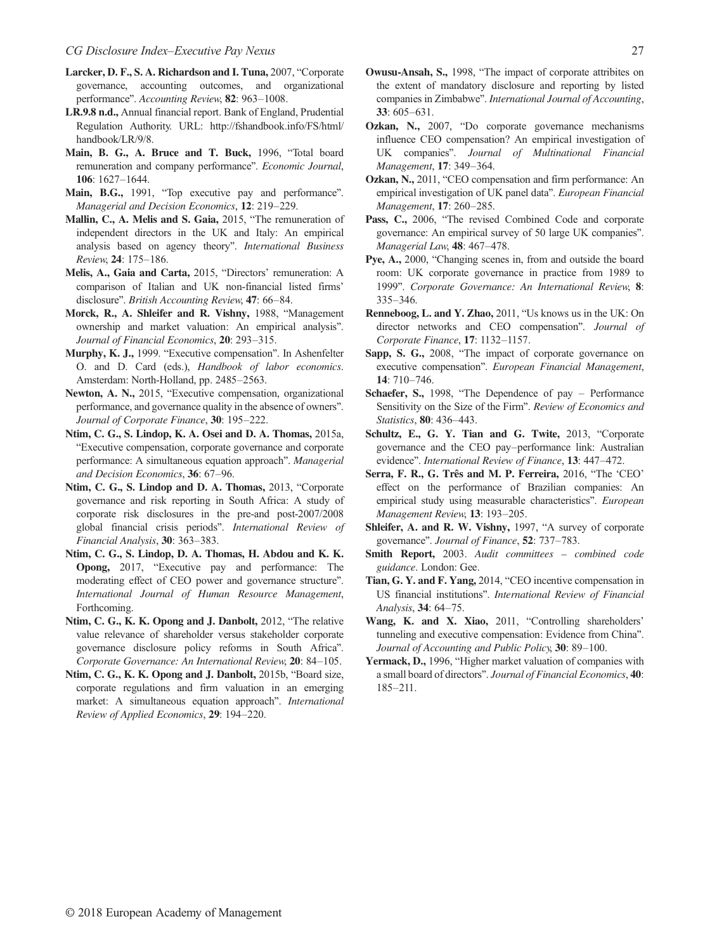#### *CG Disclosure Index–Executive Pay Nexus* 27

- **Larcker, D. F., S. A. Richardson and I. Tuna,** 2007, "Corporate governance, accounting outcomes, and organizational performance". *Accounting Review*, **82**: 963–1008.
- **LR.9.8 n.d.,** Annual financial report. Bank of England, Prudential Regulation Authority. URL: [http://fshandbook.info/FS/html/](http://fshandbook.info/FS/html/handbook/LR/9/8) [handbook/LR/9/8](http://fshandbook.info/FS/html/handbook/LR/9/8).
- **Main, B. G., A. Bruce and T. Buck,** 1996, "Total board remuneration and company performance". *Economic Journal*, **106**: 1627–1644.
- Main, B.G., 1991, "Top executive pay and performance". *Managerial and Decision Economics*, **12**: 219–229.
- **Mallin, C., A. Melis and S. Gaia,** 2015, "The remuneration of independent directors in the UK and Italy: An empirical analysis based on agency theory". *International Business Review*, **24**: 175–186.
- **Melis, A., Gaia and Carta,** 2015, "Directors' remuneration: A comparison of Italian and UK non-financial listed firms' disclosure". *British Accounting Review*, **47**: 66–84.
- **Morck, R., A. Shleifer and R. Vishny,** 1988, "Management ownership and market valuation: An empirical analysis". *Journal of Financial Economics*, **20**: 293–315.
- **Murphy, K. J.,** 1999. "Executive compensation". In Ashenfelter O. and D. Card (eds.), *Handbook of labor economics*. Amsterdam: North-Holland, pp. 2485–2563.
- **Newton, A. N.,** 2015, "Executive compensation, organizational performance, and governance quality in the absence of owners". *Journal of Corporate Finance*, **30**: 195–222.
- **Ntim, C. G., S. Lindop, K. A. Osei and D. A. Thomas,** 2015a, "Executive compensation, corporate governance and corporate performance: A simultaneous equation approach". *Managerial and Decision Economics*, **36**: 67–96.
- **Ntim, C. G., S. Lindop and D. A. Thomas,** 2013, "Corporate governance and risk reporting in South Africa: A study of corporate risk disclosures in the pre-and post-2007/2008 global financial crisis periods". *International Review of Financial Analysis*, **30**: 363–383.
- **Ntim, C. G., S. Lindop, D. A. Thomas, H. Abdou and K. K. Opong,** 2017, "Executive pay and performance: The moderating effect of CEO power and governance structure". *International Journal of Human Resource Management*, Forthcoming.
- **Ntim, C. G., K. K. Opong and J. Danbolt,** 2012, "The relative value relevance of shareholder versus stakeholder corporate governance disclosure policy reforms in South Africa". *Corporate Governance: An International Review*, **20**: 84–105.
- **Ntim, C. G., K. K. Opong and J. Danbolt,** 2015b, "Board size, corporate regulations and firm valuation in an emerging market: A simultaneous equation approach". *International Review of Applied Economics*, **29**: 194–220.
- **Owusu-Ansah, S.,** 1998, "The impact of corporate attribites on the extent of mandatory disclosure and reporting by listed companies in Zimbabwe". *International Journal of Accounting*, **33**: 605–631.
- **Ozkan, N.,** 2007, "Do corporate governance mechanisms influence CEO compensation? An empirical investigation of UK companies". *Journal of Multinational Financial Management*, **17**: 349–364.
- **Ozkan, N.,** 2011, "CEO compensation and firm performance: An empirical investigation of UK panel data". *European Financial Management*, **17**: 260–285.
- Pass, C., 2006, "The revised Combined Code and corporate governance: An empirical survey of 50 large UK companies". *Managerial Law*, **48**: 467–478.
- **Pye, A.,** 2000, "Changing scenes in, from and outside the board room: UK corporate governance in practice from 1989 to 1999". *Corporate Governance: An International Review*, **8**: 335–346.
- **Renneboog, L. and Y. Zhao,** 2011, "Us knows us in the UK: On director networks and CEO compensation". *Journal of Corporate Finance*, **17**: 1132–1157.
- **Sapp, S. G.,** 2008, "The impact of corporate governance on executive compensation". *European Financial Management*, **14**: 710–746.
- **Schaefer, S.,** 1998, "The Dependence of pay Performance Sensitivity on the Size of the Firm". *Review of Economics and Statistics*, **80**: 436–443.
- **Schultz, E., G. Y. Tian and G. Twite,** 2013, "Corporate governance and the CEO pay–performance link: Australian evidence". *International Review of Finance*, **13**: 447–472.
- **Serra, F. R., G. Três and M. P. Ferreira,** 2016, "The 'CEO' effect on the performance of Brazilian companies: An empirical study using measurable characteristics". *European Management Review*, **13**: 193–205.
- **Shleifer, A. and R. W. Vishny,** 1997, "A survey of corporate governance". *Journal of Finance*, **52**: 737–783.
- **Smith Report,** 2003. *Audit committees – combined code guidance*. London: Gee.
- **Tian, G. Y. and F. Yang,** 2014, "CEO incentive compensation in US financial institutions". *International Review of Financial Analysis*, **34**: 64–75.
- **Wang, K. and X. Xiao,** 2011, "Controlling shareholders' tunneling and executive compensation: Evidence from China". *Journal of Accounting and Public Policy*, **30**: 89–100.
- **Yermack, D.,** 1996, "Higher market valuation of companies with a small board of directors". *Journal of Financial Economics*, **40**: 185–211.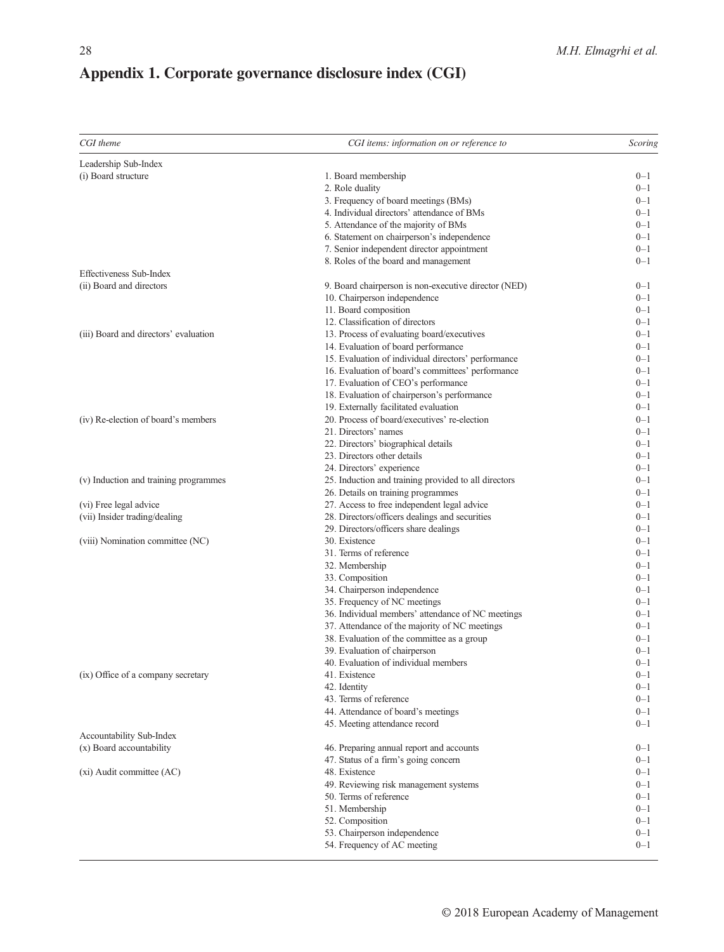| CGI theme                             | CGI items: information on or reference to            | Scoring |
|---------------------------------------|------------------------------------------------------|---------|
| Leadership Sub-Index                  |                                                      |         |
| (i) Board structure                   | 1. Board membership                                  | $0 - 1$ |
|                                       | 2. Role duality                                      | $0 - 1$ |
|                                       | 3. Frequency of board meetings (BMs)                 | $0 - 1$ |
|                                       | 4. Individual directors' attendance of BMs           | $0 - 1$ |
|                                       | 5. Attendance of the majority of BMs                 | $0 - 1$ |
|                                       | 6. Statement on chairperson's independence           | $0 - 1$ |
|                                       | 7. Senior independent director appointment           | $0 - 1$ |
| <b>Effectiveness Sub-Index</b>        | 8. Roles of the board and management                 | $0 - 1$ |
| (ii) Board and directors              | 9. Board chairperson is non-executive director (NED) | $0 - 1$ |
|                                       | 10. Chairperson independence                         | $0 - 1$ |
|                                       | 11. Board composition                                | $0 - 1$ |
|                                       | 12. Classification of directors                      | $0 - 1$ |
| (iii) Board and directors' evaluation | 13. Process of evaluating board/executives           | $0 - 1$ |
|                                       | 14. Evaluation of board performance                  | $0 - 1$ |
|                                       | 15. Evaluation of individual directors' performance  | $0 - 1$ |
|                                       | 16. Evaluation of board's committees' performance    | $0 - 1$ |
|                                       | 17. Evaluation of CEO's performance                  | $0 - 1$ |
|                                       | 18. Evaluation of chairperson's performance          | $0 - 1$ |
|                                       | 19. Externally facilitated evaluation                | $0 - 1$ |
| (iv) Re-election of board's members   | 20. Process of board/executives' re-election         | $0 - 1$ |
|                                       | 21. Directors' names                                 | $0 - 1$ |
|                                       | 22. Directors' biographical details                  | $0 - 1$ |
|                                       | 23. Directors other details                          | $0 - 1$ |
|                                       | 24. Directors' experience                            | $0 - 1$ |
| (v) Induction and training programmes | 25. Induction and training provided to all directors | $0 - 1$ |
|                                       | 26. Details on training programmes                   | $0 - 1$ |
| (vi) Free legal advice                | 27. Access to free independent legal advice          | $0 - 1$ |
| (vii) Insider trading/dealing         | 28. Directors/officers dealings and securities       | $0 - 1$ |
|                                       | 29. Directors/officers share dealings                | $0 - 1$ |
| (viii) Nomination committee (NC)      | 30. Existence                                        | $0 - 1$ |
|                                       | 31. Terms of reference                               | $0 - 1$ |
|                                       | 32. Membership                                       | $0 - 1$ |
|                                       | 33. Composition                                      | $0 - 1$ |
|                                       | 34. Chairperson independence                         | $0 - 1$ |
|                                       | 35. Frequency of NC meetings                         | $0 - 1$ |
|                                       | 36. Individual members' attendance of NC meetings    | $0 - 1$ |
|                                       | 37. Attendance of the majority of NC meetings        | $0 - 1$ |
|                                       | 38. Evaluation of the committee as a group           | $0 - 1$ |
|                                       | 39. Evaluation of chairperson                        | $0 - 1$ |
|                                       | 40. Evaluation of individual members                 | $0 - 1$ |
| (ix) Office of a company secretary    | 41. Existence                                        | $0 - 1$ |
|                                       | 42. Identity                                         | $0 - 1$ |
|                                       | 43. Terms of reference                               | $0 - 1$ |
|                                       | 44. Attendance of board's meetings                   | $0 - 1$ |
|                                       | 45. Meeting attendance record                        | $0 - 1$ |
| Accountability Sub-Index              |                                                      |         |
| (x) Board accountability              | 46. Preparing annual report and accounts             | $0 - 1$ |
|                                       | 47. Status of a firm's going concern                 | $0 - 1$ |
| (xi) Audit committee (AC)             | 48. Existence                                        | $0 - 1$ |
|                                       | 49. Reviewing risk management systems                | $0 - 1$ |
|                                       | 50. Terms of reference                               | $0 - 1$ |
|                                       | 51. Membership                                       | $0 - 1$ |
|                                       | 52. Composition                                      | $0 - 1$ |
|                                       | 53. Chairperson independence                         | $0 - 1$ |
|                                       | 54. Frequency of AC meeting                          | $0 - 1$ |

# **Appendix 1. Corporate governance disclosure index (CGI)**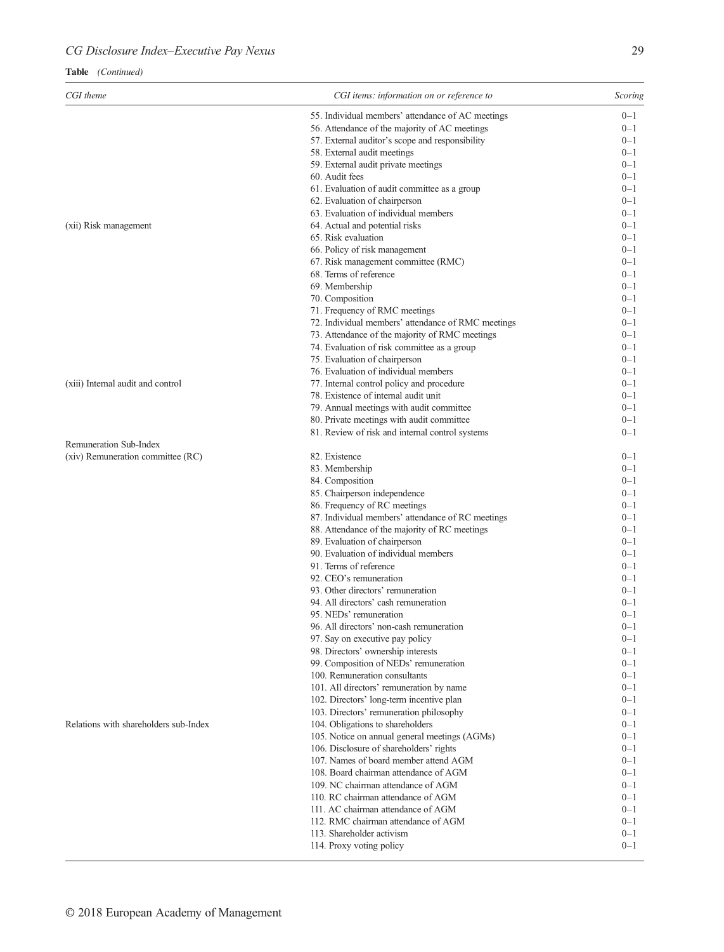#### **Table** *(Continued)*

| CGI theme                             | CGI items: information on or reference to                                             | Scoring            |
|---------------------------------------|---------------------------------------------------------------------------------------|--------------------|
|                                       | 55. Individual members' attendance of AC meetings                                     | $0 - 1$            |
|                                       | 56. Attendance of the majority of AC meetings                                         | $0 - 1$            |
|                                       | 57. External auditor's scope and responsibility                                       | $0 - 1$            |
|                                       | 58. External audit meetings                                                           | $0 - 1$            |
|                                       | 59. External audit private meetings                                                   | $0 - 1$            |
|                                       | 60. Audit fees                                                                        | $0 - 1$            |
|                                       | 61. Evaluation of audit committee as a group                                          | $0 - 1$            |
|                                       | 62. Evaluation of chairperson                                                         | $0 - 1$            |
|                                       | 63. Evaluation of individual members                                                  | $0 - 1$            |
| (xii) Risk management                 | 64. Actual and potential risks                                                        | $0 - 1$            |
|                                       | 65. Risk evaluation                                                                   | $0 - 1$            |
|                                       | 66. Policy of risk management                                                         | $0 - 1$            |
|                                       | 67. Risk management committee (RMC)                                                   | $0 - 1$            |
|                                       | 68. Terms of reference                                                                | $0 - 1$            |
|                                       | 69. Membership                                                                        | $0 - 1$            |
|                                       | 70. Composition                                                                       | $0 - 1$            |
|                                       | 71. Frequency of RMC meetings                                                         | $0 - 1$            |
|                                       | 72. Individual members' attendance of RMC meetings                                    | $0 - 1$            |
|                                       | 73. Attendance of the majority of RMC meetings                                        | $0 - 1$            |
|                                       | 74. Evaluation of risk committee as a group                                           | $0 - 1$            |
|                                       | 75. Evaluation of chairperson                                                         | $0 - 1$            |
|                                       | 76. Evaluation of individual members                                                  | $0 - 1$<br>$0 - 1$ |
| (xiii) Internal audit and control     | 77. Internal control policy and procedure<br>78. Existence of internal audit unit     | $0 - 1$            |
|                                       |                                                                                       | $0 - 1$            |
|                                       | 79. Annual meetings with audit committee<br>80. Private meetings with audit committee | $0 - 1$            |
|                                       | 81. Review of risk and internal control systems                                       | $0 - 1$            |
| Remuneration Sub-Index                |                                                                                       |                    |
| (xiv) Remuneration committee (RC)     | 82. Existence                                                                         | $0 - 1$            |
|                                       | 83. Membership                                                                        | $0 - 1$            |
|                                       | 84. Composition                                                                       | $0 - 1$            |
|                                       | 85. Chairperson independence                                                          | $0 - 1$            |
|                                       | 86. Frequency of RC meetings                                                          | $0 - 1$            |
|                                       | 87. Individual members' attendance of RC meetings                                     | $0 - 1$            |
|                                       | 88. Attendance of the majority of RC meetings                                         | $0 - 1$            |
|                                       | 89. Evaluation of chairperson                                                         | $0 - 1$            |
|                                       | 90. Evaluation of individual members                                                  | $0 - 1$            |
|                                       | 91. Terms of reference                                                                | $0 - 1$            |
|                                       | 92. CEO's remuneration                                                                | $0 - 1$            |
|                                       | 93. Other directors' remuneration                                                     | $0 - 1$            |
|                                       | 94. All directors' cash remuneration                                                  | $0 - 1$            |
|                                       | 95. NEDs' remuneration                                                                | $0 - 1$            |
|                                       | 96. All directors' non-cash remuneration                                              | $0 - 1$            |
|                                       | 97. Say on executive pay policy                                                       | $0 - 1$            |
|                                       | 98. Directors' ownership interests                                                    | $0 - 1$            |
|                                       | 99. Composition of NEDs' remuneration                                                 | $0 - 1$            |
|                                       | 100. Remuneration consultants                                                         | $0 - 1$            |
|                                       | 101. All directors' remuneration by name                                              | $0 - 1$            |
|                                       | 102. Directors' long-term incentive plan                                              | $0 - 1$            |
|                                       | 103. Directors' remuneration philosophy                                               | $0 - 1$            |
| Relations with shareholders sub-Index | 104. Obligations to shareholders                                                      | $0 - 1$            |
|                                       | 105. Notice on annual general meetings (AGMs)                                         | $0 - 1$            |
|                                       | 106. Disclosure of shareholders' rights                                               | $0 - 1$            |
|                                       | 107. Names of board member attend AGM                                                 | $0 - 1$            |
|                                       | 108. Board chairman attendance of AGM                                                 | $0 - 1$            |
|                                       | 109. NC chairman attendance of AGM                                                    | $0 - 1$            |
|                                       | 110. RC chairman attendance of AGM<br>111. AC chairman attendance of AGM              | $0 - 1$            |
|                                       | 112. RMC chairman attendance of AGM                                                   | $0 - 1$<br>$0 - 1$ |
|                                       | 113. Shareholder activism                                                             | $0 - 1$            |
|                                       | 114. Proxy voting policy                                                              | $0 - 1$            |
|                                       |                                                                                       |                    |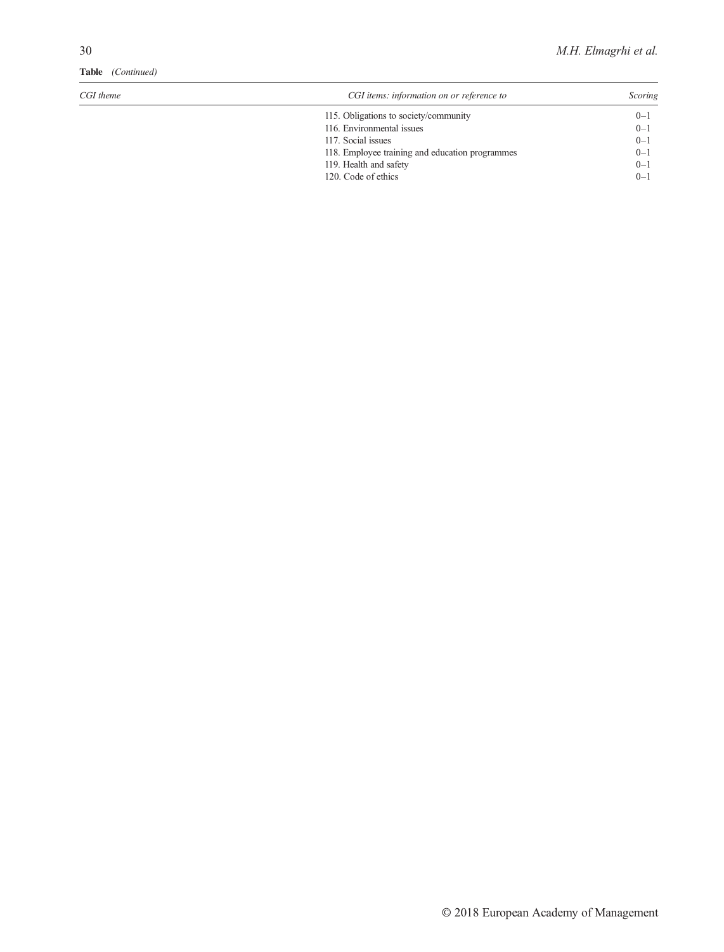| (Continued) |
|-------------|
|             |

| CGI theme | CGI items: information on or reference to       | Scoring |
|-----------|-------------------------------------------------|---------|
|           | 115. Obligations to society/community           | $0 - 1$ |
|           | 116. Environmental issues                       | $0 - 1$ |
|           | 117. Social issues                              | $0 - 1$ |
|           | 118. Employee training and education programmes | $0 - 1$ |
|           | 119. Health and safety                          | $0 - 1$ |
|           | 120. Code of ethics                             | $0 - 1$ |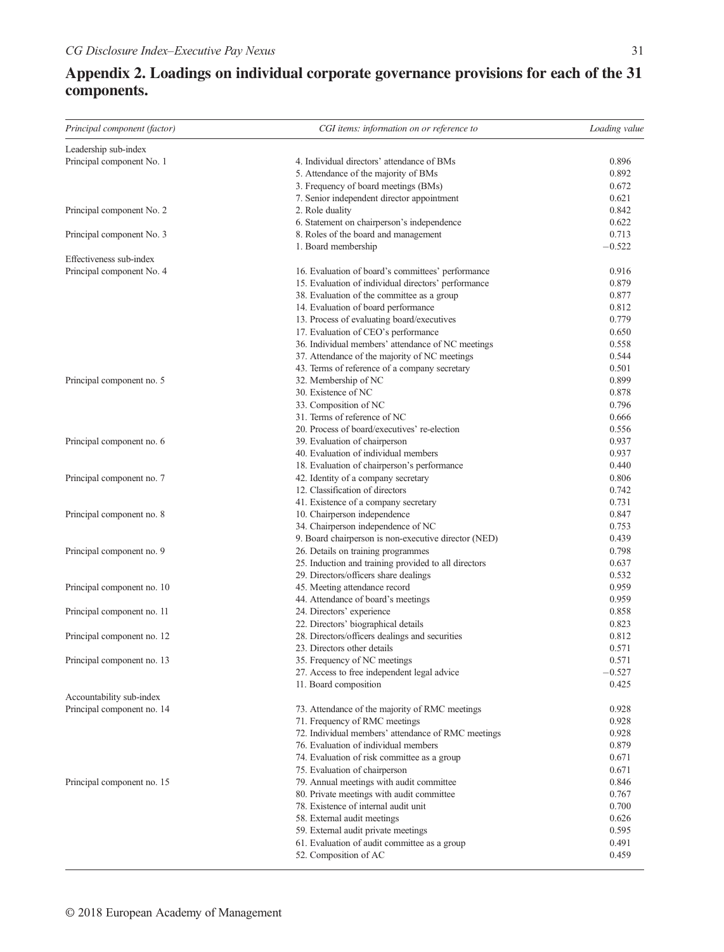| Principal component (factor) | CGI items: information on or reference to                                             | Loading value |
|------------------------------|---------------------------------------------------------------------------------------|---------------|
| Leadership sub-index         |                                                                                       |               |
| Principal component No. 1    | 4. Individual directors' attendance of BMs                                            | 0.896         |
|                              | 5. Attendance of the majority of BMs                                                  | 0.892         |
|                              | 3. Frequency of board meetings (BMs)                                                  | 0.672         |
|                              | 7. Senior independent director appointment                                            | 0.621         |
| Principal component No. 2    | 2. Role duality                                                                       | 0.842         |
|                              | 6. Statement on chairperson's independence                                            | 0.622         |
| Principal component No. 3    | 8. Roles of the board and management                                                  | 0.713         |
|                              | 1. Board membership                                                                   | $-0.522$      |
| Effectiveness sub-index      |                                                                                       |               |
| Principal component No. 4    | 16. Evaluation of board's committees' performance                                     | 0.916         |
|                              | 15. Evaluation of individual directors' performance                                   | 0.879         |
|                              | 38. Evaluation of the committee as a group                                            | 0.877         |
|                              | 14. Evaluation of board performance                                                   | 0.812         |
|                              | 13. Process of evaluating board/executives                                            | 0.779         |
|                              | 17. Evaluation of CEO's performance                                                   | 0.650         |
|                              | 36. Individual members' attendance of NC meetings                                     | 0.558         |
|                              | 37. Attendance of the majority of NC meetings                                         | 0.544         |
|                              | 43. Terms of reference of a company secretary                                         | 0.501         |
| Principal component no. 5    | 32. Membership of NC                                                                  | 0.899         |
|                              | 30. Existence of NC                                                                   | 0.878         |
|                              | 33. Composition of NC                                                                 | 0.796         |
|                              | 31. Terms of reference of NC                                                          | 0.666         |
|                              | 20. Process of board/executives' re-election                                          | 0.556         |
| Principal component no. 6    | 39. Evaluation of chairperson                                                         | 0.937         |
|                              | 40. Evaluation of individual members                                                  | 0.937         |
|                              | 18. Evaluation of chairperson's performance                                           | 0.440         |
| Principal component no. 7    | 42. Identity of a company secretary                                                   | 0.806         |
|                              | 12. Classification of directors                                                       | 0.742         |
|                              | 41. Existence of a company secretary                                                  | 0.731         |
| Principal component no. 8    | 10. Chairperson independence                                                          | 0.847         |
|                              | 34. Chairperson independence of NC                                                    | 0.753         |
|                              | 9. Board chairperson is non-executive director (NED)                                  | 0.439         |
| Principal component no. 9    | 26. Details on training programmes                                                    | 0.798         |
|                              | 25. Induction and training provided to all directors                                  | 0.637         |
|                              | 29. Directors/officers share dealings                                                 | 0.532         |
| Principal component no. 10   | 45. Meeting attendance record                                                         | 0.959         |
|                              | 44. Attendance of board's meetings                                                    | 0.959         |
| Principal component no. 11   | 24. Directors' experience                                                             | 0.858         |
|                              |                                                                                       | 0.823         |
| Principal component no. 12   | 22. Directors' biographical details<br>28. Directors/officers dealings and securities | 0.812         |
|                              | 23. Directors other details                                                           | 0.571         |
| Principal component no. 13   | 35. Frequency of NC meetings                                                          | 0.571         |
|                              | 27. Access to free independent legal advice                                           | $-0.527$      |
|                              | 11. Board composition                                                                 | 0.425         |
|                              |                                                                                       |               |
| Accountability sub-index     |                                                                                       |               |
| Principal component no. 14   | 73. Attendance of the majority of RMC meetings                                        | 0.928         |
|                              | 71. Frequency of RMC meetings                                                         | 0.928         |
|                              | 72. Individual members' attendance of RMC meetings                                    | 0.928         |
|                              | 76. Evaluation of individual members                                                  | 0.879         |
|                              | 74. Evaluation of risk committee as a group                                           | 0.671         |
|                              | 75. Evaluation of chairperson                                                         | 0.671         |
| Principal component no. 15   | 79. Annual meetings with audit committee                                              | 0.846         |
|                              | 80. Private meetings with audit committee                                             | 0.767         |
|                              | 78. Existence of internal audit unit                                                  | 0.700         |
|                              | 58. External audit meetings                                                           | 0.626         |
|                              | 59. External audit private meetings                                                   | 0.595         |
|                              | 61. Evaluation of audit committee as a group                                          | 0.491         |
|                              | 52. Composition of AC                                                                 | 0.459         |

# **Appendix 2. Loadings on individual corporate governance provisions for each of the 31 components.**